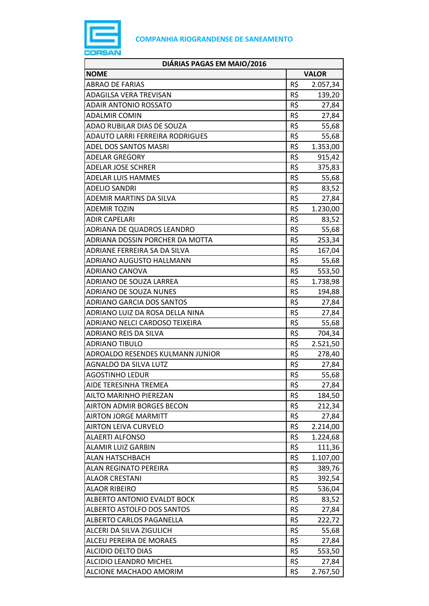

| DIÁRIAS PAGAS EM MAIO/2016       |              |          |
|----------------------------------|--------------|----------|
| <b>NOME</b>                      | <b>VALOR</b> |          |
| <b>ABRAO DE FARIAS</b>           | R\$          | 2.057,34 |
| ADAGILSA VERA TREVISAN           | R\$          | 139,20   |
| <b>ADAIR ANTONIO ROSSATO</b>     | R\$          | 27,84    |
| <b>ADALMIR COMIN</b>             | R\$          | 27,84    |
| ADAO RUBILAR DIAS DE SOUZA       | R\$          | 55,68    |
| ADAUTO LARRI FERREIRA RODRIGUES  | R\$          | 55,68    |
| ADEL DOS SANTOS MASRI            | R\$          | 1.353,00 |
| <b>ADELAR GREGORY</b>            | R\$          | 915,42   |
| <b>ADELAR JOSE SCHRER</b>        | R\$          | 375,83   |
| <b>ADELAR LUIS HAMMES</b>        | R\$          | 55,68    |
| <b>ADELIO SANDRI</b>             | R\$          | 83,52    |
| ADEMIR MARTINS DA SILVA          | R\$          | 27,84    |
| <b>ADEMIR TOZIN</b>              | R\$          | 1.230,00 |
| <b>ADIR CAPELARI</b>             | R\$          | 83,52    |
| ADRIANA DE QUADROS LEANDRO       | R\$          | 55,68    |
| ADRIANA DOSSIN PORCHER DA MOTTA  | R\$          | 253,34   |
| ADRIANE FERREIRA SA DA SILVA     | R\$          | 167,04   |
| <b>ADRIANO AUGUSTO HALLMANN</b>  | R\$          | 55,68    |
| ADRIANO CANOVA                   | R\$          | 553,50   |
| ADRIANO DE SOUZA LARREA          | R\$          | 1.738,98 |
| <b>ADRIANO DE SOUZA NUNES</b>    | R\$          | 194,88   |
| <b>ADRIANO GARCIA DOS SANTOS</b> | R\$          | 27,84    |
| ADRIANO LUIZ DA ROSA DELLA NINA  | R\$          | 27,84    |
| ADRIANO NELCI CARDOSO TEIXEIRA   | R\$          | 55,68    |
| ADRIANO REIS DA SILVA            | R\$          | 704,34   |
| <b>ADRIANO TIBULO</b>            | R\$          | 2.521,50 |
| ADROALDO RESENDES KULMANN JUNIOR | R\$          | 278,40   |
| <b>AGNALDO DA SILVA LUTZ</b>     | R\$          | 27,84    |
| <b>AGOSTINHO LEDUR</b>           | R\$          | 55,68    |
| AIDE TERESINHA TREMEA            | R\$          | 27,84    |
| <b>AILTO MARINHO PIEREZAN</b>    | R\$          | 184,50   |
| <b>AIRTON ADMIR BORGES BECON</b> | R\$          | 212,34   |
| <b>AIRTON JORGE MARMITT</b>      | R\$          | 27,84    |
| <b>AIRTON LEIVA CURVELO</b>      | R\$          | 2.214,00 |
| <b>ALAERTI ALFONSO</b>           | R\$          | 1.224,68 |
| <b>ALAMIR LUIZ GARBIN</b>        | R\$          | 111,36   |
| <b>ALAN HATSCHBACH</b>           | R\$          | 1.107,00 |
| <b>ALAN REGINATO PEREIRA</b>     | R\$          | 389,76   |
| <b>ALAOR CRESTANI</b>            | R\$          | 392,54   |
| <b>ALAOR RIBEIRO</b>             | R\$          | 536,04   |
| ALBERTO ANTONIO EVALDT BOCK      | R\$          | 83,52    |
| ALBERTO ASTOLFO DOS SANTOS       | R\$          | 27,84    |
| ALBERTO CARLOS PAGANELLA         | R\$          | 222,72   |
| ALCERI DA SILVA ZIGULICH         | R\$          | 55,68    |
| ALCEU PEREIRA DE MORAES          | R\$          | 27,84    |
| <b>ALCIDIO DELTO DIAS</b>        | R\$          | 553,50   |
| ALCIDIO LEANDRO MICHEL           | R\$          | 27,84    |
| ALCIONE MACHADO AMORIM           | R\$          | 2.767,50 |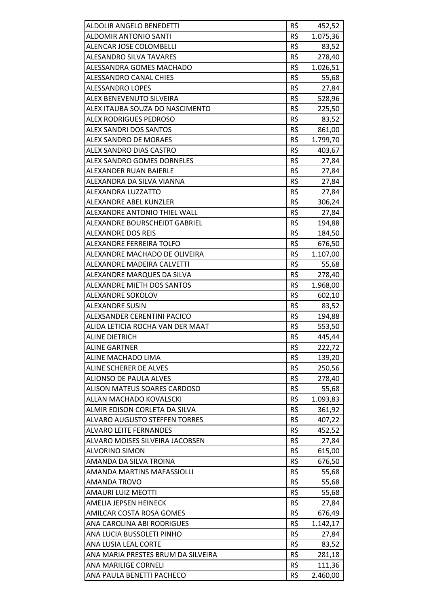| ALDOLIR ANGELO BENEDETTI             | R\$ | 452,52   |
|--------------------------------------|-----|----------|
| <b>ALDOMIR ANTONIO SANTI</b>         | R\$ | 1.075,36 |
| ALENCAR JOSE COLOMBELLI              | R\$ | 83,52    |
| <b>ALESANDRO SILVA TAVARES</b>       | R\$ | 278,40   |
| ALESSANDRA GOMES MACHADO             | R\$ | 1.026,51 |
| <b>ALESSANDRO CANAL CHIES</b>        | R\$ | 55,68    |
| ALESSANDRO LOPES                     | R\$ | 27,84    |
| <b>ALEX BENEVENUTO SILVEIRA</b>      | R\$ | 528,96   |
| ALEX ITAUBA SOUZA DO NASCIMENTO      | R\$ | 225,50   |
| <b>ALEX RODRIGUES PEDROSO</b>        | R\$ | 83,52    |
| <b>ALEX SANDRI DOS SANTOS</b>        | R\$ | 861,00   |
| ALEX SANDRO DE MORAES                | R\$ | 1.799,70 |
| ALEX SANDRO DIAS CASTRO              | R\$ | 403,67   |
| ALEX SANDRO GOMES DORNELES           | R\$ | 27,84    |
| ALEXANDER RUAN BAIERLE               | R\$ | 27,84    |
| ALEXANDRA DA SILVA VIANNA            | R\$ | 27,84    |
| ALEXANDRA LUZZATTO                   | R\$ | 27,84    |
| <b>ALEXANDRE ABEL KUNZLER</b>        | R\$ | 306,24   |
| ALEXANDRE ANTONIO THIEL WALL         | R\$ | 27,84    |
| ALEXANDRE BOURSCHEIDT GABRIEL        | R\$ | 194,88   |
| <b>ALEXANDRE DOS REIS</b>            | R\$ | 184,50   |
| ALEXANDRE FERREIRA TOLFO             | R\$ | 676,50   |
| ALEXANDRE MACHADO DE OLIVEIRA        | R\$ | 1.107,00 |
| ALEXANDRE MADEIRA CALVETTI           | R\$ | 55,68    |
| ALEXANDRE MARQUES DA SILVA           | R\$ | 278,40   |
| ALEXANDRE MIETH DOS SANTOS           | R\$ | 1.968,00 |
| ALEXANDRE SOKOLOV                    | R\$ | 602,10   |
| <b>ALEXANDRE SUSIN</b>               | R\$ | 83,52    |
| ALEXSANDER CERENTINI PACICO          | R\$ | 194,88   |
| ALIDA LETICIA ROCHA VAN DER MAAT     | R\$ | 553,50   |
| <b>ALINE DIETRICH</b>                | R\$ | 445,44   |
| <b>ALINE GARTNER</b>                 | R\$ | 222,72   |
| ALINE MACHADO LIMA                   | R\$ | 139,20   |
| ALINE SCHERER DE ALVES               | R\$ | 250,56   |
| <b>ALIONSO DE PAULA ALVES</b>        | R\$ | 278,40   |
| <b>ALISON MATEUS SOARES CARDOSO</b>  | R\$ | 55,68    |
| ALLAN MACHADO KOVALSCKI              | R\$ | 1.093,83 |
| ALMIR EDISON CORLETA DA SILVA        | R\$ | 361,92   |
| <b>ALVARO AUGUSTO STEFFEN TORRES</b> | R\$ | 407,22   |
| <b>ALVARO LEITE FERNANDES</b>        | R\$ | 452,52   |
| ALVARO MOISES SILVEIRA JACOBSEN      | R\$ | 27,84    |
| <b>ALVORINO SIMON</b>                | R\$ | 615,00   |
| AMANDA DA SILVA TROINA               | R\$ | 676,50   |
| AMANDA MARTINS MAFASSIOLLI           | R\$ | 55,68    |
| AMANDA TROVO                         | R\$ | 55,68    |
| AMAURI LUIZ MEOTTI                   | R\$ | 55,68    |
| AMELIA JEPSEN HEINECK                | R\$ | 27,84    |
| AMILCAR COSTA ROSA GOMES             | R\$ | 676,49   |
| ANA CAROLINA ABI RODRIGUES           | R\$ | 1.142,17 |
| ANA LUCIA BUSSOLETI PINHO            | R\$ | 27,84    |
| ANA LUSIA LEAL CORTE                 | R\$ | 83,52    |
| ANA MARIA PRESTES BRUM DA SILVEIRA   | R\$ | 281,18   |
| <b>ANA MARILIGE CORNELI</b>          | R\$ | 111,36   |
| ANA PAULA BENETTI PACHECO            | R\$ | 2.460,00 |
|                                      |     |          |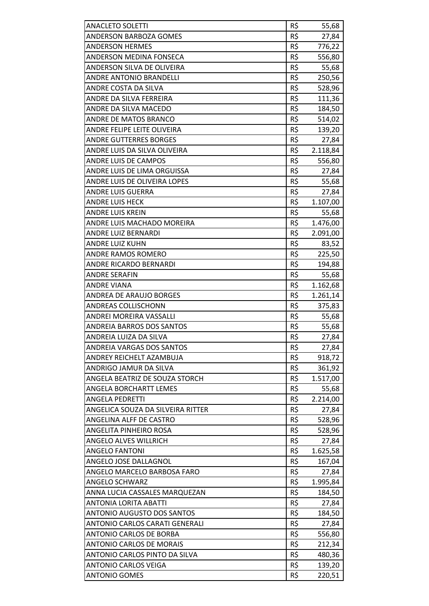| <b>ANACLETO SOLETTI</b>           | R\$ | 55,68    |
|-----------------------------------|-----|----------|
| <b>ANDERSON BARBOZA GOMES</b>     | R\$ | 27,84    |
| <b>ANDERSON HERMES</b>            | R\$ | 776,22   |
| ANDERSON MEDINA FONSECA           | R\$ | 556,80   |
| ANDERSON SILVA DE OLIVEIRA        | R\$ | 55,68    |
| ANDRE ANTONIO BRANDELLI           | R\$ | 250,56   |
| ANDRE COSTA DA SILVA              | R\$ | 528,96   |
| ANDRE DA SILVA FERREIRA           | R\$ | 111,36   |
| ANDRE DA SILVA MACEDO             | R\$ | 184,50   |
| <b>ANDRE DE MATOS BRANCO</b>      | R\$ | 514,02   |
| ANDRE FELIPE LEITE OLIVEIRA       | R\$ | 139,20   |
| <b>ANDRE GUTTERRES BORGES</b>     | R\$ | 27,84    |
| ANDRE LUIS DA SILVA OLIVEIRA      | R\$ | 2.118,84 |
| <b>ANDRE LUIS DE CAMPOS</b>       | R\$ | 556,80   |
| ANDRE LUIS DE LIMA ORGUISSA       | R\$ | 27,84    |
| ANDRE LUIS DE OLIVEIRA LOPES      | R\$ | 55,68    |
| <b>ANDRE LUIS GUERRA</b>          | R\$ | 27,84    |
| <b>ANDRE LUIS HECK</b>            | R\$ | 1.107,00 |
| ANDRE LUIS KREIN                  | R\$ | 55,68    |
| ANDRE LUIS MACHADO MOREIRA        | R\$ | 1.476,00 |
| ANDRE LUIZ BERNARDI               | R\$ | 2.091,00 |
| <b>ANDRE LUIZ KUHN</b>            | R\$ | 83,52    |
| ANDRE RAMOS ROMERO                | R\$ | 225,50   |
| ANDRE RICARDO BERNARDI            | R\$ | 194,88   |
| <b>ANDRE SERAFIN</b>              | R\$ | 55,68    |
| <b>ANDRE VIANA</b>                | R\$ | 1.162,68 |
| <b>ANDREA DE ARAUJO BORGES</b>    | R\$ | 1.261,14 |
| ANDREAS COLLISCHONN               | R\$ | 375,83   |
| ANDREI MOREIRA VASSALLI           | R\$ | 55,68    |
| <b>ANDREIA BARROS DOS SANTOS</b>  | R\$ | 55,68    |
| ANDREIA LUIZA DA SILVA            | R\$ | 27,84    |
| ANDREIA VARGAS DOS SANTOS         | R\$ | 27,84    |
| ANDREY REICHELT AZAMBUJA          | R\$ | 918,72   |
| ANDRIGO JAMUR DA SILVA            | R\$ | 361,92   |
| ANGELA BEATRIZ DE SOUZA STORCH    | R\$ | 1.517,00 |
| <b>ANGELA BORCHARTT LEMES</b>     | R\$ | 55,68    |
| <b>ANGELA PEDRETTI</b>            | R\$ | 2.214,00 |
| ANGELICA SOUZA DA SILVEIRA RITTER | R\$ | 27,84    |
| ANGELINA ALFF DE CASTRO           | R\$ |          |
| ANGELITA PINHEIRO ROSA            | R\$ | 528,96   |
|                                   | R\$ | 528,96   |
| <b>ANGELO ALVES WILLRICH</b>      | R\$ | 27,84    |
| <b>ANGELO FANTONI</b>             |     | 1.625,58 |
| ANGELO JOSE DALLAGNOL             | R\$ | 167,04   |
| ANGELO MARCELO BARBOSA FARO       | R\$ | 27,84    |
| <b>ANGELO SCHWARZ</b>             | R\$ | 1.995,84 |
| ANNA LUCIA CASSALES MARQUEZAN     | R\$ | 184,50   |
| ANTONIA LORITA ABATTI             | R\$ | 27,84    |
| <b>ANTONIO AUGUSTO DOS SANTOS</b> | R\$ | 184,50   |
| ANTONIO CARLOS CARATI GENERALI    | R\$ | 27,84    |
| <b>ANTONIO CARLOS DE BORBA</b>    | R\$ | 556,80   |
| <b>ANTONIO CARLOS DE MORAIS</b>   | R\$ | 212,34   |
| ANTONIO CARLOS PINTO DA SILVA     | R\$ | 480,36   |
| <b>ANTONIO CARLOS VEIGA</b>       | R\$ | 139,20   |
| <b>ANTONIO GOMES</b>              | R\$ | 220,51   |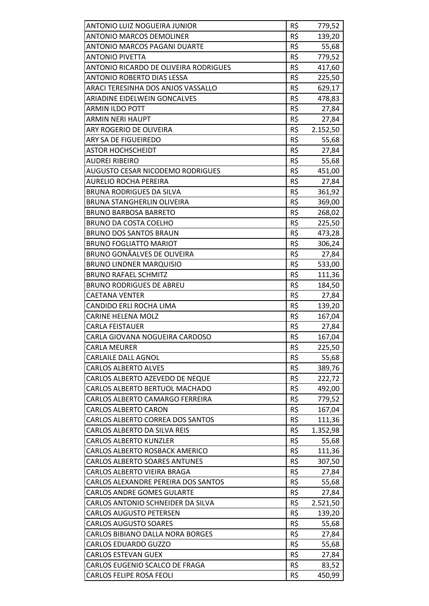| ANTONIO LUIZ NOGUEIRA JUNIOR                 | R\$ | 779,52   |
|----------------------------------------------|-----|----------|
| <b>ANTONIO MARCOS DEMOLINER</b>              | R\$ | 139,20   |
| <b>ANTONIO MARCOS PAGANI DUARTE</b>          | R\$ | 55,68    |
| <b>ANTONIO PIVETTA</b>                       | R\$ | 779,52   |
| <b>ANTONIO RICARDO DE OLIVEIRA RODRIGUES</b> | R\$ | 417,60   |
| ANTONIO ROBERTO DIAS LESSA                   | R\$ | 225,50   |
| ARACI TERESINHA DOS ANJOS VASSALLO           | R\$ | 629,17   |
| ARIADINE EIDELWEIN GONCALVES                 | R\$ | 478,83   |
| <b>ARMIN ILDO POTT</b>                       | R\$ | 27,84    |
| <b>ARMIN NERI HAUPT</b>                      | R\$ | 27,84    |
| ARY ROGERIO DE OLIVEIRA                      | R\$ | 2.152,50 |
| ARY SA DE FIGUEIREDO                         | R\$ | 55,68    |
| <b>ASTOR HOCHSCHEIDT</b>                     | R\$ | 27,84    |
| AUDREI RIBEIRO                               | R\$ | 55,68    |
| <b>AUGUSTO CESAR NICODEMO RODRIGUES</b>      | R\$ | 451,00   |
| <b>AURELIO ROCHA PEREIRA</b>                 | R\$ | 27,84    |
| <b>BRUNA RODRIGUES DA SILVA</b>              | R\$ | 361,92   |
| <b>BRUNA STANGHERLIN OLIVEIRA</b>            | R\$ | 369,00   |
| <b>BRUNO BARBOSA BARRETO</b>                 | R\$ | 268,02   |
| <b>BRUNO DA COSTA COELHO</b>                 | R\$ | 225,50   |
| <b>BRUNO DOS SANTOS BRAUN</b>                | R\$ | 473,28   |
| <b>BRUNO FOGLIATTO MARIOT</b>                | R\$ | 306,24   |
| BRUNO GONÃALVES DE OLIVEIRA                  | R\$ | 27,84    |
| <b>BRUNO LINDNER MARQUISIO</b>               | R\$ | 533,00   |
| <b>BRUNO RAFAEL SCHMITZ</b>                  | R\$ | 111,36   |
| <b>BRUNO RODRIGUES DE ABREU</b>              | R\$ | 184,50   |
| <b>CAETANA VENTER</b>                        | R\$ | 27,84    |
| CANDIDO ERLI ROCHA LIMA                      | R\$ | 139,20   |
| <b>CARINE HELENA MOLZ</b>                    | R\$ | 167,04   |
| <b>CARLA FEISTAUER</b>                       | R\$ | 27,84    |
| CARLA GIOVANA NOGUEIRA CARDOSO               | R\$ | 167,04   |
| <b>CARLA MEURER</b>                          | R\$ | 225,50   |
| <b>CARLAILE DALL AGNOL</b>                   | R\$ | 55,68    |
| <b>CARLOS ALBERTO ALVES</b>                  | R\$ | 389,76   |
| CARLOS ALBERTO AZEVEDO DE NEQUE              | R\$ | 222,72   |
| CARLOS ALBERTO BERTUOL MACHADO               | R\$ | 492,00   |
| CARLOS ALBERTO CAMARGO FERREIRA              | R\$ | 779,52   |
| <b>CARLOS ALBERTO CARON</b>                  | R\$ | 167,04   |
| CARLOS ALBERTO CORREA DOS SANTOS             | R\$ | 111,36   |
| CARLOS ALBERTO DA SILVA REIS                 | R\$ | 1.352,98 |
| <b>CARLOS ALBERTO KUNZLER</b>                | R\$ | 55,68    |
| CARLOS ALBERTO ROSBACK AMERICO               | R\$ | 111,36   |
| <b>CARLOS ALBERTO SOARES ANTUNES</b>         | R\$ | 307,50   |
| CARLOS ALBERTO VIEIRA BRAGA                  | R\$ | 27,84    |
| CARLOS ALEXANDRE PEREIRA DOS SANTOS          | R\$ | 55,68    |
| <b>CARLOS ANDRE GOMES GULARTE</b>            | R\$ | 27,84    |
| CARLOS ANTONIO SCHNEIDER DA SILVA            | R\$ | 2.521,50 |
| <b>CARLOS AUGUSTO PETERSEN</b>               | R\$ | 139,20   |
| <b>CARLOS AUGUSTO SOARES</b>                 | R\$ | 55,68    |
| <b>CARLOS BIBIANO DALLA NORA BORGES</b>      | R\$ | 27,84    |
| <b>CARLOS EDUARDO GUZZO</b>                  | R\$ | 55,68    |
| <b>CARLOS ESTEVAN GUEX</b>                   | R\$ | 27,84    |
| CARLOS EUGENIO SCALCO DE FRAGA               | R\$ | 83,52    |
| <b>CARLOS FELIPE ROSA FEOLI</b>              | R\$ | 450,99   |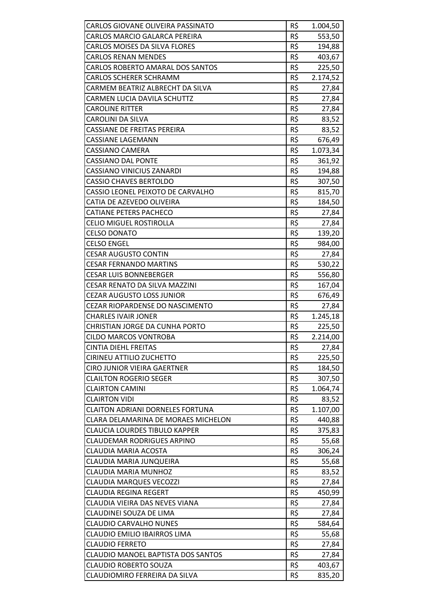| CARLOS GIOVANE OLIVEIRA PASSINATO       | R\$ | 1.004,50 |
|-----------------------------------------|-----|----------|
| CARLOS MARCIO GALARCA PEREIRA           | R\$ | 553,50   |
| <b>CARLOS MOISES DA SILVA FLORES</b>    | R\$ | 194,88   |
| <b>CARLOS RENAN MENDES</b>              | R\$ | 403,67   |
| CARLOS ROBERTO AMARAL DOS SANTOS        | R\$ | 225,50   |
| <b>CARLOS SCHERER SCHRAMM</b>           | R\$ | 2.174,52 |
| CARMEM BEATRIZ ALBRECHT DA SILVA        | R\$ | 27,84    |
| <b>CARMEN LUCIA DAVILA SCHUTTZ</b>      | R\$ | 27,84    |
| <b>CAROLINE RITTER</b>                  | R\$ | 27,84    |
| <b>CAROLINI DA SILVA</b>                | R\$ | 83,52    |
| CASSIANE DE FREITAS PEREIRA             | R\$ | 83,52    |
| <b>CASSIANE LAGEMANN</b>                | R\$ | 676,49   |
| CASSIANO CAMERA                         | R\$ | 1.073,34 |
| <b>CASSIANO DAL PONTE</b>               | R\$ | 361,92   |
| <b>CASSIANO VINICIUS ZANARDI</b>        | R\$ | 194,88   |
| <b>CASSIO CHAVES BERTOLDO</b>           | R\$ | 307,50   |
| CASSIO LEONEL PEIXOTO DE CARVALHO       | R\$ | 815,70   |
| CATIA DE AZEVEDO OLIVEIRA               | R\$ | 184,50   |
| <b>CATIANE PETERS PACHECO</b>           | R\$ | 27,84    |
| <b>CELIO MIGUEL ROSTIROLLA</b>          | R\$ | 27,84    |
| <b>CELSO DONATO</b>                     | R\$ | 139,20   |
| <b>CELSO ENGEL</b>                      | R\$ | 984,00   |
| <b>CESAR AUGUSTO CONTIN</b>             | R\$ | 27,84    |
| <b>CESAR FERNANDO MARTINS</b>           | R\$ | 530,22   |
| <b>CESAR LUIS BONNEBERGER</b>           | R\$ | 556,80   |
| CESAR RENATO DA SILVA MAZZINI           | R\$ | 167,04   |
| <b>CEZAR AUGUSTO LOSS JUNIOR</b>        | R\$ | 676,49   |
| <b>CEZAR RIOPARDENSE DO NASCIMENTO</b>  | R\$ | 27,84    |
| <b>CHARLES IVAIR JONER</b>              | R\$ | 1.245,18 |
| CHRISTIAN JORGE DA CUNHA PORTO          | R\$ | 225,50   |
| <b>CILDO MARCOS VONTROBA</b>            | R\$ | 2.214,00 |
| <b>CINTIA DIEHL FREITAS</b>             | R\$ | 27,84    |
| CIRINEU ATTILIO ZUCHETTO                | R\$ | 225,50   |
| <b>CIRO JUNIOR VIEIRA GAERTNER</b>      | R\$ | 184,50   |
| <b>CLAILTON ROGERIO SEGER</b>           | R\$ | 307,50   |
| <b>CLAIRTON CAMINI</b>                  | R\$ | 1.064,74 |
| <b>CLAIRTON VIDI</b>                    | R\$ | 83,52    |
| <b>CLAITON ADRIANI DORNELES FORTUNA</b> | R\$ | 1.107,00 |
| CLARA DELAMARINA DE MORAES MICHELON     | R\$ | 440,88   |
| <b>CLAUCIA LOURDES TIBULO KAPPER</b>    | R\$ | 375,83   |
| <b>CLAUDEMAR RODRIGUES ARPINO</b>       | R\$ | 55,68    |
| <b>CLAUDIA MARIA ACOSTA</b>             | R\$ | 306,24   |
| CLAUDIA MARIA JUNQUEIRA                 | R\$ | 55,68    |
| <b>CLAUDIA MARIA MUNHOZ</b>             | R\$ | 83,52    |
| <b>CLAUDIA MARQUES VECOZZI</b>          | R\$ | 27,84    |
| <b>CLAUDIA REGINA REGERT</b>            | R\$ | 450,99   |
| CLAUDIA VIEIRA DAS NEVES VIANA          | R\$ | 27,84    |
| <b>CLAUDINEI SOUZA DE LIMA</b>          | R\$ | 27,84    |
| <b>CLAUDIO CARVALHO NUNES</b>           | R\$ | 584,64   |
| CLAUDIO EMILIO IBAIRROS LIMA            | R\$ | 55,68    |
| <b>CLAUDIO FERRETO</b>                  | R\$ | 27,84    |
| CLAUDIO MANOEL BAPTISTA DOS SANTOS      | R\$ | 27,84    |
|                                         |     |          |
| <b>CLAUDIO ROBERTO SOUZA</b>            | R\$ | 403,67   |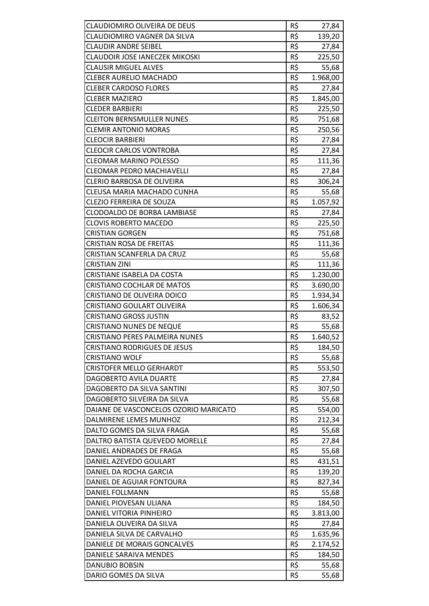| CLAUDIOMIRO OLIVEIRA DE DEUS          | R\$ | 27,84    |
|---------------------------------------|-----|----------|
| CLAUDIOMIRO VAGNER DA SILVA           | R\$ | 139,20   |
| <b>CLAUDIR ANDRE SEIBEL</b>           | R\$ | 27,84    |
| <b>CLAUDOIR JOSE IANECZEK MIKOSKI</b> | R\$ | 225,50   |
| <b>CLAUSIR MIGUEL ALVES</b>           | R\$ | 55,68    |
| <b>CLEBER AURELIO MACHADO</b>         | R\$ | 1.968,00 |
| <b>CLEBER CARDOSO FLORES</b>          | R\$ | 27,84    |
| <b>CLEBER MAZIERO</b>                 | R\$ | 1.845,00 |
| <b>CLEDER BARBIERI</b>                | R\$ | 225,50   |
| <b>CLEITON BERNSMULLER NUNES</b>      | R\$ | 751,68   |
| <b>CLEMIR ANTONIO MORAS</b>           | R\$ | 250,56   |
| <b>CLEOCIR BARBIERI</b>               | R\$ | 27,84    |
| <b>CLEOCIR CARLOS VONTROBA</b>        | R\$ | 27,84    |
| <b>CLEOMAR MARINO POLESSO</b>         | R\$ | 111,36   |
| <b>CLEOMAR PEDRO MACHIAVELLI</b>      | R\$ | 27,84    |
| CLERIO BARBOSA DE OLIVEIRA            | R\$ | 306,24   |
| CLEUSA MARIA MACHADO CUNHA            | R\$ | 55,68    |
| <b>CLEZIO FERREIRA DE SOUZA</b>       | R\$ | 1.057,92 |
| <b>CLODOALDO DE BORBA LAMBIASE</b>    | R\$ | 27,84    |
| <b>CLOVIS ROBERTO MACEDO</b>          | R\$ | 225,50   |
| <b>CRISTIAN GORGEN</b>                | R\$ | 751,68   |
| <b>CRISTIAN ROSA DE FREITAS</b>       | R\$ | 111,36   |
| CRISTIAN SCANFERLA DA CRUZ            | R\$ | 55,68    |
| <b>CRISTIAN ZINI</b>                  | R\$ | 111,36   |
| CRISTIANE ISABELA DA COSTA            | R\$ | 1.230,00 |
| CRISTIANO COCHLAR DE MATOS            | R\$ | 3.690,00 |
| CRISTIANO DE OLIVEIRA DOICO           | R\$ | 1.934,34 |
| CRISTIANO GOULART OLIVEIRA            | R\$ | 1.606,34 |
| <b>CRISTIANO GROSS JUSTIN</b>         | R\$ | 83,52    |
| <b>CRISTIANO NUNES DE NEQUE</b>       | R\$ | 55,68    |
| <b>CRISTIANO PERES PALMEIRA NUNES</b> | R\$ | 1.640,52 |
| <b>CRISTIANO RODRIGUES DE JESUS</b>   | R\$ | 184,50   |
| <b>CRISTIANO WOLF</b>                 | R\$ | 55,68    |
| <b>CRISTOFER MELLO GERHARDT</b>       | R\$ | 553,50   |
| DAGOBERTO AVILA DUARTE                | R\$ | 27,84    |
| DAGOBERTO DA SILVA SANTINI            | R\$ | 307,50   |
| DAGOBERTO SILVEIRA DA SILVA           | R\$ | 55,68    |
| DAIANE DE VASCONCELOS OZORIO MARICATO | R\$ | 554,00   |
| DALMIRENE LEMES MUNHOZ                | R\$ | 212,34   |
| DALTO GOMES DA SILVA FRAGA            | R\$ | 55,68    |
| DALTRO BATISTA QUEVEDO MORELLE        | R\$ | 27,84    |
| DANIEL ANDRADES DE FRAGA              | R\$ | 55,68    |
| DANIEL AZEVEDO GOULART                | R\$ | 431,51   |
| DANIEL DA ROCHA GARCIA                | R\$ | 139,20   |
| DANIEL DE AGUIAR FONTOURA             | R\$ | 827,34   |
| DANIEL FOLLMANN                       | R\$ | 55,68    |
| DANIEL PIOVESAN ULIANA                | R\$ | 184,50   |
| DANIEL VITORIA PINHEIRO               | R\$ | 3.813,00 |
| DANIELA OLIVEIRA DA SILVA             | R\$ | 27,84    |
| DANIELA SILVA DE CARVALHO             | R\$ | 1.635,96 |
| DANIELE DE MORAIS GONCALVES           | R\$ | 2.174,52 |
|                                       | R\$ |          |
| DANIELE SARAIVA MENDES                |     | 184,50   |
| <b>DANUBIO BOBSIN</b>                 | R\$ | 55,68    |
| DARIO GOMES DA SILVA                  | R\$ | 55,68    |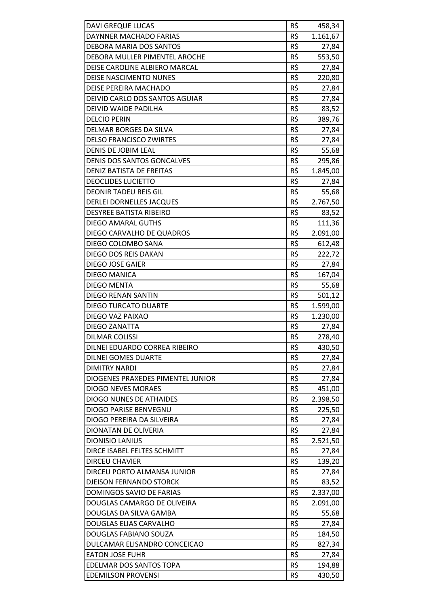| <b>DAVI GREQUE LUCAS</b>                               | R\$ | 458,34           |
|--------------------------------------------------------|-----|------------------|
| DAYNNER MACHADO FARIAS                                 | R\$ | 1.161,67         |
| DEBORA MARIA DOS SANTOS                                | R\$ | 27,84            |
| DEBORA MULLER PIMENTEL AROCHE                          | R\$ | 553,50           |
| DEISE CAROLINE ALBIERO MARCAL                          | R\$ | 27,84            |
| DEISE NASCIMENTO NUNES                                 | R\$ | 220,80           |
| DEISE PEREIRA MACHADO                                  | R\$ | 27,84            |
| DEIVID CARLO DOS SANTOS AGUIAR                         | R\$ |                  |
|                                                        | R\$ | 27,84<br>83,52   |
| DEIVID WAIDE PADILHA                                   |     |                  |
| <b>DELCIO PERIN</b>                                    | R\$ | 389,76           |
| DELMAR BORGES DA SILVA                                 | R\$ | 27,84            |
| <b>DELSO FRANCISCO ZWIRTES</b>                         | R\$ | 27,84            |
| DENIS DE JOBIM LEAL                                    | R\$ | 55,68            |
| DENIS DOS SANTOS GONCALVES                             | R\$ | 295,86           |
| DENIZ BATISTA DE FREITAS                               | R\$ | 1.845,00         |
| <b>DEOCLIDES LUCIETTO</b>                              | R\$ | 27,84            |
| <b>DEONIR TADEU REIS GIL</b>                           | R\$ | 55,68            |
| <b>DERLEI DORNELLES JACQUES</b>                        | R\$ | 2.767,50         |
| <b>DESYREE BATISTA RIBEIRO</b>                         | R\$ | 83,52            |
| DIEGO AMARAL GUTHS                                     | R\$ | 111,36           |
| DIEGO CARVALHO DE QUADROS                              | R\$ | 2.091,00         |
| DIEGO COLOMBO SANA                                     | R\$ | 612,48           |
| DIEGO DOS REIS DAKAN                                   | R\$ | 222,72           |
| DIEGO JOSE GAIER                                       | R\$ | 27,84            |
| <b>DIEGO MANICA</b>                                    | R\$ | 167,04           |
| <b>DIEGO MENTA</b>                                     | R\$ | 55,68            |
| <b>DIEGO RENAN SANTIN</b>                              | R\$ | 501,12           |
| <b>DIEGO TURCATO DUARTE</b>                            | R\$ | 1.599,00         |
| DIEGO VAZ PAIXAO                                       | R\$ | 1.230,00         |
| DIEGO ZANATTA                                          | R\$ | 27,84            |
| <b>DILMAR COLISSI</b>                                  | R\$ | 278,40           |
| DILNEI EDUARDO CORREA RIBEIRO                          | R\$ | 430,50           |
| <b>DILNEI GOMES DUARTE</b>                             | R\$ | 27,84            |
| <b>DIMITRY NARDI</b>                                   | R\$ | 27,84            |
| DIOGENES PRAXEDES PIMENTEL JUNIOR                      | R\$ | 27,84            |
| <b>DIOGO NEVES MORAES</b>                              | R\$ | 451,00           |
| <b>DIOGO NUNES DE ATHAIDES</b>                         | R\$ | 2.398,50         |
| DIOGO PARISE BENVEGNU                                  | R\$ | 225,50           |
| DIOGO PEREIRA DA SILVEIRA                              | R\$ | 27,84            |
| DIONATAN DE OLIVERIA                                   | R\$ | 27,84            |
| <b>DIONISIO LANIUS</b>                                 | R\$ | 2.521,50         |
| DIRCE ISABEL FELTES SCHMITT                            | R\$ | 27,84            |
| <b>DIRCEU CHAVIER</b>                                  | R\$ | 139,20           |
| DIRCEU PORTO ALMANSA JUNIOR                            | R\$ | 27,84            |
| DJEISON FERNANDO STORCK                                | R\$ | 83,52            |
| DOMINGOS SAVIO DE FARIAS                               | R\$ | 2.337,00         |
| DOUGLAS CAMARGO DE OLIVEIRA                            | R\$ | 2.091,00         |
| DOUGLAS DA SILVA GAMBA                                 | R\$ | 55,68            |
| DOUGLAS ELIAS CARVALHO                                 | R\$ | 27,84            |
| DOUGLAS FABIANO SOUZA                                  | R\$ |                  |
|                                                        | R\$ | 184,50<br>827,34 |
| DULCAMAR ELISANDRO CONCEICAO<br><b>EATON JOSE FUHR</b> | R\$ |                  |
|                                                        |     | 27,84            |
| EDELMAR DOS SANTOS TOPA                                | R\$ | 194,88           |
| <b>EDEMILSON PROVENSI</b>                              | R\$ | 430,50           |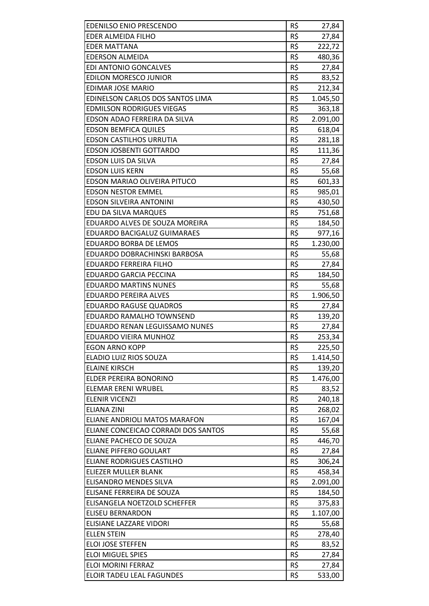| EDENILSO ENIO PRESCENDO             | R\$ | 27,84    |
|-------------------------------------|-----|----------|
| EDER ALMEIDA FILHO                  | R\$ | 27,84    |
| <b>EDER MATTANA</b>                 | R\$ | 222,72   |
| <b>EDERSON ALMEIDA</b>              | R\$ | 480,36   |
| <b>EDI ANTONIO GONCALVES</b>        | R\$ | 27,84    |
| <b>EDILON MORESCO JUNIOR</b>        | R\$ | 83,52    |
| EDIMAR JOSE MARIO                   | R\$ | 212,34   |
| EDINELSON CARLOS DOS SANTOS LIMA    | R\$ | 1.045,50 |
| <b>EDMILSON RODRIGUES VIEGAS</b>    | R\$ | 363,18   |
| EDSON ADAO FERREIRA DA SILVA        | R\$ | 2.091,00 |
| <b>EDSON BEMFICA QUILES</b>         | R\$ | 618,04   |
| <b>EDSON CASTILHOS URRUTIA</b>      | R\$ | 281,18   |
| <b>EDSON JOSBENTI GOTTARDO</b>      | R\$ |          |
|                                     | R\$ | 111,36   |
| EDSON LUIS DA SILVA                 |     | 27,84    |
| <b>EDSON LUIS KERN</b>              | R\$ | 55,68    |
| EDSON MARIAO OLIVEIRA PITUCO        | R\$ | 601,33   |
| <b>EDSON NESTOR EMMEL</b>           | R\$ | 985,01   |
| <b>EDSON SILVEIRA ANTONINI</b>      | R\$ | 430,50   |
| EDU DA SILVA MARQUES                | R\$ | 751,68   |
| EDUARDO ALVES DE SOUZA MOREIRA      | R\$ | 184,50   |
| EDUARDO BACIGALUZ GUIMARAES         | R\$ | 977,16   |
| EDUARDO BORBA DE LEMOS              | R\$ | 1.230,00 |
| EDUARDO DOBRACHINSKI BARBOSA        | R\$ | 55,68    |
| <b>EDUARDO FERREIRA FILHO</b>       | R\$ | 27,84    |
| <b>EDUARDO GARCIA PECCINA</b>       | R\$ | 184,50   |
| <b>EDUARDO MARTINS NUNES</b>        | R\$ | 55,68    |
| <b>EDUARDO PEREIRA ALVES</b>        | R\$ | 1.906,50 |
| <b>EDUARDO RAGUSE QUADROS</b>       | R\$ | 27,84    |
| EDUARDO RAMALHO TOWNSEND            | R\$ | 139,20   |
| EDUARDO RENAN LEGUISSAMO NUNES      | R\$ | 27,84    |
| <b>EDUARDO VIEIRA MUNHOZ</b>        | R\$ | 253,34   |
| <b>EGON ARNO KOPP</b>               | R\$ | 225,50   |
| ELADIO LUIZ RIOS SOUZA              | R\$ | 1.414,50 |
| <b>ELAINE KIRSCH</b>                | R\$ | 139,20   |
| ELDER PEREIRA BONORINO              | R\$ | 1.476,00 |
| <b>ELEMAR ERENI WRUBEL</b>          | R\$ | 83,52    |
| <b>ELENIR VICENZI</b>               | R\$ | 240,18   |
| <b>ELIANA ZINI</b>                  | R\$ | 268,02   |
| ELIANE ANDRIOLI MATOS MARAFON       | R\$ | 167,04   |
| ELIANE CONCEICAO CORRADI DOS SANTOS | R\$ | 55,68    |
| ELIANE PACHECO DE SOUZA             | R\$ | 446,70   |
| <b>ELIANE PIFFERO GOULART</b>       | R\$ | 27,84    |
| ELIANE RODRIGUES CASTILHO           | R\$ | 306,24   |
| ELIEZER MULLER BLANK                | R\$ | 458,34   |
| ELISANDRO MENDES SILVA              | R\$ | 2.091,00 |
| ELISANE FERREIRA DE SOUZA           | R\$ | 184,50   |
| ELISANGELA NOETZOLD SCHEFFER        | R\$ | 375,83   |
| <b>ELISEU BERNARDON</b>             | R\$ | 1.107,00 |
| ELISIANE LAZZARE VIDORI             | R\$ | 55,68    |
| <b>ELLEN STEIN</b>                  | R\$ | 278,40   |
| <b>ELOI JOSE STEFFEN</b>            | R\$ | 83,52    |
| <b>ELOI MIGUEL SPIES</b>            | R\$ | 27,84    |
| ELOI MORINI FERRAZ                  | R\$ | 27,84    |
| ELOIR TADEU LEAL FAGUNDES           | R\$ | 533,00   |
|                                     |     |          |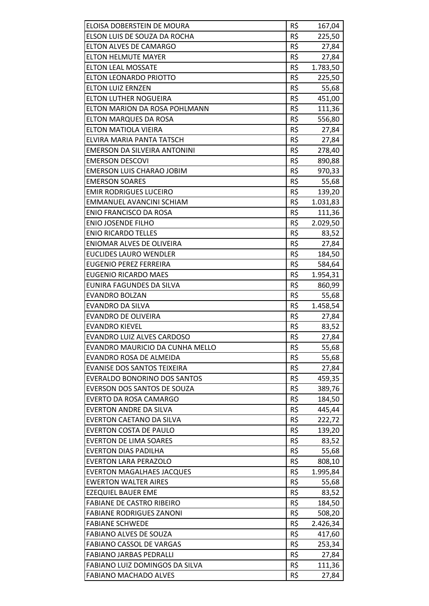| ELOISA DOBERSTEIN DE MOURA        | R\$ | 167,04   |
|-----------------------------------|-----|----------|
| ELSON LUIS DE SOUZA DA ROCHA      | R\$ | 225,50   |
| <b>ELTON ALVES DE CAMARGO</b>     | R\$ | 27,84    |
| <b>ELTON HELMUTE MAYER</b>        | R\$ | 27,84    |
| <b>ELTON LEAL MOSSATE</b>         | R\$ | 1.783,50 |
| ELTON LEONARDO PRIOTTO            | R\$ | 225,50   |
| <b>ELTON LUIZ ERNZEN</b>          | R\$ | 55,68    |
| ELTON LUTHER NOGUEIRA             | R\$ | 451,00   |
| ELTON MARION DA ROSA POHLMANN     | R\$ | 111,36   |
| <b>ELTON MARQUES DA ROSA</b>      | R\$ | 556,80   |
| ELTON MATIOLA VIEIRA              | R\$ | 27,84    |
| ELVIRA MARIA PANTA TATSCH         | R\$ | 27,84    |
| EMERSON DA SILVEIRA ANTONINI      | R\$ | 278,40   |
| <b>EMERSON DESCOVI</b>            | R\$ | 890,88   |
| <b>EMERSON LUIS CHARAO JOBIM</b>  | R\$ | 970,33   |
| <b>EMERSON SOARES</b>             | R\$ | 55,68    |
|                                   | R\$ |          |
| <b>EMIR RODRIGUES LUCEIRO</b>     |     | 139,20   |
| <b>EMMANUEL AVANCINI SCHIAM</b>   | R\$ | 1.031,83 |
| <b>ENIO FRANCISCO DA ROSA</b>     | R\$ | 111,36   |
| <b>ENIO JOSENDE FILHO</b>         | R\$ | 2.029,50 |
| <b>ENIO RICARDO TELLES</b>        | R\$ | 83,52    |
| ENIOMAR ALVES DE OLIVEIRA         | R\$ | 27,84    |
| <b>EUCLIDES LAURO WENDLER</b>     | R\$ | 184,50   |
| <b>EUGENIO PEREZ FERREIRA</b>     | R\$ | 584,64   |
| <b>EUGENIO RICARDO MAES</b>       | R\$ | 1.954,31 |
| EUNIRA FAGUNDES DA SILVA          | R\$ | 860,99   |
| <b>EVANDRO BOLZAN</b>             | R\$ | 55,68    |
| EVANDRO DA SILVA                  | R\$ | 1.458,54 |
| <b>EVANDRO DE OLIVEIRA</b>        | R\$ | 27,84    |
| <b>EVANDRO KIEVEL</b>             | R\$ | 83,52    |
| <b>EVANDRO LUIZ ALVES CARDOSO</b> | R\$ | 27,84    |
| EVANDRO MAURICIO DA CUNHA MELLO   | R\$ | 55,68    |
| EVANDRO ROSA DE ALMEIDA           | R\$ | 55,68    |
| EVANISE DOS SANTOS TEIXEIRA       | R\$ | 27,84    |
| EVERALDO BONORINO DOS SANTOS      | R\$ | 459,35   |
| EVERSON DOS SANTOS DE SOUZA       | R\$ | 389,76   |
| EVERTO DA ROSA CAMARGO            | R\$ | 184,50   |
| <b>EVERTON ANDRE DA SILVA</b>     | R\$ | 445,44   |
| <b>EVERTON CAETANO DA SILVA</b>   | R\$ | 222,72   |
| <b>EVERTON COSTA DE PAULO</b>     | R\$ | 139,20   |
| <b>EVERTON DE LIMA SOARES</b>     | R\$ | 83,52    |
| <b>EVERTON DIAS PADILHA</b>       | R\$ | 55,68    |
| <b>EVERTON LARA PERAZOLO</b>      | R\$ | 808,10   |
| <b>EVERTON MAGALHAES JACQUES</b>  | R\$ | 1.995,84 |
| <b>EWERTON WALTER AIRES</b>       | R\$ | 55,68    |
| <b>EZEQUIEL BAUER EME</b>         | R\$ | 83,52    |
| <b>FABIANE DE CASTRO RIBEIRO</b>  | R\$ | 184,50   |
| <b>FABIANE RODRIGUES ZANONI</b>   | R\$ | 508,20   |
| <b>FABIANE SCHWEDE</b>            | R\$ | 2.426,34 |
| FABIANO ALVES DE SOUZA            | R\$ | 417,60   |
| <b>FABIANO CASSOL DE VARGAS</b>   | R\$ | 253,34   |
| <b>FABIANO JARBAS PEDRALLI</b>    | R\$ | 27,84    |
| FABIANO LUIZ DOMINGOS DA SILVA    | R\$ | 111,36   |
| <b>FABIANO MACHADO ALVES</b>      | R\$ | 27,84    |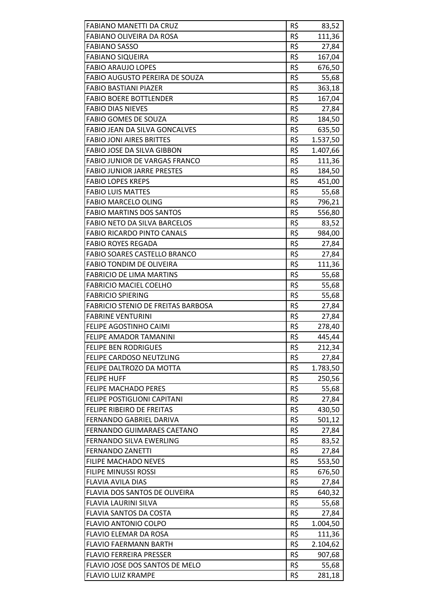| <b>FABIANO MANETTI DA CRUZ</b>            | R\$ | 83,52    |
|-------------------------------------------|-----|----------|
| <b>FABIANO OLIVEIRA DA ROSA</b>           | R\$ | 111,36   |
| <b>FABIANO SASSO</b>                      | R\$ | 27,84    |
| <b>FABIANO SIQUEIRA</b>                   | R\$ | 167,04   |
| <b>FABIO ARAUJO LOPES</b>                 | R\$ | 676,50   |
| FABIO AUGUSTO PEREIRA DE SOUZA            | R\$ | 55,68    |
| <b>FABIO BASTIANI PIAZER</b>              | R\$ | 363,18   |
| <b>FABIO BOERE BOTTLENDER</b>             | R\$ | 167,04   |
| <b>FABIO DIAS NIEVES</b>                  | R\$ | 27,84    |
| <b>FABIO GOMES DE SOUZA</b>               | R\$ | 184,50   |
| FABIO JEAN DA SILVA GONCALVES             | R\$ | 635,50   |
| <b>FABIO JONI AIRES BRITTES</b>           | R\$ | 1.537,50 |
| FABIO JOSE DA SILVA GIBBON                | R\$ | 1.407,66 |
| <b>FABIO JUNIOR DE VARGAS FRANCO</b>      | R\$ | 111,36   |
| <b>FABIO JUNIOR JARRE PRESTES</b>         | R\$ | 184,50   |
| <b>FABIO LOPES KREPS</b>                  | R\$ | 451,00   |
| <b>FABIO LUIS MATTES</b>                  | R\$ | 55,68    |
| <b>FABIO MARCELO OLING</b>                | R\$ | 796,21   |
| <b>FABIO MARTINS DOS SANTOS</b>           | R\$ | 556,80   |
| <b>FABIO NETO DA SILVA BARCELOS</b>       | R\$ | 83,52    |
| <b>FABIO RICARDO PINTO CANALS</b>         | R\$ | 984,00   |
| <b>FABIO ROYES REGADA</b>                 | R\$ | 27,84    |
| <b>FABIO SOARES CASTELLO BRANCO</b>       | R\$ | 27,84    |
| <b>FABIO TONDIM DE OLIVEIRA</b>           | R\$ | 111,36   |
| <b>FABRICIO DE LIMA MARTINS</b>           | R\$ | 55,68    |
| <b>FABRICIO MACIEL COELHO</b>             | R\$ | 55,68    |
| <b>FABRICIO SPIERING</b>                  | R\$ | 55,68    |
| <b>FABRICIO STENIO DE FREITAS BARBOSA</b> | R\$ | 27,84    |
| <b>FABRINE VENTURINI</b>                  | R\$ | 27,84    |
| FELIPE AGOSTINHO CAIMI                    | R\$ | 278,40   |
| <b>FELIPE AMADOR TAMANINI</b>             | R\$ | 445,44   |
| <b>FELIPE BEN RODRIGUES</b>               | R\$ | 212,34   |
| FELIPE CARDOSO NEUTZLING                  | R\$ | 27,84    |
| FELIPE DALTROZO DA MOTTA                  | R\$ | 1.783,50 |
| <b>FELIPE HUFF</b>                        | R\$ | 250,56   |
| FELIPE MACHADO PERES                      | R\$ | 55,68    |
| FELIPE POSTIGLIONI CAPITANI               | R\$ | 27,84    |
| FELIPE RIBEIRO DE FREITAS                 | R\$ | 430,50   |
| FERNANDO GABRIEL DARIVA                   | R\$ | 501,12   |
| FERNANDO GUIMARAES CAETANO                | R\$ | 27,84    |
| <b>FERNANDO SILVA EWERLING</b>            | R\$ | 83,52    |
| <b>FERNANDO ZANETTI</b>                   | R\$ | 27,84    |
| <b>FILIPE MACHADO NEVES</b>               | R\$ | 553,50   |
| <b>FILIPE MINUSSI ROSSI</b>               | R\$ | 676,50   |
| <b>FLAVIA AVILA DIAS</b>                  | R\$ | 27,84    |
| FLAVIA DOS SANTOS DE OLIVEIRA             | R\$ | 640,32   |
| FLAVIA LAURINI SILVA                      | R\$ | 55,68    |
| FLAVIA SANTOS DA COSTA                    | R\$ | 27,84    |
| <b>FLAVIO ANTONIO COLPO</b>               | R\$ | 1.004,50 |
| <b>FLAVIO ELEMAR DA ROSA</b>              | R\$ |          |
| <b>FLAVIO FAERMANN BARTH</b>              | R\$ | 111,36   |
| <b>FLAVIO FERREIRA PRESSER</b>            | R\$ | 2.104,62 |
|                                           |     | 907,68   |
| FLAVIO JOSE DOS SANTOS DE MELO            | R\$ | 55,68    |
| <b>FLAVIO LUIZ KRAMPE</b>                 | R\$ | 281,18   |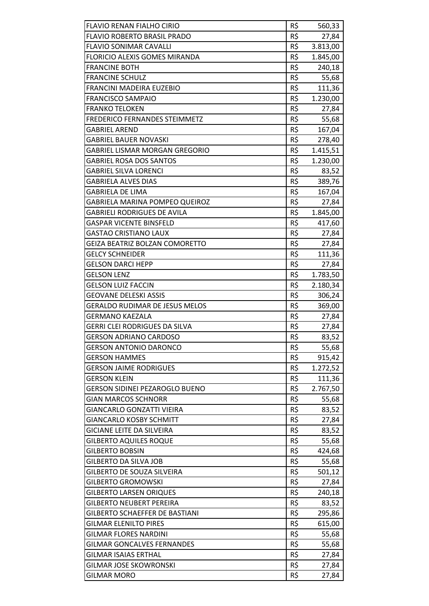| FLAVIO RENAN FIALHO CIRIO             | R\$ | 560,33   |
|---------------------------------------|-----|----------|
| <b>FLAVIO ROBERTO BRASIL PRADO</b>    | R\$ | 27,84    |
| <b>FLAVIO SONIMAR CAVALLI</b>         | R\$ | 3.813,00 |
| FLORICIO ALEXIS GOMES MIRANDA         | R\$ | 1.845,00 |
| <b>FRANCINE BOTH</b>                  | R\$ | 240,18   |
| <b>FRANCINE SCHULZ</b>                | R\$ | 55,68    |
| FRANCINI MADEIRA EUZEBIO              | R\$ | 111,36   |
| <b>FRANCISCO SAMPAIO</b>              | R\$ | 1.230,00 |
| <b>FRANKO TELOKEN</b>                 | R\$ | 27,84    |
| FREDERICO FERNANDES STEIMMETZ         | R\$ | 55,68    |
| <b>GABRIEL AREND</b>                  | R\$ | 167,04   |
| <b>GABRIEL BAUER NOVASKI</b>          | R\$ | 278,40   |
| GABRIEL LISMAR MORGAN GREGORIO        | R\$ | 1.415,51 |
| <b>GABRIEL ROSA DOS SANTOS</b>        | R\$ | 1.230,00 |
| <b>GABRIEL SILVA LORENCI</b>          | R\$ | 83,52    |
| <b>GABRIELA ALVES DIAS</b>            | R\$ | 389,76   |
| GABRIELA DE LIMA                      | R\$ | 167,04   |
| GABRIELA MARINA POMPEO QUEIROZ        | R\$ | 27,84    |
| <b>GABRIELI RODRIGUES DE AVILA</b>    | R\$ | 1.845,00 |
| <b>GASPAR VICENTE BINSFELD</b>        | R\$ | 417,60   |
| <b>GASTAO CRISTIANO LAUX</b>          | R\$ | 27,84    |
| <b>GEIZA BEATRIZ BOLZAN COMORETTO</b> | R\$ | 27,84    |
| <b>GELCY SCHNEIDER</b>                | R\$ | 111,36   |
| <b>GELSON DARCI HEPP</b>              | R\$ | 27,84    |
| <b>GELSON LENZ</b>                    | R\$ | 1.783,50 |
| <b>GELSON LUIZ FACCIN</b>             | R\$ | 2.180,34 |
| <b>GEOVANE DELESKI ASSIS</b>          | R\$ | 306,24   |
| <b>GERALDO RUDIMAR DE JESUS MELOS</b> | R\$ | 369,00   |
| <b>GERMANO KAEZALA</b>                | R\$ | 27,84    |
| GERRI CLEI RODRIGUES DA SILVA         | R\$ | 27,84    |
| <b>GERSON ADRIANO CARDOSO</b>         | R\$ | 83,52    |
| <b>GERSON ANTONIO DARONCO</b>         | R\$ | 55,68    |
| <b>GERSON HAMMES</b>                  | R\$ | 915,42   |
| <b>GERSON JAIME RODRIGUES</b>         | R\$ | 1.272,52 |
| <b>GERSON KLEIN</b>                   | R\$ | 111,36   |
| <b>GERSON SIDINEI PEZAROGLO BUENO</b> | R\$ | 2.767,50 |
| <b>GIAN MARCOS SCHNORR</b>            | R\$ | 55,68    |
| <b>GIANCARLO GONZATTI VIEIRA</b>      | R\$ | 83,52    |
| <b>GIANCARLO KOSBY SCHMITT</b>        | R\$ | 27,84    |
| <b>GICIANE LEITE DA SILVEIRA</b>      | R\$ | 83,52    |
| <b>GILBERTO AQUILES ROQUE</b>         | R\$ | 55,68    |
| <b>GILBERTO BOBSIN</b>                | R\$ | 424,68   |
| <b>GILBERTO DA SILVA JOB</b>          | R\$ | 55,68    |
| <b>GILBERTO DE SOUZA SILVEIRA</b>     | R\$ | 501,12   |
| <b>GILBERTO GROMOWSKI</b>             | R\$ | 27,84    |
| <b>GILBERTO LARSEN ORIQUES</b>        | R\$ | 240,18   |
| <b>GILBERTO NEUBERT PEREIRA</b>       | R\$ | 83,52    |
| <b>GILBERTO SCHAEFFER DE BASTIANI</b> | R\$ | 295,86   |
| <b>GILMAR ELENILTO PIRES</b>          | R\$ | 615,00   |
| <b>GILMAR FLORES NARDINI</b>          | R\$ | 55,68    |
| <b>GILMAR GONCALVES FERNANDES</b>     | R\$ | 55,68    |
| <b>GILMAR ISAIAS ERTHAL</b>           | R\$ | 27,84    |
| <b>GILMAR JOSE SKOWRONSKI</b>         | R\$ | 27,84    |
| <b>GILMAR MORO</b>                    | R\$ | 27,84    |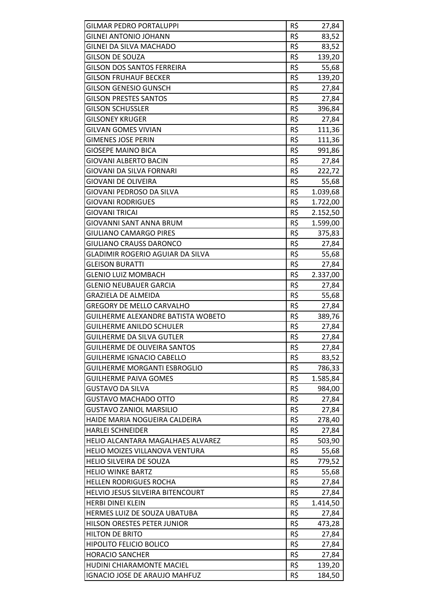| <b>GILMAR PEDRO PORTALUPPI</b>          | R\$ | 27,84    |
|-----------------------------------------|-----|----------|
| <b>GILNEI ANTONIO JOHANN</b>            | R\$ | 83,52    |
| GILNEI DA SILVA MACHADO                 | R\$ | 83,52    |
| <b>GILSON DE SOUZA</b>                  | R\$ | 139,20   |
| <b>GILSON DOS SANTOS FERREIRA</b>       | R\$ | 55,68    |
| <b>GILSON FRUHAUF BECKER</b>            | R\$ | 139,20   |
| <b>GILSON GENESIO GUNSCH</b>            | R\$ | 27,84    |
| <b>GILSON PRESTES SANTOS</b>            | R\$ | 27,84    |
| <b>GILSON SCHUSSLER</b>                 | R\$ | 396,84   |
| <b>GILSONEY KRUGER</b>                  | R\$ | 27,84    |
| <b>GILVAN GOMES VIVIAN</b>              | R\$ | 111,36   |
| <b>GIMENES JOSE PERIN</b>               | R\$ | 111,36   |
| <b>GIOSEPE MAINO BICA</b>               | R\$ | 991,86   |
| <b>GIOVANI ALBERTO BACIN</b>            | R\$ | 27,84    |
| GIOVANI DA SILVA FORNARI                | R\$ | 222,72   |
| <b>GIOVANI DE OLIVEIRA</b>              | R\$ | 55,68    |
| GIOVANI PEDROSO DA SILVA                | R\$ | 1.039,68 |
| <b>GIOVANI RODRIGUES</b>                | R\$ | 1.722,00 |
| GIOVANI TRICAI                          | R\$ | 2.152,50 |
| GIOVANNI SANT ANNA BRUM                 | R\$ | 1.599,00 |
| <b>GIULIANO CAMARGO PIRES</b>           | R\$ | 375,83   |
| <b>GIULIANO CRAUSS DARONCO</b>          | R\$ | 27,84    |
| <b>GLADIMIR ROGERIO AGUIAR DA SILVA</b> | R\$ | 55,68    |
| <b>GLEISON BURATTI</b>                  | R\$ | 27,84    |
| <b>GLENIO LUIZ MOMBACH</b>              | R\$ | 2.337,00 |
| <b>GLENIO NEUBAUER GARCIA</b>           | R\$ | 27,84    |
| GRAZIELA DE ALMEIDA                     | R\$ | 55,68    |
| <b>GREGORY DE MELLO CARVALHO</b>        | R\$ | 27,84    |
| GUILHERME ALEXANDRE BATISTA WOBETO      | R\$ | 389,76   |
| <b>GUILHERME ANILDO SCHULER</b>         | R\$ | 27,84    |
| <b>GUILHERME DA SILVA GUTLER</b>        | R\$ | 27,84    |
| <b>GUILHERME DE OLIVEIRA SANTOS</b>     | R\$ | 27,84    |
| <b>GUILHERME IGNACIO CABELLO</b>        | R\$ | 83,52    |
| <b>GUILHERME MORGANTI ESBROGLIO</b>     | R\$ | 786,33   |
| <b>GUILHERME PAIVA GOMES</b>            | R\$ | 1.585,84 |
| <b>GUSTAVO DA SILVA</b>                 | R\$ | 984,00   |
| GUSTAVO MACHADO OTTO                    | R\$ | 27,84    |
| <b>GUSTAVO ZANIOL MARSILIO</b>          | R\$ | 27,84    |
| HAIDE MARIA NOGUEIRA CALDEIRA           | R\$ | 278,40   |
| <b>HARLEI SCHNEIDER</b>                 | R\$ | 27,84    |
| HELIO ALCANTARA MAGALHAES ALVAREZ       | R\$ | 503,90   |
| HELIO MOIZES VILLANOVA VENTURA          | R\$ | 55,68    |
| <b>HELIO SILVEIRA DE SOUZA</b>          | R\$ | 779,52   |
| <b>HELIO WINKE BARTZ</b>                | R\$ | 55,68    |
| <b>HELLEN RODRIGUES ROCHA</b>           | R\$ | 27,84    |
| HELVIO JESUS SILVEIRA BITENCOURT        | R\$ | 27,84    |
| <b>HERBI DINEI KLEIN</b>                | R\$ | 1.414,50 |
| HERMES LUIZ DE SOUZA UBATUBA            | R\$ | 27,84    |
| HILSON ORESTES PETER JUNIOR             | R\$ | 473,28   |
| <b>HILTON DE BRITO</b>                  | R\$ | 27,84    |
| <b>HIPOLITO FELICIO BOLICO</b>          | R\$ | 27,84    |
| <b>HORACIO SANCHER</b>                  | R\$ | 27,84    |
| HUDINI CHIARAMONTE MACIEL               | R\$ | 139,20   |
| IGNACIO JOSE DE ARAUJO MAHFUZ           | R\$ | 184,50   |
|                                         |     |          |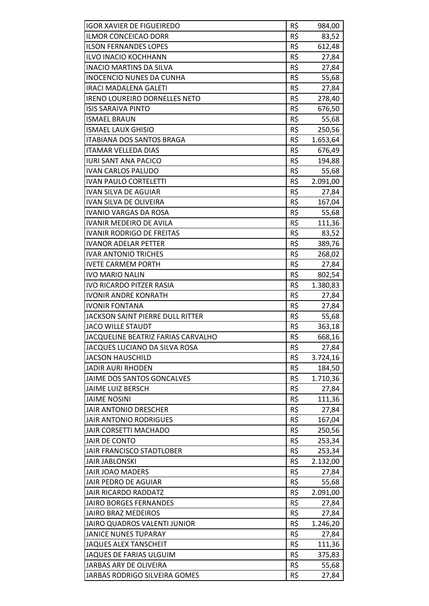| <b>IGOR XAVIER DE FIGUEIREDO</b>     | R\$ | 984,00           |
|--------------------------------------|-----|------------------|
| <b>ILMOR CONCEICAO DORR</b>          | R\$ | 83,52            |
| <b>ILSON FERNANDES LOPES</b>         | R\$ | 612,48           |
| <b>ILVO INACIO KOCHHANN</b>          | R\$ | 27,84            |
| <b>INACIO MARTINS DA SILVA</b>       | R\$ | 27,84            |
| <b>INOCENCIO NUNES DA CUNHA</b>      | R\$ | 55,68            |
| <b>IRACI MADALENA GALETI</b>         | R\$ | 27,84            |
| IRENO LOUREIRO DORNELLES NETO        | R\$ |                  |
| <b>ISIS SARAIVA PINTO</b>            | R\$ | 278,40<br>676,50 |
|                                      | R\$ |                  |
| <b>ISMAEL BRAUN</b>                  |     | 55,68            |
| <b>ISMAEL LAUX GHISIO</b>            | R\$ | 250,56           |
| <b>ITABIANA DOS SANTOS BRAGA</b>     | R\$ | 1.653,64         |
| <b>ITAMAR VELLEDA DIAS</b>           | R\$ | 676,49           |
| <b>IURI SANT ANA PACICO</b>          | R\$ | 194,88           |
| <b>IVAN CARLOS PALUDO</b>            | R\$ | 55,68            |
| <b>IVAN PAULO CORTELETTI</b>         | R\$ | 2.091,00         |
| IVAN SILVA DE AGUIAR                 | R\$ | 27,84            |
| IVAN SILVA DE OLIVEIRA               | R\$ | 167,04           |
| <b>IVANIO VARGAS DA ROSA</b>         | R\$ | 55,68            |
| <b>IVANIR MEDEIRO DE AVILA</b>       | R\$ | 111,36           |
| <b>IVANIR RODRIGO DE FREITAS</b>     | R\$ | 83,52            |
| <b>IVANOR ADELAR PETTER</b>          | R\$ | 389,76           |
| <b>IVAR ANTONIO TRICHES</b>          | R\$ | 268,02           |
| <b>IVETE CARMEM PORTH</b>            | R\$ | 27,84            |
| <b>IVO MARIO NALIN</b>               | R\$ | 802,54           |
| <b>IVO RICARDO PITZER RASIA</b>      | R\$ | 1.380,83         |
| <b>IVONIR ANDRE KONRATH</b>          | R\$ | 27,84            |
| <b>IVONIR FONTANA</b>                | R\$ | 27,84            |
| JACKSON SAINT PIERRE DULL RITTER     | R\$ | 55,68            |
| <b>JACO WILLE STAUDT</b>             | R\$ | 363,18           |
| JACQUELINE BEATRIZ FARIAS CARVALHO   | R\$ | 668,16           |
| JACQUES LUCIANO DA SILVA ROSA        | R\$ | 27,84            |
| <b>JACSON HAUSCHILD</b>              | R\$ | 3.724,16         |
| <b>JADIR AURI RHODEN</b>             | R\$ | 184,50           |
| JAIME DOS SANTOS GONCALVES           | R\$ | 1.710,36         |
| JAIME LUIZ BERSCH                    | R\$ | 27,84            |
| <b>JAIME NOSINI</b>                  | R\$ | 111,36           |
| <b>JAIR ANTONIO DRESCHER</b>         | R\$ | 27,84            |
| <b>JAIR ANTONIO RODRIGUES</b>        | R\$ | 167,04           |
| <b>JAIR CORSETTI MACHADO</b>         | R\$ | 250,56           |
| JAIR DE CONTO                        | R\$ | 253,34           |
| JAIR FRANCISCO STADTLOBER            | R\$ | 253,34           |
| <b>JAIR JABLONSKI</b>                | R\$ | 2.132,00         |
| <b>JAIR JOAO MADERS</b>              | R\$ | 27,84            |
| JAIR PEDRO DE AGUIAR                 | R\$ | 55,68            |
| <b>JAIR RICARDO RADDATZ</b>          | R\$ | 2.091,00         |
| <b>JAIRO BORGES FERNANDES</b>        | R\$ | 27,84            |
| <b>JAIRO BRAZ MEDEIROS</b>           | R\$ | 27,84            |
| JAIRO QUADROS VALENTI JUNIOR         | R\$ | 1.246,20         |
| <b>JANICE NUNES TUPARAY</b>          | R\$ | 27,84            |
| <b>JAQUES ALEX TANSCHEIT</b>         | R\$ | 111,36           |
| JAQUES DE FARIAS ULGUIM              | R\$ | 375,83           |
| JARBAS ARY DE OLIVEIRA               | R\$ | 55,68            |
| <b>JARBAS RODRIGO SILVEIRA GOMES</b> | R\$ | 27,84            |
|                                      |     |                  |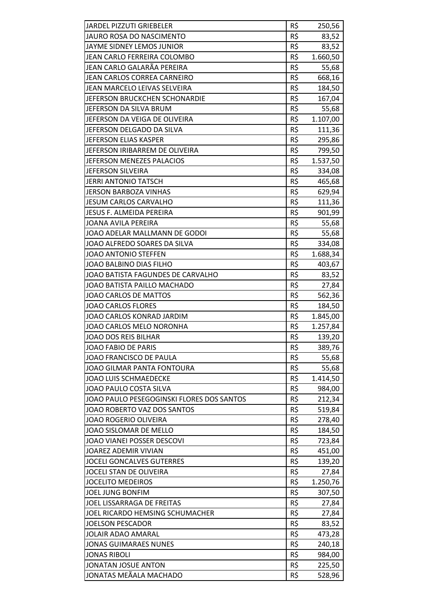| JARDEL PIZZUTI GRIEBELER                  | R\$ | 250,56   |
|-------------------------------------------|-----|----------|
| JAURO ROSA DO NASCIMENTO                  | R\$ | 83,52    |
| JAYME SIDNEY LEMOS JUNIOR                 | R\$ | 83,52    |
| JEAN CARLO FERREIRA COLOMBO               | R\$ | 1.660,50 |
| JEAN CARLO GALARÃA PEREIRA                | R\$ | 55,68    |
| JEAN CARLOS CORREA CARNEIRO               | R\$ | 668,16   |
| JEAN MARCELO LEIVAS SELVEIRA              | R\$ | 184,50   |
| JEFERSON BRUCKCHEN SCHONARDIE             | R\$ | 167,04   |
| JEFERSON DA SILVA BRUM                    | R\$ | 55,68    |
| JEFERSON DA VEIGA DE OLIVEIRA             | R\$ | 1.107,00 |
| JEFERSON DELGADO DA SILVA                 | R\$ | 111,36   |
| JEFERSON ELIAS KASPER                     | R\$ | 295,86   |
| JEFERSON IRIBARREM DE OLIVEIRA            | R\$ | 799,50   |
| JEFERSON MENEZES PALACIOS                 | R\$ | 1.537,50 |
| JEFERSON SILVEIRA                         | R\$ | 334,08   |
| <b>JERRI ANTONIO TATSCH</b>               | R\$ | 465,68   |
| <b>JERSON BARBOZA VINHAS</b>              | R\$ | 629,94   |
| <b>JESUM CARLOS CARVALHO</b>              | R\$ | 111,36   |
| <b>JESUS F. ALMEIDA PEREIRA</b>           | R\$ | 901,99   |
| JOANA AVILA PEREIRA                       | R\$ | 55,68    |
| JOAO ADELAR MALLMANN DE GODOI             | R\$ | 55,68    |
| JOAO ALFREDO SOARES DA SILVA              | R\$ | 334,08   |
| JOAO ANTONIO STEFFEN                      | R\$ | 1.688,34 |
| JOAO BALBINO DIAS FILHO                   | R\$ | 403,67   |
| JOAO BATISTA FAGUNDES DE CARVALHO         | R\$ | 83,52    |
| JOAO BATISTA PAILLO MACHADO               | R\$ | 27,84    |
| JOAO CARLOS DE MATTOS                     | R\$ | 562,36   |
| <b>JOAO CARLOS FLORES</b>                 | R\$ | 184,50   |
| JOAO CARLOS KONRAD JARDIM                 | R\$ | 1.845,00 |
| JOAO CARLOS MELO NORONHA                  | R\$ | 1.257,84 |
| JOAO DOS REIS BILHAR                      | R\$ | 139,20   |
| <b>JOAO FABIO DE PARIS</b>                | R\$ | 389,76   |
| JOAO FRANCISCO DE PAULA                   | R\$ | 55,68    |
| JOAO GILMAR PANTA FONTOURA                | R\$ | 55,68    |
| <b>JOAO LUIS SCHMAEDECKE</b>              | R\$ | 1.414,50 |
| JOAO PAULO COSTA SILVA                    | R\$ | 984,00   |
| JOAO PAULO PESEGOGINSKI FLORES DOS SANTOS | R\$ | 212,34   |
| JOAO ROBERTO VAZ DOS SANTOS               | R\$ | 519,84   |
| <b>JOAO ROGERIO OLIVEIRA</b>              | R\$ | 278,40   |
| JOAO SISLOMAR DE MELLO                    | R\$ | 184,50   |
| JOAO VIANEI POSSER DESCOVI                | R\$ | 723,84   |
| JOAREZ ADEMIR VIVIAN                      | R\$ | 451,00   |
| <b>JOCELI GONCALVES GUTERRES</b>          | R\$ | 139,20   |
| JOCELI STAN DE OLIVEIRA                   | R\$ | 27,84    |
| <b>JOCELITO MEDEIROS</b>                  | R\$ | 1.250,76 |
| <b>JOEL JUNG BONFIM</b>                   | R\$ | 307,50   |
| JOEL LISSARRAGA DE FREITAS                | R\$ | 27,84    |
| JOEL RICARDO HEMSING SCHUMACHER           | R\$ | 27,84    |
| <b>JOELSON PESCADOR</b>                   | R\$ | 83,52    |
| <b>JOLAIR ADAO AMARAL</b>                 | R\$ | 473,28   |
| <b>JONAS GUIMARAES NUNES</b>              | R\$ | 240,18   |
| <b>JONAS RIBOLI</b>                       | R\$ | 984,00   |
| <b>JONATAN JOSUE ANTON</b>                | R\$ | 225,50   |
| JONATAS MEÃALA MACHADO                    | R\$ | 528,96   |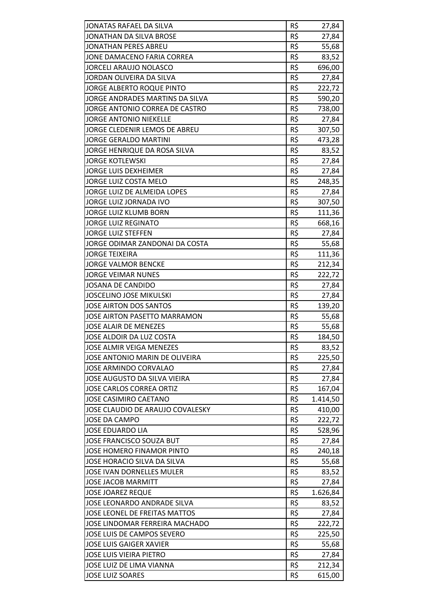| JONATAS RAFAEL DA SILVA             | R\$ | 27,84    |
|-------------------------------------|-----|----------|
| JONATHAN DA SILVA BROSE             | R\$ | 27,84    |
| <b>JONATHAN PERES ABREU</b>         | R\$ | 55,68    |
| JONE DAMACENO FARIA CORREA          | R\$ | 83,52    |
| JORCELI ARAUJO NOLASCO              | R\$ | 696,00   |
| JORDAN OLIVEIRA DA SILVA            | R\$ | 27,84    |
| JORGE ALBERTO ROQUE PINTO           | R\$ | 222,72   |
| JORGE ANDRADES MARTINS DA SILVA     | R\$ | 590,20   |
| JORGE ANTONIO CORREA DE CASTRO      | R\$ | 738,00   |
| <b>JORGE ANTONIO NIEKELLE</b>       | R\$ | 27,84    |
| JORGE CLEDENIR LEMOS DE ABREU       | R\$ | 307,50   |
| <b>JORGE GERALDO MARTINI</b>        | R\$ | 473,28   |
| JORGE HENRIQUE DA ROSA SILVA        | R\$ | 83,52    |
| <b>JORGE KOTLEWSKI</b>              | R\$ | 27,84    |
| <b>JORGE LUIS DEXHEIMER</b>         | R\$ | 27,84    |
| JORGE LUIZ COSTA MELO               | R\$ | 248,35   |
| JORGE LUIZ DE ALMEIDA LOPES         | R\$ | 27,84    |
| JORGE LUIZ JORNADA IVO              | R\$ | 307,50   |
| JORGE LUIZ KLUMB BORN               | R\$ | 111,36   |
| <b>JORGE LUIZ REGINATO</b>          | R\$ | 668,16   |
| <b>JORGE LUIZ STEFFEN</b>           | R\$ | 27,84    |
| JORGE ODIMAR ZANDONAI DA COSTA      | R\$ | 55,68    |
| <b>JORGE TEIXEIRA</b>               | R\$ | 111,36   |
| <b>JORGE VALMOR BENCKE</b>          | R\$ | 212,34   |
| <b>JORGE VEIMAR NUNES</b>           | R\$ | 222,72   |
| <b>JOSANA DE CANDIDO</b>            | R\$ | 27,84    |
| <b>JOSCELINO JOSE MIKULSKI</b>      | R\$ | 27,84    |
| JOSE AIRTON DOS SANTOS              | R\$ | 139,20   |
| <b>JOSE AIRTON PASETTO MARRAMON</b> | R\$ | 55,68    |
| <b>JOSE ALAIR DE MENEZES</b>        | R\$ | 55,68    |
| JOSE ALDOIR DA LUZ COSTA            | R\$ | 184,50   |
| <b>JOSE ALMIR VEIGA MENEZES</b>     | R\$ | 83,52    |
| JOSE ANTONIO MARIN DE OLIVEIRA      | R\$ | 225,50   |
| <b>JOSE ARMINDO CORVALAO</b>        | R\$ | 27,84    |
| JOSE AUGUSTO DA SILVA VIEIRA        | R\$ | 27,84    |
| <b>JOSE CARLOS CORREA ORTIZ</b>     | R\$ | 167,04   |
| <b>JOSE CASIMIRO CAETANO</b>        | R\$ | 1.414,50 |
| JOSE CLAUDIO DE ARAUJO COVALESKY    | R\$ | 410,00   |
| <b>JOSE DA CAMPO</b>                | R\$ | 222,72   |
| <b>JOSE EDUARDO LIA</b>             | R\$ | 528,96   |
| JOSE FRANCISCO SOUZA BUT            | R\$ | 27,84    |
| JOSE HOMERO FINAMOR PINTO           | R\$ | 240,18   |
| JOSE HORACIO SILVA DA SILVA         | R\$ | 55,68    |
| <b>JOSE IVAN DORNELLES MULER</b>    | R\$ | 83,52    |
| JOSE JACOB MARMITT                  | R\$ | 27,84    |
| <b>JOSE JOAREZ REQUE</b>            | R\$ | 1.626,84 |
| JOSE LEONARDO ANDRADE SILVA         | R\$ | 83,52    |
| JOSE LEONEL DE FREITAS MATTOS       | R\$ | 27,84    |
| JOSE LINDOMAR FERREIRA MACHADO      | R\$ | 222,72   |
| JOSE LUIS DE CAMPOS SEVERO          | R\$ | 225,50   |
| <b>JOSE LUIS GAIGER XAVIER</b>      | R\$ | 55,68    |
| JOSE LUIS VIEIRA PIETRO             | R\$ | 27,84    |
| JOSE LUIZ DE LIMA VIANNA            | R\$ | 212,34   |
| <b>JOSE LUIZ SOARES</b>             | R\$ | 615,00   |
|                                     |     |          |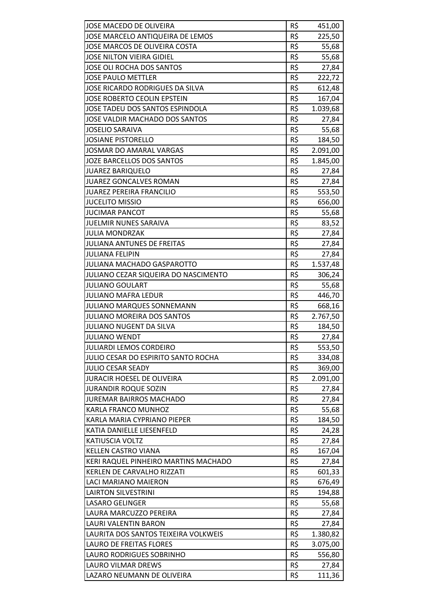| R\$<br>JOSE MARCELO ANTIQUEIRA DE LEMOS<br>225,50<br>JOSE MARCOS DE OLIVEIRA COSTA<br>R\$<br>55,68<br>R\$<br>55,68<br><b>JOSE NILTON VIEIRA GIDIEL</b><br>R\$<br>JOSE OLI ROCHA DOS SANTOS<br>27,84<br>R\$<br><b>JOSE PAULO METTLER</b><br>222,72<br>R\$<br>JOSE RICARDO RODRIGUES DA SILVA<br>612,48<br>R\$<br><b>JOSE ROBERTO CEOLIN EPSTEIN</b><br>167,04<br>R\$<br>JOSE TADEU DOS SANTOS ESPINDOLA<br>1.039,68<br>R\$<br>JOSE VALDIR MACHADO DOS SANTOS<br>27,84<br>R\$<br><b>JOSELIO SARAIVA</b><br>55,68<br>R\$<br><b>JOSIANE PISTORELLO</b><br>184,50<br>R\$<br><b>JOSMAR DO AMARAL VARGAS</b><br>2.091,00<br>R\$<br>JOZE BARCELLOS DOS SANTOS<br>1.845,00<br>R\$<br><b>JUAREZ BARIQUELO</b><br>27,84<br>R\$<br><b>JUAREZ GONCALVES ROMAN</b><br>27,84<br>R\$<br><b>JUAREZ PEREIRA FRANCILIO</b><br>553,50<br>R\$<br><b>JUCELITO MISSIO</b><br>656,00<br>R\$<br>55,68<br><b>JUCIMAR PANCOT</b><br>R\$<br><b>JUELMIR NUNES SARAIVA</b><br>83,52<br>R\$<br><b>JULIA MONDRZAK</b><br>27,84<br>R\$<br><b>JULIANA ANTUNES DE FREITAS</b><br>27,84<br>R\$<br><b>JULIANA FELIPIN</b><br>27,84<br>R\$<br>JULIANA MACHADO GASPAROTTO<br>1.537,48<br>R\$<br>JULIANO CEZAR SIQUEIRA DO NASCIMENTO<br>306,24<br>R\$<br><b>JULIANO GOULART</b><br>55,68<br>R\$<br><b>JULIANO MAFRA LEDUR</b><br>446,70<br>R\$<br>JULIANO MARQUES SONNEMANN<br>668,16<br>R\$<br>JULIANO MOREIRA DOS SANTOS<br>2.767,50<br>R\$<br><b>JULIANO NUGENT DA SILVA</b><br>184,50<br>R\$<br><b>JULIANO WENDT</b><br>27,84<br><b>JULIARDI LEMOS CORDEIRO</b><br>R\$<br>553,50<br>R\$<br>JULIO CESAR DO ESPIRITO SANTO ROCHA<br>334,08<br>R\$<br><b>JULIO CESAR SEADY</b><br>369,00<br>R\$<br><b>JURACIR HOESEL DE OLIVEIRA</b><br>2.091,00<br>R\$<br><b>JURANDIR ROQUE SOZIN</b><br>27,84<br>R\$<br><b>JUREMAR BAIRROS MACHADO</b><br>27,84<br>R\$<br>KARLA FRANCO MUNHOZ<br>55,68<br>R\$<br>KARLA MARIA CYPRIANO PIEPER<br>184,50<br>R\$<br>KATIA DANIELLE LIESENFELD<br>24,28<br>R\$<br>KATIUSCIA VOLTZ<br>27,84<br>R\$<br><b>KELLEN CASTRO VIANA</b><br>167,04<br>R\$<br>KERI RAQUEL PINHEIRO MARTINS MACHADO<br>27,84<br>R\$<br><b>KERLEN DE CARVALHO RIZZATI</b><br>601,33<br>R\$<br>LACI MARIANO MAIERON<br>676,49<br>R\$<br><b>LAIRTON SILVESTRINI</b><br>194,88<br>R\$<br><b>LASARO GELINGER</b><br>55,68<br>R\$<br>LAURA MARCUZZO PEREIRA<br>27,84<br>R\$<br>27,84<br>LAURI VALENTIN BARON<br>R\$<br>LAURITA DOS SANTOS TEIXEIRA VOLKWEIS<br>1.380,82<br>R\$<br><b>LAURO DE FREITAS FLORES</b><br>3.075,00<br>R\$<br>LAURO RODRIGUES SOBRINHO<br>556,80<br>R\$<br>LAURO VILMAR DREWS<br>27,84<br>R\$<br>111,36<br>LAZARO NEUMANN DE OLIVEIRA |                         |     |        |
|-----------------------------------------------------------------------------------------------------------------------------------------------------------------------------------------------------------------------------------------------------------------------------------------------------------------------------------------------------------------------------------------------------------------------------------------------------------------------------------------------------------------------------------------------------------------------------------------------------------------------------------------------------------------------------------------------------------------------------------------------------------------------------------------------------------------------------------------------------------------------------------------------------------------------------------------------------------------------------------------------------------------------------------------------------------------------------------------------------------------------------------------------------------------------------------------------------------------------------------------------------------------------------------------------------------------------------------------------------------------------------------------------------------------------------------------------------------------------------------------------------------------------------------------------------------------------------------------------------------------------------------------------------------------------------------------------------------------------------------------------------------------------------------------------------------------------------------------------------------------------------------------------------------------------------------------------------------------------------------------------------------------------------------------------------------------------------------------------------------------------------------------------------------------------------------------------------------------------------------------------------------------------------------------------------------------------------------------------------------------------------------------------------------------------------------------------------------------------------------------------------------------------------------------------------------------------------------------------------------------------|-------------------------|-----|--------|
|                                                                                                                                                                                                                                                                                                                                                                                                                                                                                                                                                                                                                                                                                                                                                                                                                                                                                                                                                                                                                                                                                                                                                                                                                                                                                                                                                                                                                                                                                                                                                                                                                                                                                                                                                                                                                                                                                                                                                                                                                                                                                                                                                                                                                                                                                                                                                                                                                                                                                                                                                                                                                       | JOSE MACEDO DE OLIVEIRA | R\$ | 451,00 |
|                                                                                                                                                                                                                                                                                                                                                                                                                                                                                                                                                                                                                                                                                                                                                                                                                                                                                                                                                                                                                                                                                                                                                                                                                                                                                                                                                                                                                                                                                                                                                                                                                                                                                                                                                                                                                                                                                                                                                                                                                                                                                                                                                                                                                                                                                                                                                                                                                                                                                                                                                                                                                       |                         |     |        |
|                                                                                                                                                                                                                                                                                                                                                                                                                                                                                                                                                                                                                                                                                                                                                                                                                                                                                                                                                                                                                                                                                                                                                                                                                                                                                                                                                                                                                                                                                                                                                                                                                                                                                                                                                                                                                                                                                                                                                                                                                                                                                                                                                                                                                                                                                                                                                                                                                                                                                                                                                                                                                       |                         |     |        |
|                                                                                                                                                                                                                                                                                                                                                                                                                                                                                                                                                                                                                                                                                                                                                                                                                                                                                                                                                                                                                                                                                                                                                                                                                                                                                                                                                                                                                                                                                                                                                                                                                                                                                                                                                                                                                                                                                                                                                                                                                                                                                                                                                                                                                                                                                                                                                                                                                                                                                                                                                                                                                       |                         |     |        |
|                                                                                                                                                                                                                                                                                                                                                                                                                                                                                                                                                                                                                                                                                                                                                                                                                                                                                                                                                                                                                                                                                                                                                                                                                                                                                                                                                                                                                                                                                                                                                                                                                                                                                                                                                                                                                                                                                                                                                                                                                                                                                                                                                                                                                                                                                                                                                                                                                                                                                                                                                                                                                       |                         |     |        |
|                                                                                                                                                                                                                                                                                                                                                                                                                                                                                                                                                                                                                                                                                                                                                                                                                                                                                                                                                                                                                                                                                                                                                                                                                                                                                                                                                                                                                                                                                                                                                                                                                                                                                                                                                                                                                                                                                                                                                                                                                                                                                                                                                                                                                                                                                                                                                                                                                                                                                                                                                                                                                       |                         |     |        |
|                                                                                                                                                                                                                                                                                                                                                                                                                                                                                                                                                                                                                                                                                                                                                                                                                                                                                                                                                                                                                                                                                                                                                                                                                                                                                                                                                                                                                                                                                                                                                                                                                                                                                                                                                                                                                                                                                                                                                                                                                                                                                                                                                                                                                                                                                                                                                                                                                                                                                                                                                                                                                       |                         |     |        |
|                                                                                                                                                                                                                                                                                                                                                                                                                                                                                                                                                                                                                                                                                                                                                                                                                                                                                                                                                                                                                                                                                                                                                                                                                                                                                                                                                                                                                                                                                                                                                                                                                                                                                                                                                                                                                                                                                                                                                                                                                                                                                                                                                                                                                                                                                                                                                                                                                                                                                                                                                                                                                       |                         |     |        |
|                                                                                                                                                                                                                                                                                                                                                                                                                                                                                                                                                                                                                                                                                                                                                                                                                                                                                                                                                                                                                                                                                                                                                                                                                                                                                                                                                                                                                                                                                                                                                                                                                                                                                                                                                                                                                                                                                                                                                                                                                                                                                                                                                                                                                                                                                                                                                                                                                                                                                                                                                                                                                       |                         |     |        |
|                                                                                                                                                                                                                                                                                                                                                                                                                                                                                                                                                                                                                                                                                                                                                                                                                                                                                                                                                                                                                                                                                                                                                                                                                                                                                                                                                                                                                                                                                                                                                                                                                                                                                                                                                                                                                                                                                                                                                                                                                                                                                                                                                                                                                                                                                                                                                                                                                                                                                                                                                                                                                       |                         |     |        |
|                                                                                                                                                                                                                                                                                                                                                                                                                                                                                                                                                                                                                                                                                                                                                                                                                                                                                                                                                                                                                                                                                                                                                                                                                                                                                                                                                                                                                                                                                                                                                                                                                                                                                                                                                                                                                                                                                                                                                                                                                                                                                                                                                                                                                                                                                                                                                                                                                                                                                                                                                                                                                       |                         |     |        |
|                                                                                                                                                                                                                                                                                                                                                                                                                                                                                                                                                                                                                                                                                                                                                                                                                                                                                                                                                                                                                                                                                                                                                                                                                                                                                                                                                                                                                                                                                                                                                                                                                                                                                                                                                                                                                                                                                                                                                                                                                                                                                                                                                                                                                                                                                                                                                                                                                                                                                                                                                                                                                       |                         |     |        |
|                                                                                                                                                                                                                                                                                                                                                                                                                                                                                                                                                                                                                                                                                                                                                                                                                                                                                                                                                                                                                                                                                                                                                                                                                                                                                                                                                                                                                                                                                                                                                                                                                                                                                                                                                                                                                                                                                                                                                                                                                                                                                                                                                                                                                                                                                                                                                                                                                                                                                                                                                                                                                       |                         |     |        |
|                                                                                                                                                                                                                                                                                                                                                                                                                                                                                                                                                                                                                                                                                                                                                                                                                                                                                                                                                                                                                                                                                                                                                                                                                                                                                                                                                                                                                                                                                                                                                                                                                                                                                                                                                                                                                                                                                                                                                                                                                                                                                                                                                                                                                                                                                                                                                                                                                                                                                                                                                                                                                       |                         |     |        |
|                                                                                                                                                                                                                                                                                                                                                                                                                                                                                                                                                                                                                                                                                                                                                                                                                                                                                                                                                                                                                                                                                                                                                                                                                                                                                                                                                                                                                                                                                                                                                                                                                                                                                                                                                                                                                                                                                                                                                                                                                                                                                                                                                                                                                                                                                                                                                                                                                                                                                                                                                                                                                       |                         |     |        |
|                                                                                                                                                                                                                                                                                                                                                                                                                                                                                                                                                                                                                                                                                                                                                                                                                                                                                                                                                                                                                                                                                                                                                                                                                                                                                                                                                                                                                                                                                                                                                                                                                                                                                                                                                                                                                                                                                                                                                                                                                                                                                                                                                                                                                                                                                                                                                                                                                                                                                                                                                                                                                       |                         |     |        |
|                                                                                                                                                                                                                                                                                                                                                                                                                                                                                                                                                                                                                                                                                                                                                                                                                                                                                                                                                                                                                                                                                                                                                                                                                                                                                                                                                                                                                                                                                                                                                                                                                                                                                                                                                                                                                                                                                                                                                                                                                                                                                                                                                                                                                                                                                                                                                                                                                                                                                                                                                                                                                       |                         |     |        |
|                                                                                                                                                                                                                                                                                                                                                                                                                                                                                                                                                                                                                                                                                                                                                                                                                                                                                                                                                                                                                                                                                                                                                                                                                                                                                                                                                                                                                                                                                                                                                                                                                                                                                                                                                                                                                                                                                                                                                                                                                                                                                                                                                                                                                                                                                                                                                                                                                                                                                                                                                                                                                       |                         |     |        |
|                                                                                                                                                                                                                                                                                                                                                                                                                                                                                                                                                                                                                                                                                                                                                                                                                                                                                                                                                                                                                                                                                                                                                                                                                                                                                                                                                                                                                                                                                                                                                                                                                                                                                                                                                                                                                                                                                                                                                                                                                                                                                                                                                                                                                                                                                                                                                                                                                                                                                                                                                                                                                       |                         |     |        |
|                                                                                                                                                                                                                                                                                                                                                                                                                                                                                                                                                                                                                                                                                                                                                                                                                                                                                                                                                                                                                                                                                                                                                                                                                                                                                                                                                                                                                                                                                                                                                                                                                                                                                                                                                                                                                                                                                                                                                                                                                                                                                                                                                                                                                                                                                                                                                                                                                                                                                                                                                                                                                       |                         |     |        |
|                                                                                                                                                                                                                                                                                                                                                                                                                                                                                                                                                                                                                                                                                                                                                                                                                                                                                                                                                                                                                                                                                                                                                                                                                                                                                                                                                                                                                                                                                                                                                                                                                                                                                                                                                                                                                                                                                                                                                                                                                                                                                                                                                                                                                                                                                                                                                                                                                                                                                                                                                                                                                       |                         |     |        |
|                                                                                                                                                                                                                                                                                                                                                                                                                                                                                                                                                                                                                                                                                                                                                                                                                                                                                                                                                                                                                                                                                                                                                                                                                                                                                                                                                                                                                                                                                                                                                                                                                                                                                                                                                                                                                                                                                                                                                                                                                                                                                                                                                                                                                                                                                                                                                                                                                                                                                                                                                                                                                       |                         |     |        |
|                                                                                                                                                                                                                                                                                                                                                                                                                                                                                                                                                                                                                                                                                                                                                                                                                                                                                                                                                                                                                                                                                                                                                                                                                                                                                                                                                                                                                                                                                                                                                                                                                                                                                                                                                                                                                                                                                                                                                                                                                                                                                                                                                                                                                                                                                                                                                                                                                                                                                                                                                                                                                       |                         |     |        |
|                                                                                                                                                                                                                                                                                                                                                                                                                                                                                                                                                                                                                                                                                                                                                                                                                                                                                                                                                                                                                                                                                                                                                                                                                                                                                                                                                                                                                                                                                                                                                                                                                                                                                                                                                                                                                                                                                                                                                                                                                                                                                                                                                                                                                                                                                                                                                                                                                                                                                                                                                                                                                       |                         |     |        |
|                                                                                                                                                                                                                                                                                                                                                                                                                                                                                                                                                                                                                                                                                                                                                                                                                                                                                                                                                                                                                                                                                                                                                                                                                                                                                                                                                                                                                                                                                                                                                                                                                                                                                                                                                                                                                                                                                                                                                                                                                                                                                                                                                                                                                                                                                                                                                                                                                                                                                                                                                                                                                       |                         |     |        |
|                                                                                                                                                                                                                                                                                                                                                                                                                                                                                                                                                                                                                                                                                                                                                                                                                                                                                                                                                                                                                                                                                                                                                                                                                                                                                                                                                                                                                                                                                                                                                                                                                                                                                                                                                                                                                                                                                                                                                                                                                                                                                                                                                                                                                                                                                                                                                                                                                                                                                                                                                                                                                       |                         |     |        |
|                                                                                                                                                                                                                                                                                                                                                                                                                                                                                                                                                                                                                                                                                                                                                                                                                                                                                                                                                                                                                                                                                                                                                                                                                                                                                                                                                                                                                                                                                                                                                                                                                                                                                                                                                                                                                                                                                                                                                                                                                                                                                                                                                                                                                                                                                                                                                                                                                                                                                                                                                                                                                       |                         |     |        |
|                                                                                                                                                                                                                                                                                                                                                                                                                                                                                                                                                                                                                                                                                                                                                                                                                                                                                                                                                                                                                                                                                                                                                                                                                                                                                                                                                                                                                                                                                                                                                                                                                                                                                                                                                                                                                                                                                                                                                                                                                                                                                                                                                                                                                                                                                                                                                                                                                                                                                                                                                                                                                       |                         |     |        |
|                                                                                                                                                                                                                                                                                                                                                                                                                                                                                                                                                                                                                                                                                                                                                                                                                                                                                                                                                                                                                                                                                                                                                                                                                                                                                                                                                                                                                                                                                                                                                                                                                                                                                                                                                                                                                                                                                                                                                                                                                                                                                                                                                                                                                                                                                                                                                                                                                                                                                                                                                                                                                       |                         |     |        |
|                                                                                                                                                                                                                                                                                                                                                                                                                                                                                                                                                                                                                                                                                                                                                                                                                                                                                                                                                                                                                                                                                                                                                                                                                                                                                                                                                                                                                                                                                                                                                                                                                                                                                                                                                                                                                                                                                                                                                                                                                                                                                                                                                                                                                                                                                                                                                                                                                                                                                                                                                                                                                       |                         |     |        |
|                                                                                                                                                                                                                                                                                                                                                                                                                                                                                                                                                                                                                                                                                                                                                                                                                                                                                                                                                                                                                                                                                                                                                                                                                                                                                                                                                                                                                                                                                                                                                                                                                                                                                                                                                                                                                                                                                                                                                                                                                                                                                                                                                                                                                                                                                                                                                                                                                                                                                                                                                                                                                       |                         |     |        |
|                                                                                                                                                                                                                                                                                                                                                                                                                                                                                                                                                                                                                                                                                                                                                                                                                                                                                                                                                                                                                                                                                                                                                                                                                                                                                                                                                                                                                                                                                                                                                                                                                                                                                                                                                                                                                                                                                                                                                                                                                                                                                                                                                                                                                                                                                                                                                                                                                                                                                                                                                                                                                       |                         |     |        |
|                                                                                                                                                                                                                                                                                                                                                                                                                                                                                                                                                                                                                                                                                                                                                                                                                                                                                                                                                                                                                                                                                                                                                                                                                                                                                                                                                                                                                                                                                                                                                                                                                                                                                                                                                                                                                                                                                                                                                                                                                                                                                                                                                                                                                                                                                                                                                                                                                                                                                                                                                                                                                       |                         |     |        |
|                                                                                                                                                                                                                                                                                                                                                                                                                                                                                                                                                                                                                                                                                                                                                                                                                                                                                                                                                                                                                                                                                                                                                                                                                                                                                                                                                                                                                                                                                                                                                                                                                                                                                                                                                                                                                                                                                                                                                                                                                                                                                                                                                                                                                                                                                                                                                                                                                                                                                                                                                                                                                       |                         |     |        |
|                                                                                                                                                                                                                                                                                                                                                                                                                                                                                                                                                                                                                                                                                                                                                                                                                                                                                                                                                                                                                                                                                                                                                                                                                                                                                                                                                                                                                                                                                                                                                                                                                                                                                                                                                                                                                                                                                                                                                                                                                                                                                                                                                                                                                                                                                                                                                                                                                                                                                                                                                                                                                       |                         |     |        |
|                                                                                                                                                                                                                                                                                                                                                                                                                                                                                                                                                                                                                                                                                                                                                                                                                                                                                                                                                                                                                                                                                                                                                                                                                                                                                                                                                                                                                                                                                                                                                                                                                                                                                                                                                                                                                                                                                                                                                                                                                                                                                                                                                                                                                                                                                                                                                                                                                                                                                                                                                                                                                       |                         |     |        |
|                                                                                                                                                                                                                                                                                                                                                                                                                                                                                                                                                                                                                                                                                                                                                                                                                                                                                                                                                                                                                                                                                                                                                                                                                                                                                                                                                                                                                                                                                                                                                                                                                                                                                                                                                                                                                                                                                                                                                                                                                                                                                                                                                                                                                                                                                                                                                                                                                                                                                                                                                                                                                       |                         |     |        |
|                                                                                                                                                                                                                                                                                                                                                                                                                                                                                                                                                                                                                                                                                                                                                                                                                                                                                                                                                                                                                                                                                                                                                                                                                                                                                                                                                                                                                                                                                                                                                                                                                                                                                                                                                                                                                                                                                                                                                                                                                                                                                                                                                                                                                                                                                                                                                                                                                                                                                                                                                                                                                       |                         |     |        |
|                                                                                                                                                                                                                                                                                                                                                                                                                                                                                                                                                                                                                                                                                                                                                                                                                                                                                                                                                                                                                                                                                                                                                                                                                                                                                                                                                                                                                                                                                                                                                                                                                                                                                                                                                                                                                                                                                                                                                                                                                                                                                                                                                                                                                                                                                                                                                                                                                                                                                                                                                                                                                       |                         |     |        |
|                                                                                                                                                                                                                                                                                                                                                                                                                                                                                                                                                                                                                                                                                                                                                                                                                                                                                                                                                                                                                                                                                                                                                                                                                                                                                                                                                                                                                                                                                                                                                                                                                                                                                                                                                                                                                                                                                                                                                                                                                                                                                                                                                                                                                                                                                                                                                                                                                                                                                                                                                                                                                       |                         |     |        |
|                                                                                                                                                                                                                                                                                                                                                                                                                                                                                                                                                                                                                                                                                                                                                                                                                                                                                                                                                                                                                                                                                                                                                                                                                                                                                                                                                                                                                                                                                                                                                                                                                                                                                                                                                                                                                                                                                                                                                                                                                                                                                                                                                                                                                                                                                                                                                                                                                                                                                                                                                                                                                       |                         |     |        |
|                                                                                                                                                                                                                                                                                                                                                                                                                                                                                                                                                                                                                                                                                                                                                                                                                                                                                                                                                                                                                                                                                                                                                                                                                                                                                                                                                                                                                                                                                                                                                                                                                                                                                                                                                                                                                                                                                                                                                                                                                                                                                                                                                                                                                                                                                                                                                                                                                                                                                                                                                                                                                       |                         |     |        |
|                                                                                                                                                                                                                                                                                                                                                                                                                                                                                                                                                                                                                                                                                                                                                                                                                                                                                                                                                                                                                                                                                                                                                                                                                                                                                                                                                                                                                                                                                                                                                                                                                                                                                                                                                                                                                                                                                                                                                                                                                                                                                                                                                                                                                                                                                                                                                                                                                                                                                                                                                                                                                       |                         |     |        |
|                                                                                                                                                                                                                                                                                                                                                                                                                                                                                                                                                                                                                                                                                                                                                                                                                                                                                                                                                                                                                                                                                                                                                                                                                                                                                                                                                                                                                                                                                                                                                                                                                                                                                                                                                                                                                                                                                                                                                                                                                                                                                                                                                                                                                                                                                                                                                                                                                                                                                                                                                                                                                       |                         |     |        |
|                                                                                                                                                                                                                                                                                                                                                                                                                                                                                                                                                                                                                                                                                                                                                                                                                                                                                                                                                                                                                                                                                                                                                                                                                                                                                                                                                                                                                                                                                                                                                                                                                                                                                                                                                                                                                                                                                                                                                                                                                                                                                                                                                                                                                                                                                                                                                                                                                                                                                                                                                                                                                       |                         |     |        |
|                                                                                                                                                                                                                                                                                                                                                                                                                                                                                                                                                                                                                                                                                                                                                                                                                                                                                                                                                                                                                                                                                                                                                                                                                                                                                                                                                                                                                                                                                                                                                                                                                                                                                                                                                                                                                                                                                                                                                                                                                                                                                                                                                                                                                                                                                                                                                                                                                                                                                                                                                                                                                       |                         |     |        |
|                                                                                                                                                                                                                                                                                                                                                                                                                                                                                                                                                                                                                                                                                                                                                                                                                                                                                                                                                                                                                                                                                                                                                                                                                                                                                                                                                                                                                                                                                                                                                                                                                                                                                                                                                                                                                                                                                                                                                                                                                                                                                                                                                                                                                                                                                                                                                                                                                                                                                                                                                                                                                       |                         |     |        |
|                                                                                                                                                                                                                                                                                                                                                                                                                                                                                                                                                                                                                                                                                                                                                                                                                                                                                                                                                                                                                                                                                                                                                                                                                                                                                                                                                                                                                                                                                                                                                                                                                                                                                                                                                                                                                                                                                                                                                                                                                                                                                                                                                                                                                                                                                                                                                                                                                                                                                                                                                                                                                       |                         |     |        |
|                                                                                                                                                                                                                                                                                                                                                                                                                                                                                                                                                                                                                                                                                                                                                                                                                                                                                                                                                                                                                                                                                                                                                                                                                                                                                                                                                                                                                                                                                                                                                                                                                                                                                                                                                                                                                                                                                                                                                                                                                                                                                                                                                                                                                                                                                                                                                                                                                                                                                                                                                                                                                       |                         |     |        |
|                                                                                                                                                                                                                                                                                                                                                                                                                                                                                                                                                                                                                                                                                                                                                                                                                                                                                                                                                                                                                                                                                                                                                                                                                                                                                                                                                                                                                                                                                                                                                                                                                                                                                                                                                                                                                                                                                                                                                                                                                                                                                                                                                                                                                                                                                                                                                                                                                                                                                                                                                                                                                       |                         |     |        |
|                                                                                                                                                                                                                                                                                                                                                                                                                                                                                                                                                                                                                                                                                                                                                                                                                                                                                                                                                                                                                                                                                                                                                                                                                                                                                                                                                                                                                                                                                                                                                                                                                                                                                                                                                                                                                                                                                                                                                                                                                                                                                                                                                                                                                                                                                                                                                                                                                                                                                                                                                                                                                       |                         |     |        |
|                                                                                                                                                                                                                                                                                                                                                                                                                                                                                                                                                                                                                                                                                                                                                                                                                                                                                                                                                                                                                                                                                                                                                                                                                                                                                                                                                                                                                                                                                                                                                                                                                                                                                                                                                                                                                                                                                                                                                                                                                                                                                                                                                                                                                                                                                                                                                                                                                                                                                                                                                                                                                       |                         |     |        |
|                                                                                                                                                                                                                                                                                                                                                                                                                                                                                                                                                                                                                                                                                                                                                                                                                                                                                                                                                                                                                                                                                                                                                                                                                                                                                                                                                                                                                                                                                                                                                                                                                                                                                                                                                                                                                                                                                                                                                                                                                                                                                                                                                                                                                                                                                                                                                                                                                                                                                                                                                                                                                       |                         |     |        |
|                                                                                                                                                                                                                                                                                                                                                                                                                                                                                                                                                                                                                                                                                                                                                                                                                                                                                                                                                                                                                                                                                                                                                                                                                                                                                                                                                                                                                                                                                                                                                                                                                                                                                                                                                                                                                                                                                                                                                                                                                                                                                                                                                                                                                                                                                                                                                                                                                                                                                                                                                                                                                       |                         |     |        |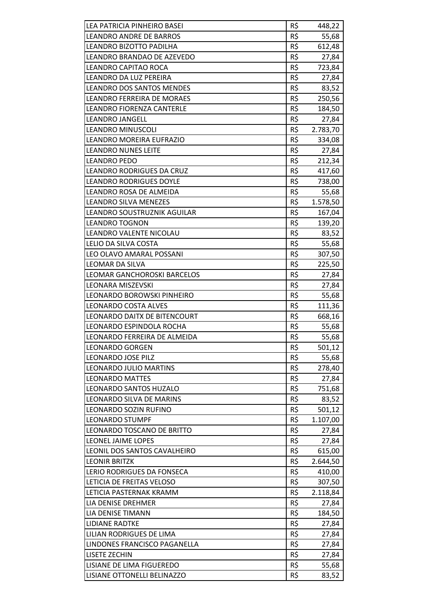| LEA PATRICIA PINHEIRO BASEI       | R\$ | 448,22   |
|-----------------------------------|-----|----------|
| LEANDRO ANDRE DE BARROS           | R\$ | 55,68    |
| LEANDRO BIZOTTO PADILHA           | R\$ | 612,48   |
| LEANDRO BRANDAO DE AZEVEDO        | R\$ | 27,84    |
| LEANDRO CAPITAO ROCA              | R\$ | 723,84   |
| LEANDRO DA LUZ PEREIRA            | R\$ | 27,84    |
| <b>LEANDRO DOS SANTOS MENDES</b>  | R\$ | 83,52    |
| <b>LEANDRO FERREIRA DE MORAES</b> | R\$ | 250,56   |
| LEANDRO FIORENZA CANTERLE         | R\$ | 184,50   |
| <b>LEANDRO JANGELL</b>            | R\$ | 27,84    |
| <b>LEANDRO MINUSCOLI</b>          | R\$ | 2.783,70 |
| LEANDRO MOREIRA EUFRAZIO          | R\$ | 334,08   |
| <b>LEANDRO NUNES LEITE</b>        | R\$ | 27,84    |
| <b>LEANDRO PEDO</b>               | R\$ | 212,34   |
| LEANDRO RODRIGUES DA CRUZ         | R\$ | 417,60   |
| <b>LEANDRO RODRIGUES DOYLE</b>    | R\$ | 738,00   |
| LEANDRO ROSA DE ALMEIDA           | R\$ | 55,68    |
| <b>LEANDRO SILVA MENEZES</b>      | R\$ | 1.578,50 |
| LEANDRO SOUSTRUZNIK AGUILAR       | R\$ | 167,04   |
| <b>LEANDRO TOGNON</b>             | R\$ | 139,20   |
| LEANDRO VALENTE NICOLAU           | R\$ | 83,52    |
| LELIO DA SILVA COSTA              | R\$ | 55,68    |
| LEO OLAVO AMARAL POSSANI          | R\$ | 307,50   |
| LEOMAR DA SILVA                   | R\$ | 225,50   |
| LEOMAR GANCHOROSKI BARCELOS       | R\$ | 27,84    |
| <b>LEONARA MISZEVSKI</b>          | R\$ | 27,84    |
| LEONARDO BOROWSKI PINHEIRO        | R\$ | 55,68    |
| <b>LEONARDO COSTA ALVES</b>       | R\$ | 111,36   |
| LEONARDO DAITX DE BITENCOURT      | R\$ | 668,16   |
| LEONARDO ESPINDOLA ROCHA          | R\$ | 55,68    |
| LEONARDO FERREIRA DE ALMEIDA      | R\$ | 55,68    |
| <b>LEONARDO GORGEN</b>            | R\$ | 501,12   |
| <b>LEONARDO JOSE PILZ</b>         | R\$ | 55,68    |
| <b>LEONARDO JULIO MARTINS</b>     | R\$ |          |
| <b>LEONARDO MATTES</b>            | R\$ | 278,40   |
|                                   | R\$ | 27,84    |
| LEONARDO SANTOS HUZALO            |     | 751,68   |
| LEONARDO SILVA DE MARINS          | R\$ | 83,52    |
| LEONARDO SOZIN RUFINO             | R\$ | 501,12   |
| <b>LEONARDO STUMPF</b>            | R\$ | 1.107,00 |
| LEONARDO TOSCANO DE BRITTO        | R\$ | 27,84    |
| LEONEL JAIME LOPES                | R\$ | 27,84    |
| LEONIL DOS SANTOS CAVALHEIRO      | R\$ | 615,00   |
| <b>LEONIR BRITZK</b>              | R\$ | 2.644,50 |
| LERIO RODRIGUES DA FONSECA        | R\$ | 410,00   |
| LETICIA DE FREITAS VELOSO         | R\$ | 307,50   |
| LETICIA PASTERNAK KRAMM           | R\$ | 2.118,84 |
| LIA DENISE DREHMER                | R\$ | 27,84    |
| LIA DENISE TIMANN                 | R\$ | 184,50   |
| <b>LIDIANE RADTKE</b>             | R\$ | 27,84    |
| LILIAN RODRIGUES DE LIMA          | R\$ | 27,84    |
| LINDONES FRANCISCO PAGANELLA      | R\$ | 27,84    |
| <b>LISETE ZECHIN</b>              | R\$ | 27,84    |
| LISIANE DE LIMA FIGUEREDO         | R\$ | 55,68    |
| LISIANE OTTONELLI BELINAZZO       | R\$ | 83,52    |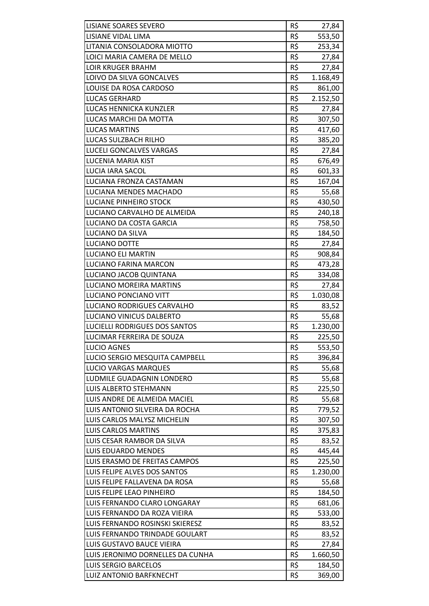| R\$<br>LISIANE VIDAL LIMA<br>553,50<br>R\$<br>LITANIA CONSOLADORA MIOTTO<br>253,34<br>R\$<br>LOICI MARIA CAMERA DE MELLO<br>27,84<br>R\$<br><b>LOIR KRUGER BRAHM</b><br>27,84<br>R\$<br>LOIVO DA SILVA GONCALVES<br>1.168,49<br>R\$<br>LOUISE DA ROSA CARDOSO<br>861,00<br>R\$<br><b>LUCAS GERHARD</b><br>2.152,50<br>R\$<br>LUCAS HENNICKA KUNZLER<br>27,84<br>R\$<br>LUCAS MARCHI DA MOTTA<br>307,50<br>R\$<br><b>LUCAS MARTINS</b><br>417,60<br>R\$<br>LUCAS SULZBACH RILHO<br>385,20<br>R\$<br>LUCELI GONCALVES VARGAS<br>27,84<br>R\$<br>LUCENIA MARIA KIST<br>676,49<br>R\$<br><b>LUCIA IARA SACOL</b><br>601,33<br>R\$<br>LUCIANA FRONZA CASTAMAN<br>167,04<br>R\$<br>LUCIANA MENDES MACHADO<br>55,68<br>R\$<br>LUCIANE PINHEIRO STOCK<br>430,50<br>R\$<br>LUCIANO CARVALHO DE ALMEIDA<br>240,18<br>R\$<br>LUCIANO DA COSTA GARCIA<br>758,50<br>R\$<br>LUCIANO DA SILVA<br>184,50<br>R\$<br>LUCIANO DOTTE<br>27,84<br>R\$<br><b>LUCIANO ELI MARTIN</b><br>908,84<br>R\$<br>LUCIANO FARINA MARCON<br>473,28<br>R\$<br>LUCIANO JACOB QUINTANA<br>334,08<br>R\$<br>LUCIANO MOREIRA MARTINS<br>27,84<br>R\$<br>LUCIANO PONCIANO VITT<br>1.030,08<br>R\$<br>LUCIANO RODRIGUES CARVALHO<br>83,52<br>R\$<br>LUCIANO VINICUS DALBERTO<br>55,68<br>R\$<br>LUCIELLI RODRIGUES DOS SANTOS<br>1.230,00<br>R\$<br>LUCIMAR FERREIRA DE SOUZA<br>225,50<br><b>LUCIO AGNES</b><br>R\$<br>553,50<br>R\$<br>LUCIO SERGIO MESQUITA CAMPBELL<br>396,84<br>R\$<br><b>LUCIO VARGAS MARQUES</b><br>55,68<br>R\$<br>LUDMILE GUADAGNIN LONDERO<br>55,68<br>R\$<br><b>LUIS ALBERTO STEHMANN</b><br>225,50<br>R\$<br>LUIS ANDRE DE ALMEIDA MACIEL<br>55,68<br>R\$<br>LUIS ANTONIO SILVEIRA DA ROCHA<br>779,52<br>R\$<br>LUIS CARLOS MALYSZ MICHELIN<br>307,50<br>R\$<br><b>LUIS CARLOS MARTINS</b><br>375,83<br>R\$<br>LUIS CESAR RAMBOR DA SILVA<br>83,52<br>R\$<br>LUIS EDUARDO MENDES<br>445,44<br>R\$<br>LUIS ERASMO DE FREITAS CAMPOS<br>225,50<br>R\$<br>LUIS FELIPE ALVES DOS SANTOS<br>1.230,00<br>R\$<br>LUIS FELIPE FALLAVENA DA ROSA<br>55,68<br>R\$<br>LUIS FELIPE LEAO PINHEIRO<br>184,50<br>R\$<br>LUIS FERNANDO CLARO LONGARAY<br>681,06<br>R\$<br>LUIS FERNANDO DA ROZA VIEIRA<br>533,00<br>R\$<br>LUIS FERNANDO ROSINSKI SKIERESZ<br>83,52<br>R\$<br>LUIS FERNANDO TRINDADE GOULART<br>83,52<br>R\$<br>LUIS GUSTAVO BAUCE VIEIRA<br>27,84<br>R\$<br>LUIS JERONIMO DORNELLES DA CUNHA<br>1.660,50<br>R\$<br><b>LUIS SERGIO BARCELOS</b><br>184,50 | <b>LISIANE SOARES SEVERO</b> | R\$ | 27,84  |
|-----------------------------------------------------------------------------------------------------------------------------------------------------------------------------------------------------------------------------------------------------------------------------------------------------------------------------------------------------------------------------------------------------------------------------------------------------------------------------------------------------------------------------------------------------------------------------------------------------------------------------------------------------------------------------------------------------------------------------------------------------------------------------------------------------------------------------------------------------------------------------------------------------------------------------------------------------------------------------------------------------------------------------------------------------------------------------------------------------------------------------------------------------------------------------------------------------------------------------------------------------------------------------------------------------------------------------------------------------------------------------------------------------------------------------------------------------------------------------------------------------------------------------------------------------------------------------------------------------------------------------------------------------------------------------------------------------------------------------------------------------------------------------------------------------------------------------------------------------------------------------------------------------------------------------------------------------------------------------------------------------------------------------------------------------------------------------------------------------------------------------------------------------------------------------------------------------------------------------------------------------------------------------------------------------------------------------------------------------------------------------------------------------------------------------------------------|------------------------------|-----|--------|
|                                                                                                                                                                                                                                                                                                                                                                                                                                                                                                                                                                                                                                                                                                                                                                                                                                                                                                                                                                                                                                                                                                                                                                                                                                                                                                                                                                                                                                                                                                                                                                                                                                                                                                                                                                                                                                                                                                                                                                                                                                                                                                                                                                                                                                                                                                                                                                                                                                               |                              |     |        |
|                                                                                                                                                                                                                                                                                                                                                                                                                                                                                                                                                                                                                                                                                                                                                                                                                                                                                                                                                                                                                                                                                                                                                                                                                                                                                                                                                                                                                                                                                                                                                                                                                                                                                                                                                                                                                                                                                                                                                                                                                                                                                                                                                                                                                                                                                                                                                                                                                                               |                              |     |        |
|                                                                                                                                                                                                                                                                                                                                                                                                                                                                                                                                                                                                                                                                                                                                                                                                                                                                                                                                                                                                                                                                                                                                                                                                                                                                                                                                                                                                                                                                                                                                                                                                                                                                                                                                                                                                                                                                                                                                                                                                                                                                                                                                                                                                                                                                                                                                                                                                                                               |                              |     |        |
|                                                                                                                                                                                                                                                                                                                                                                                                                                                                                                                                                                                                                                                                                                                                                                                                                                                                                                                                                                                                                                                                                                                                                                                                                                                                                                                                                                                                                                                                                                                                                                                                                                                                                                                                                                                                                                                                                                                                                                                                                                                                                                                                                                                                                                                                                                                                                                                                                                               |                              |     |        |
|                                                                                                                                                                                                                                                                                                                                                                                                                                                                                                                                                                                                                                                                                                                                                                                                                                                                                                                                                                                                                                                                                                                                                                                                                                                                                                                                                                                                                                                                                                                                                                                                                                                                                                                                                                                                                                                                                                                                                                                                                                                                                                                                                                                                                                                                                                                                                                                                                                               |                              |     |        |
|                                                                                                                                                                                                                                                                                                                                                                                                                                                                                                                                                                                                                                                                                                                                                                                                                                                                                                                                                                                                                                                                                                                                                                                                                                                                                                                                                                                                                                                                                                                                                                                                                                                                                                                                                                                                                                                                                                                                                                                                                                                                                                                                                                                                                                                                                                                                                                                                                                               |                              |     |        |
|                                                                                                                                                                                                                                                                                                                                                                                                                                                                                                                                                                                                                                                                                                                                                                                                                                                                                                                                                                                                                                                                                                                                                                                                                                                                                                                                                                                                                                                                                                                                                                                                                                                                                                                                                                                                                                                                                                                                                                                                                                                                                                                                                                                                                                                                                                                                                                                                                                               |                              |     |        |
|                                                                                                                                                                                                                                                                                                                                                                                                                                                                                                                                                                                                                                                                                                                                                                                                                                                                                                                                                                                                                                                                                                                                                                                                                                                                                                                                                                                                                                                                                                                                                                                                                                                                                                                                                                                                                                                                                                                                                                                                                                                                                                                                                                                                                                                                                                                                                                                                                                               |                              |     |        |
|                                                                                                                                                                                                                                                                                                                                                                                                                                                                                                                                                                                                                                                                                                                                                                                                                                                                                                                                                                                                                                                                                                                                                                                                                                                                                                                                                                                                                                                                                                                                                                                                                                                                                                                                                                                                                                                                                                                                                                                                                                                                                                                                                                                                                                                                                                                                                                                                                                               |                              |     |        |
|                                                                                                                                                                                                                                                                                                                                                                                                                                                                                                                                                                                                                                                                                                                                                                                                                                                                                                                                                                                                                                                                                                                                                                                                                                                                                                                                                                                                                                                                                                                                                                                                                                                                                                                                                                                                                                                                                                                                                                                                                                                                                                                                                                                                                                                                                                                                                                                                                                               |                              |     |        |
|                                                                                                                                                                                                                                                                                                                                                                                                                                                                                                                                                                                                                                                                                                                                                                                                                                                                                                                                                                                                                                                                                                                                                                                                                                                                                                                                                                                                                                                                                                                                                                                                                                                                                                                                                                                                                                                                                                                                                                                                                                                                                                                                                                                                                                                                                                                                                                                                                                               |                              |     |        |
|                                                                                                                                                                                                                                                                                                                                                                                                                                                                                                                                                                                                                                                                                                                                                                                                                                                                                                                                                                                                                                                                                                                                                                                                                                                                                                                                                                                                                                                                                                                                                                                                                                                                                                                                                                                                                                                                                                                                                                                                                                                                                                                                                                                                                                                                                                                                                                                                                                               |                              |     |        |
|                                                                                                                                                                                                                                                                                                                                                                                                                                                                                                                                                                                                                                                                                                                                                                                                                                                                                                                                                                                                                                                                                                                                                                                                                                                                                                                                                                                                                                                                                                                                                                                                                                                                                                                                                                                                                                                                                                                                                                                                                                                                                                                                                                                                                                                                                                                                                                                                                                               |                              |     |        |
|                                                                                                                                                                                                                                                                                                                                                                                                                                                                                                                                                                                                                                                                                                                                                                                                                                                                                                                                                                                                                                                                                                                                                                                                                                                                                                                                                                                                                                                                                                                                                                                                                                                                                                                                                                                                                                                                                                                                                                                                                                                                                                                                                                                                                                                                                                                                                                                                                                               |                              |     |        |
|                                                                                                                                                                                                                                                                                                                                                                                                                                                                                                                                                                                                                                                                                                                                                                                                                                                                                                                                                                                                                                                                                                                                                                                                                                                                                                                                                                                                                                                                                                                                                                                                                                                                                                                                                                                                                                                                                                                                                                                                                                                                                                                                                                                                                                                                                                                                                                                                                                               |                              |     |        |
|                                                                                                                                                                                                                                                                                                                                                                                                                                                                                                                                                                                                                                                                                                                                                                                                                                                                                                                                                                                                                                                                                                                                                                                                                                                                                                                                                                                                                                                                                                                                                                                                                                                                                                                                                                                                                                                                                                                                                                                                                                                                                                                                                                                                                                                                                                                                                                                                                                               |                              |     |        |
|                                                                                                                                                                                                                                                                                                                                                                                                                                                                                                                                                                                                                                                                                                                                                                                                                                                                                                                                                                                                                                                                                                                                                                                                                                                                                                                                                                                                                                                                                                                                                                                                                                                                                                                                                                                                                                                                                                                                                                                                                                                                                                                                                                                                                                                                                                                                                                                                                                               |                              |     |        |
|                                                                                                                                                                                                                                                                                                                                                                                                                                                                                                                                                                                                                                                                                                                                                                                                                                                                                                                                                                                                                                                                                                                                                                                                                                                                                                                                                                                                                                                                                                                                                                                                                                                                                                                                                                                                                                                                                                                                                                                                                                                                                                                                                                                                                                                                                                                                                                                                                                               |                              |     |        |
|                                                                                                                                                                                                                                                                                                                                                                                                                                                                                                                                                                                                                                                                                                                                                                                                                                                                                                                                                                                                                                                                                                                                                                                                                                                                                                                                                                                                                                                                                                                                                                                                                                                                                                                                                                                                                                                                                                                                                                                                                                                                                                                                                                                                                                                                                                                                                                                                                                               |                              |     |        |
|                                                                                                                                                                                                                                                                                                                                                                                                                                                                                                                                                                                                                                                                                                                                                                                                                                                                                                                                                                                                                                                                                                                                                                                                                                                                                                                                                                                                                                                                                                                                                                                                                                                                                                                                                                                                                                                                                                                                                                                                                                                                                                                                                                                                                                                                                                                                                                                                                                               |                              |     |        |
|                                                                                                                                                                                                                                                                                                                                                                                                                                                                                                                                                                                                                                                                                                                                                                                                                                                                                                                                                                                                                                                                                                                                                                                                                                                                                                                                                                                                                                                                                                                                                                                                                                                                                                                                                                                                                                                                                                                                                                                                                                                                                                                                                                                                                                                                                                                                                                                                                                               |                              |     |        |
|                                                                                                                                                                                                                                                                                                                                                                                                                                                                                                                                                                                                                                                                                                                                                                                                                                                                                                                                                                                                                                                                                                                                                                                                                                                                                                                                                                                                                                                                                                                                                                                                                                                                                                                                                                                                                                                                                                                                                                                                                                                                                                                                                                                                                                                                                                                                                                                                                                               |                              |     |        |
|                                                                                                                                                                                                                                                                                                                                                                                                                                                                                                                                                                                                                                                                                                                                                                                                                                                                                                                                                                                                                                                                                                                                                                                                                                                                                                                                                                                                                                                                                                                                                                                                                                                                                                                                                                                                                                                                                                                                                                                                                                                                                                                                                                                                                                                                                                                                                                                                                                               |                              |     |        |
|                                                                                                                                                                                                                                                                                                                                                                                                                                                                                                                                                                                                                                                                                                                                                                                                                                                                                                                                                                                                                                                                                                                                                                                                                                                                                                                                                                                                                                                                                                                                                                                                                                                                                                                                                                                                                                                                                                                                                                                                                                                                                                                                                                                                                                                                                                                                                                                                                                               |                              |     |        |
|                                                                                                                                                                                                                                                                                                                                                                                                                                                                                                                                                                                                                                                                                                                                                                                                                                                                                                                                                                                                                                                                                                                                                                                                                                                                                                                                                                                                                                                                                                                                                                                                                                                                                                                                                                                                                                                                                                                                                                                                                                                                                                                                                                                                                                                                                                                                                                                                                                               |                              |     |        |
|                                                                                                                                                                                                                                                                                                                                                                                                                                                                                                                                                                                                                                                                                                                                                                                                                                                                                                                                                                                                                                                                                                                                                                                                                                                                                                                                                                                                                                                                                                                                                                                                                                                                                                                                                                                                                                                                                                                                                                                                                                                                                                                                                                                                                                                                                                                                                                                                                                               |                              |     |        |
|                                                                                                                                                                                                                                                                                                                                                                                                                                                                                                                                                                                                                                                                                                                                                                                                                                                                                                                                                                                                                                                                                                                                                                                                                                                                                                                                                                                                                                                                                                                                                                                                                                                                                                                                                                                                                                                                                                                                                                                                                                                                                                                                                                                                                                                                                                                                                                                                                                               |                              |     |        |
|                                                                                                                                                                                                                                                                                                                                                                                                                                                                                                                                                                                                                                                                                                                                                                                                                                                                                                                                                                                                                                                                                                                                                                                                                                                                                                                                                                                                                                                                                                                                                                                                                                                                                                                                                                                                                                                                                                                                                                                                                                                                                                                                                                                                                                                                                                                                                                                                                                               |                              |     |        |
|                                                                                                                                                                                                                                                                                                                                                                                                                                                                                                                                                                                                                                                                                                                                                                                                                                                                                                                                                                                                                                                                                                                                                                                                                                                                                                                                                                                                                                                                                                                                                                                                                                                                                                                                                                                                                                                                                                                                                                                                                                                                                                                                                                                                                                                                                                                                                                                                                                               |                              |     |        |
|                                                                                                                                                                                                                                                                                                                                                                                                                                                                                                                                                                                                                                                                                                                                                                                                                                                                                                                                                                                                                                                                                                                                                                                                                                                                                                                                                                                                                                                                                                                                                                                                                                                                                                                                                                                                                                                                                                                                                                                                                                                                                                                                                                                                                                                                                                                                                                                                                                               |                              |     |        |
|                                                                                                                                                                                                                                                                                                                                                                                                                                                                                                                                                                                                                                                                                                                                                                                                                                                                                                                                                                                                                                                                                                                                                                                                                                                                                                                                                                                                                                                                                                                                                                                                                                                                                                                                                                                                                                                                                                                                                                                                                                                                                                                                                                                                                                                                                                                                                                                                                                               |                              |     |        |
|                                                                                                                                                                                                                                                                                                                                                                                                                                                                                                                                                                                                                                                                                                                                                                                                                                                                                                                                                                                                                                                                                                                                                                                                                                                                                                                                                                                                                                                                                                                                                                                                                                                                                                                                                                                                                                                                                                                                                                                                                                                                                                                                                                                                                                                                                                                                                                                                                                               |                              |     |        |
|                                                                                                                                                                                                                                                                                                                                                                                                                                                                                                                                                                                                                                                                                                                                                                                                                                                                                                                                                                                                                                                                                                                                                                                                                                                                                                                                                                                                                                                                                                                                                                                                                                                                                                                                                                                                                                                                                                                                                                                                                                                                                                                                                                                                                                                                                                                                                                                                                                               |                              |     |        |
|                                                                                                                                                                                                                                                                                                                                                                                                                                                                                                                                                                                                                                                                                                                                                                                                                                                                                                                                                                                                                                                                                                                                                                                                                                                                                                                                                                                                                                                                                                                                                                                                                                                                                                                                                                                                                                                                                                                                                                                                                                                                                                                                                                                                                                                                                                                                                                                                                                               |                              |     |        |
|                                                                                                                                                                                                                                                                                                                                                                                                                                                                                                                                                                                                                                                                                                                                                                                                                                                                                                                                                                                                                                                                                                                                                                                                                                                                                                                                                                                                                                                                                                                                                                                                                                                                                                                                                                                                                                                                                                                                                                                                                                                                                                                                                                                                                                                                                                                                                                                                                                               |                              |     |        |
|                                                                                                                                                                                                                                                                                                                                                                                                                                                                                                                                                                                                                                                                                                                                                                                                                                                                                                                                                                                                                                                                                                                                                                                                                                                                                                                                                                                                                                                                                                                                                                                                                                                                                                                                                                                                                                                                                                                                                                                                                                                                                                                                                                                                                                                                                                                                                                                                                                               |                              |     |        |
|                                                                                                                                                                                                                                                                                                                                                                                                                                                                                                                                                                                                                                                                                                                                                                                                                                                                                                                                                                                                                                                                                                                                                                                                                                                                                                                                                                                                                                                                                                                                                                                                                                                                                                                                                                                                                                                                                                                                                                                                                                                                                                                                                                                                                                                                                                                                                                                                                                               |                              |     |        |
|                                                                                                                                                                                                                                                                                                                                                                                                                                                                                                                                                                                                                                                                                                                                                                                                                                                                                                                                                                                                                                                                                                                                                                                                                                                                                                                                                                                                                                                                                                                                                                                                                                                                                                                                                                                                                                                                                                                                                                                                                                                                                                                                                                                                                                                                                                                                                                                                                                               |                              |     |        |
|                                                                                                                                                                                                                                                                                                                                                                                                                                                                                                                                                                                                                                                                                                                                                                                                                                                                                                                                                                                                                                                                                                                                                                                                                                                                                                                                                                                                                                                                                                                                                                                                                                                                                                                                                                                                                                                                                                                                                                                                                                                                                                                                                                                                                                                                                                                                                                                                                                               |                              |     |        |
|                                                                                                                                                                                                                                                                                                                                                                                                                                                                                                                                                                                                                                                                                                                                                                                                                                                                                                                                                                                                                                                                                                                                                                                                                                                                                                                                                                                                                                                                                                                                                                                                                                                                                                                                                                                                                                                                                                                                                                                                                                                                                                                                                                                                                                                                                                                                                                                                                                               |                              |     |        |
|                                                                                                                                                                                                                                                                                                                                                                                                                                                                                                                                                                                                                                                                                                                                                                                                                                                                                                                                                                                                                                                                                                                                                                                                                                                                                                                                                                                                                                                                                                                                                                                                                                                                                                                                                                                                                                                                                                                                                                                                                                                                                                                                                                                                                                                                                                                                                                                                                                               |                              |     |        |
|                                                                                                                                                                                                                                                                                                                                                                                                                                                                                                                                                                                                                                                                                                                                                                                                                                                                                                                                                                                                                                                                                                                                                                                                                                                                                                                                                                                                                                                                                                                                                                                                                                                                                                                                                                                                                                                                                                                                                                                                                                                                                                                                                                                                                                                                                                                                                                                                                                               |                              |     |        |
|                                                                                                                                                                                                                                                                                                                                                                                                                                                                                                                                                                                                                                                                                                                                                                                                                                                                                                                                                                                                                                                                                                                                                                                                                                                                                                                                                                                                                                                                                                                                                                                                                                                                                                                                                                                                                                                                                                                                                                                                                                                                                                                                                                                                                                                                                                                                                                                                                                               |                              |     |        |
|                                                                                                                                                                                                                                                                                                                                                                                                                                                                                                                                                                                                                                                                                                                                                                                                                                                                                                                                                                                                                                                                                                                                                                                                                                                                                                                                                                                                                                                                                                                                                                                                                                                                                                                                                                                                                                                                                                                                                                                                                                                                                                                                                                                                                                                                                                                                                                                                                                               |                              |     |        |
|                                                                                                                                                                                                                                                                                                                                                                                                                                                                                                                                                                                                                                                                                                                                                                                                                                                                                                                                                                                                                                                                                                                                                                                                                                                                                                                                                                                                                                                                                                                                                                                                                                                                                                                                                                                                                                                                                                                                                                                                                                                                                                                                                                                                                                                                                                                                                                                                                                               |                              |     |        |
|                                                                                                                                                                                                                                                                                                                                                                                                                                                                                                                                                                                                                                                                                                                                                                                                                                                                                                                                                                                                                                                                                                                                                                                                                                                                                                                                                                                                                                                                                                                                                                                                                                                                                                                                                                                                                                                                                                                                                                                                                                                                                                                                                                                                                                                                                                                                                                                                                                               |                              |     |        |
|                                                                                                                                                                                                                                                                                                                                                                                                                                                                                                                                                                                                                                                                                                                                                                                                                                                                                                                                                                                                                                                                                                                                                                                                                                                                                                                                                                                                                                                                                                                                                                                                                                                                                                                                                                                                                                                                                                                                                                                                                                                                                                                                                                                                                                                                                                                                                                                                                                               |                              |     |        |
|                                                                                                                                                                                                                                                                                                                                                                                                                                                                                                                                                                                                                                                                                                                                                                                                                                                                                                                                                                                                                                                                                                                                                                                                                                                                                                                                                                                                                                                                                                                                                                                                                                                                                                                                                                                                                                                                                                                                                                                                                                                                                                                                                                                                                                                                                                                                                                                                                                               |                              |     |        |
|                                                                                                                                                                                                                                                                                                                                                                                                                                                                                                                                                                                                                                                                                                                                                                                                                                                                                                                                                                                                                                                                                                                                                                                                                                                                                                                                                                                                                                                                                                                                                                                                                                                                                                                                                                                                                                                                                                                                                                                                                                                                                                                                                                                                                                                                                                                                                                                                                                               |                              |     |        |
|                                                                                                                                                                                                                                                                                                                                                                                                                                                                                                                                                                                                                                                                                                                                                                                                                                                                                                                                                                                                                                                                                                                                                                                                                                                                                                                                                                                                                                                                                                                                                                                                                                                                                                                                                                                                                                                                                                                                                                                                                                                                                                                                                                                                                                                                                                                                                                                                                                               |                              |     |        |
|                                                                                                                                                                                                                                                                                                                                                                                                                                                                                                                                                                                                                                                                                                                                                                                                                                                                                                                                                                                                                                                                                                                                                                                                                                                                                                                                                                                                                                                                                                                                                                                                                                                                                                                                                                                                                                                                                                                                                                                                                                                                                                                                                                                                                                                                                                                                                                                                                                               |                              |     |        |
|                                                                                                                                                                                                                                                                                                                                                                                                                                                                                                                                                                                                                                                                                                                                                                                                                                                                                                                                                                                                                                                                                                                                                                                                                                                                                                                                                                                                                                                                                                                                                                                                                                                                                                                                                                                                                                                                                                                                                                                                                                                                                                                                                                                                                                                                                                                                                                                                                                               |                              |     |        |
|                                                                                                                                                                                                                                                                                                                                                                                                                                                                                                                                                                                                                                                                                                                                                                                                                                                                                                                                                                                                                                                                                                                                                                                                                                                                                                                                                                                                                                                                                                                                                                                                                                                                                                                                                                                                                                                                                                                                                                                                                                                                                                                                                                                                                                                                                                                                                                                                                                               |                              |     |        |
|                                                                                                                                                                                                                                                                                                                                                                                                                                                                                                                                                                                                                                                                                                                                                                                                                                                                                                                                                                                                                                                                                                                                                                                                                                                                                                                                                                                                                                                                                                                                                                                                                                                                                                                                                                                                                                                                                                                                                                                                                                                                                                                                                                                                                                                                                                                                                                                                                                               | LUIZ ANTONIO BARFKNECHT      | R\$ | 369,00 |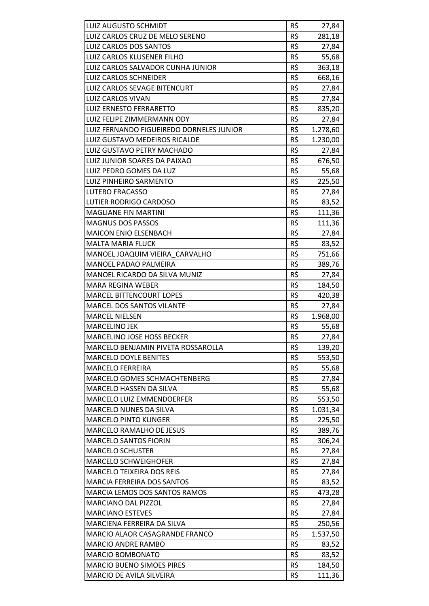| <b>LUIZ AUGUSTO SCHMIDT</b>              | R\$        | 27,84    |
|------------------------------------------|------------|----------|
| LUIZ CARLOS CRUZ DE MELO SERENO          | R\$        | 281,18   |
| LUIZ CARLOS DOS SANTOS                   | R\$<br>R\$ | 27,84    |
| LUIZ CARLOS KLUSENER FILHO               | R\$        | 55,68    |
| LUIZ CARLOS SALVADOR CUNHA JUNIOR        | R\$        | 363,18   |
| <b>LUIZ CARLOS SCHNEIDER</b>             |            | 668,16   |
| LUIZ CARLOS SEVAGE BITENCURT             | R\$        | 27,84    |
| <b>LUIZ CARLOS VIVAN</b>                 | R\$        | 27,84    |
| <b>LUIZ ERNESTO FERRARETTO</b>           | R\$        | 835,20   |
| LUIZ FELIPE ZIMMERMANN ODY               | R\$        | 27,84    |
| LUIZ FERNANDO FIGUEIREDO DORNELES JUNIOR | R\$        | 1.278,60 |
| LUIZ GUSTAVO MEDEIROS RICALDE            | R\$        | 1.230,00 |
| LUIZ GUSTAVO PETRY MACHADO               | R\$        | 27,84    |
| LUIZ JUNIOR SOARES DA PAIXAO             | R\$        | 676,50   |
| LUIZ PEDRO GOMES DA LUZ                  | R\$        | 55,68    |
| <b>LUIZ PINHEIRO SARMENTO</b>            | R\$        | 225,50   |
| <b>LUTERO FRACASSO</b>                   | R\$        | 27,84    |
| <b>LUTIER RODRIGO CARDOSO</b>            | R\$        | 83,52    |
| <b>MAGLIANE FIN MARTINI</b>              | R\$        | 111,36   |
| <b>MAGNUS DOS PASSOS</b>                 | R\$        | 111,36   |
| <b>MAICON ENIO ELSENBACH</b>             | R\$        | 27,84    |
| <b>MALTA MARIA FLUCK</b>                 | R\$        | 83,52    |
| MANOEL JOAQUIM VIEIRA CARVALHO           | R\$        | 751,66   |
| MANOEL PADAO PALMEIRA                    | R\$        | 389,76   |
| MANOEL RICARDO DA SILVA MUNIZ            | R\$        | 27,84    |
| <b>MARA REGINA WEBER</b>                 | R\$        | 184,50   |
| <b>MARCEL BITTENCOURT LOPES</b>          | R\$        | 420,38   |
| <b>MARCEL DOS SANTOS VILANTE</b>         | R\$        | 27,84    |
| <b>MARCEL NIELSEN</b>                    | R\$        | 1.968,00 |
| <b>MARCELINO JEK</b>                     | R\$        | 55,68    |
| <b>MARCELINO JOSE HOSS BECKER</b>        | R\$        | 27,84    |
| MARCELO BENJAMIN PIVETA ROSSAROLLA       | R\$        | 139,20   |
| <b>MARCELO DOYLE BENITES</b>             | R\$        | 553,50   |
| <b>MARCELO FERREIRA</b>                  | R\$        | 55,68    |
| MARCELO GOMES SCHMACHTENBERG             | R\$        | 27,84    |
| MARCELO HASSEN DA SILVA                  | R\$        | 55,68    |
| MARCELO LUIZ EMMENDOERFER                | R\$        | 553,50   |
| MARCELO NUNES DA SILVA                   | R\$        | 1.031,34 |
| <b>MARCELO PINTO KLINGER</b>             | R\$        | 225,50   |
| MARCELO RAMALHO DE JESUS                 | R\$        | 389,76   |
| <b>MARCELO SANTOS FIORIN</b>             | R\$        | 306,24   |
| <b>MARCELO SCHUSTER</b>                  | R\$        | 27,84    |
| <b>MARCELO SCHWEIGHOFER</b>              | R\$        | 27,84    |
| <b>MARCELO TEIXEIRA DOS REIS</b>         | R\$        | 27,84    |
| MARCIA FERREIRA DOS SANTOS               | R\$        | 83,52    |
| MARCIA LEMOS DOS SANTOS RAMOS            | R\$        | 473,28   |
| MARCIANO DAL PIZZOL                      | R\$        | 27,84    |
| <b>MARCIANO ESTEVES</b>                  | R\$        | 27,84    |
| MARCIENA FERREIRA DA SILVA               | R\$        | 250,56   |
| <b>MARCIO ALAOR CASAGRANDE FRANCO</b>    | R\$        | 1.537,50 |
| <b>MARCIO ANDRE RAMBO</b>                | R\$        | 83,52    |
| <b>MARCIO BOMBONATO</b>                  | R\$        | 83,52    |
| <b>MARCIO BUENO SIMOES PIRES</b>         | R\$        | 184,50   |
| MARCIO DE AVILA SILVEIRA                 | R\$        | 111,36   |
|                                          |            |          |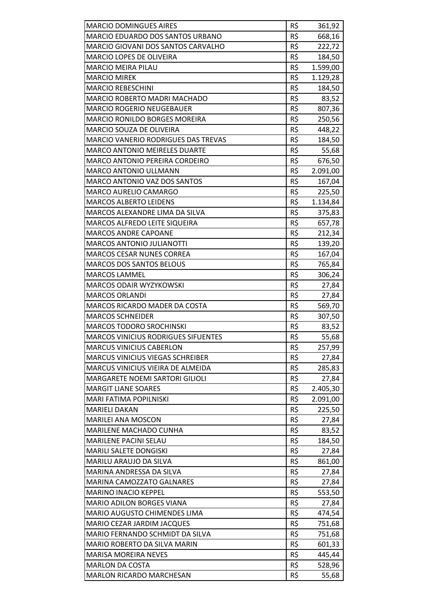| <b>MARCIO DOMINGUES AIRES</b>              | R\$ | 361,92   |
|--------------------------------------------|-----|----------|
| <b>MARCIO EDUARDO DOS SANTOS URBANO</b>    | R\$ | 668,16   |
| MARCIO GIOVANI DOS SANTOS CARVALHO         | R\$ | 222,72   |
| <b>MARCIO LOPES DE OLIVEIRA</b>            | R\$ | 184,50   |
| <b>MARCIO MEIRA PILAU</b>                  | R\$ | 1.599,00 |
| <b>MARCIO MIREK</b>                        | R\$ | 1.129,28 |
| <b>MARCIO REBESCHINI</b>                   | R\$ | 184,50   |
| MARCIO ROBERTO MADRI MACHADO               | R\$ | 83,52    |
| <b>MARCIO ROGERIO NEUGEBAUER</b>           | R\$ | 807,36   |
| <b>MARCIO RONILDO BORGES MOREIRA</b>       | R\$ | 250,56   |
| <b>MARCIO SOUZA DE OLIVEIRA</b>            | R\$ | 448,22   |
| <b>MARCIO VANERIO RODRIGUES DAS TREVAS</b> | R\$ | 184,50   |
| <b>MARCO ANTONIO MEIRELES DUARTE</b>       | R\$ | 55,68    |
| MARCO ANTONIO PEREIRA CORDEIRO             | R\$ | 676,50   |
| <b>MARCO ANTONIO ULLMANN</b>               | R\$ | 2.091,00 |
| <b>MARCO ANTONIO VAZ DOS SANTOS</b>        | R\$ | 167,04   |
| MARCO AURELIO CAMARGO                      | R\$ | 225,50   |
| <b>MARCOS ALBERTO LEIDENS</b>              | R\$ | 1.134,84 |
| MARCOS ALEXANDRE LIMA DA SILVA             | R\$ | 375,83   |
| MARCOS ALFREDO LEITE SIQUEIRA              | R\$ |          |
| <b>MARCOS ANDRE CAPOANE</b>                | R\$ | 657,78   |
|                                            |     | 212,34   |
| <b>MARCOS ANTONIO JULIANOTTI</b>           | R\$ | 139,20   |
| <b>MARCOS CESAR NUNES CORREA</b>           | R\$ | 167,04   |
| <b>MARCOS DOS SANTOS BELOUS</b>            | R\$ | 765,84   |
| <b>MARCOS LAMMEL</b>                       | R\$ | 306,24   |
| <b>MARCOS ODAIR WYZYKOWSKI</b>             | R\$ | 27,84    |
| <b>MARCOS ORLANDI</b>                      | R\$ | 27,84    |
| MARCOS RICARDO MADER DA COSTA              | R\$ | 569,70   |
| <b>MARCOS SCHNEIDER</b>                    | R\$ | 307,50   |
| <b>MARCOS TODORO SROCHINSKI</b>            | R\$ | 83,52    |
| <b>MARCOS VINICIUS RODRIGUES SIFUENTES</b> | R\$ | 55,68    |
| <b>MARCUS VINICIUS CABERLON</b>            | R\$ | 257,99   |
| <b>MARCUS VINICIUS VIEGAS SCHREIBER</b>    | R\$ | 27,84    |
| MARCUS VINICIUS VIEIRA DE ALMEIDA          | R\$ | 285,83   |
| MARGARETE NOEMI SARTORI GILIOLI            | R\$ | 27,84    |
| <b>MARGIT LIANE SOARES</b>                 | R\$ | 2.405,30 |
| MARI FATIMA POPILNISKI                     | R\$ | 2.091,00 |
| <b>MARIELI DAKAN</b>                       | R\$ | 225,50   |
| <b>MARILEI ANA MOSCON</b>                  | R\$ | 27,84    |
| MARILENE MACHADO CUNHA                     | R\$ | 83,52    |
| MARILENE PACINI SELAU                      | R\$ | 184,50   |
| MARILI SALETE DONGISKI                     | R\$ | 27,84    |
| MARILU ARAUJO DA SILVA                     | R\$ | 861,00   |
| MARINA ANDRESSA DA SILVA                   | R\$ | 27,84    |
| <b>MARINA CAMOZZATO GALNARES</b>           | R\$ | 27,84    |
| <b>MARINO INACIO KEPPEL</b>                | R\$ | 553,50   |
| <b>MARIO ADILON BORGES VIANA</b>           | R\$ | 27,84    |
| MARIO AUGUSTO CHIMENDES LIMA               | R\$ | 474,54   |
| MARIO CEZAR JARDIM JACQUES                 | R\$ | 751,68   |
| MARIO FERNANDO SCHMIDT DA SILVA            | R\$ | 751,68   |
| MARIO ROBERTO DA SILVA MARIN               | R\$ | 601,33   |
| <b>MARISA MOREIRA NEVES</b>                | R\$ | 445,44   |
| <b>MARLON DA COSTA</b>                     | R\$ | 528,96   |
| <b>MARLON RICARDO MARCHESAN</b>            | R\$ | 55,68    |
|                                            |     |          |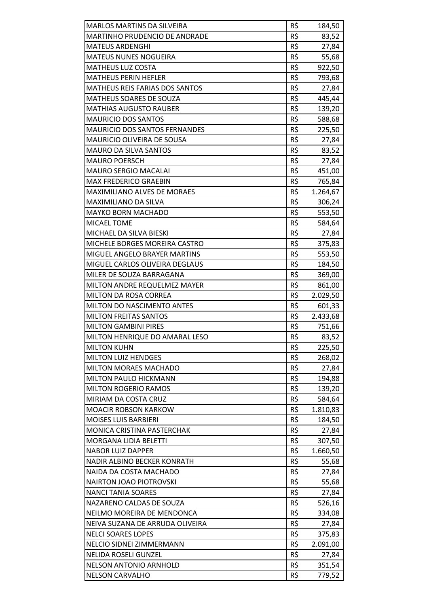| <b>MARLOS MARTINS DA SILVEIRA</b>     | R\$ | 184,50   |
|---------------------------------------|-----|----------|
| <b>MARTINHO PRUDENCIO DE ANDRADE</b>  | R\$ | 83,52    |
| <b>MATEUS ARDENGHI</b>                | R\$ | 27,84    |
| <b>MATEUS NUNES NOGUEIRA</b>          | R\$ | 55,68    |
| <b>MATHEUS LUZ COSTA</b>              | R\$ | 922,50   |
| <b>MATHEUS PERIN HEFLER</b>           | R\$ | 793,68   |
| <b>MATHEUS REIS FARIAS DOS SANTOS</b> | R\$ | 27,84    |
| MATHEUS SOARES DE SOUZA               | R\$ | 445,44   |
| <b>MATHIAS AUGUSTO RAUBER</b>         | R\$ | 139,20   |
| <b>MAURICIO DOS SANTOS</b>            | R\$ | 588,68   |
| <b>MAURICIO DOS SANTOS FERNANDES</b>  | R\$ | 225,50   |
| MAURICIO OLIVEIRA DE SOUSA            | R\$ | 27,84    |
| <b>MAURO DA SILVA SANTOS</b>          | R\$ | 83,52    |
| <b>MAURO POERSCH</b>                  | R\$ | 27,84    |
| <b>MAURO SERGIO MACALAI</b>           | R\$ | 451,00   |
| <b>MAX FREDERICO GRAEBIN</b>          | R\$ | 765,84   |
| MAXIMILIANO ALVES DE MORAES           | R\$ | 1.264,67 |
| <b>MAXIMILIANO DA SILVA</b>           | R\$ | 306,24   |
| <b>MAYKO BORN MACHADO</b>             | R\$ | 553,50   |
| <b>MICAEL TOME</b>                    | R\$ | 584,64   |
| MICHAEL DA SILVA BIESKI               | R\$ | 27,84    |
| MICHELE BORGES MOREIRA CASTRO         | R\$ | 375,83   |
| MIGUEL ANGELO BRAYER MARTINS          | R\$ | 553,50   |
| MIGUEL CARLOS OLIVEIRA DEGLAUS        | R\$ | 184,50   |
| MILER DE SOUZA BARRAGANA              | R\$ | 369,00   |
| MILTON ANDRE REQUELMEZ MAYER          | R\$ | 861,00   |
| <b>MILTON DA ROSA CORREA</b>          | R\$ | 2.029,50 |
| MILTON DO NASCIMENTO ANTES            | R\$ | 601,33   |
| <b>MILTON FREITAS SANTOS</b>          | R\$ | 2.433,68 |
| <b>MILTON GAMBINI PIRES</b>           | R\$ | 751,66   |
| MILTON HENRIQUE DO AMARAL LESO        | R\$ | 83,52    |
| <b>MILTON KUHN</b>                    | R\$ | 225,50   |
| <b>MILTON LUIZ HENDGES</b>            | R\$ | 268,02   |
| <b>MILTON MORAES MACHADO</b>          | R\$ | 27,84    |
| MILTON PAULO HICKMANN                 | R\$ | 194,88   |
| <b>MILTON ROGERIO RAMOS</b>           | R\$ | 139,20   |
| MIRIAM DA COSTA CRUZ                  | R\$ | 584,64   |
| <b>MOACIR ROBSON KARKOW</b>           | R\$ | 1.810,83 |
| <b>MOISES LUIS BARBIERI</b>           | R\$ | 184,50   |
| MONICA CRISTINA PASTERCHAK            | R\$ | 27,84    |
| <b>MORGANA LIDIA BELETTI</b>          | R\$ | 307,50   |
| <b>NABOR LUIZ DAPPER</b>              | R\$ | 1.660,50 |
| NADIR ALBINO BECKER KONRATH           | R\$ | 55,68    |
| NAIDA DA COSTA MACHADO                | R\$ | 27,84    |
| <b>NAIRTON JOAO PIOTROVSKI</b>        | R\$ | 55,68    |
| <b>NANCI TANIA SOARES</b>             | R\$ | 27,84    |
| NAZARENO CALDAS DE SOUZA              | R\$ | 526,16   |
| NEILMO MOREIRA DE MENDONCA            | R\$ | 334,08   |
| NEIVA SUZANA DE ARRUDA OLIVEIRA       | R\$ | 27,84    |
| <b>NELCI SOARES LOPES</b>             | R\$ | 375,83   |
| NELCIO SIDNEI ZIMMERMANN              | R\$ | 2.091,00 |
| <b>NELIDA ROSELI GUNZEL</b>           | R\$ | 27,84    |
| <b>NELSON ANTONIO ARNHOLD</b>         | R\$ | 351,54   |
| <b>NELSON CARVALHO</b>                | R\$ | 779,52   |
|                                       |     |          |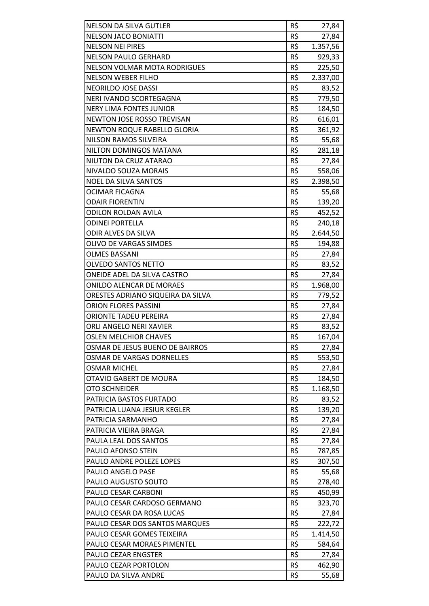| <b>NELSON DA SILVA GUTLER</b>     | R\$ | 27,84    |
|-----------------------------------|-----|----------|
| <b>NELSON JACO BONIATTI</b>       | R\$ | 27,84    |
| <b>NELSON NEI PIRES</b>           | R\$ | 1.357,56 |
| <b>NELSON PAULO GERHARD</b>       | R\$ | 929,33   |
| NELSON VOLMAR MOTA RODRIGUES      | R\$ | 225,50   |
| <b>NELSON WEBER FILHO</b>         | R\$ | 2.337,00 |
| NEORILDO JOSE DASSI               | R\$ | 83,52    |
| NERI IVANDO SCORTEGAGNA           | R\$ | 779,50   |
| <b>NERY LIMA FONTES JUNIOR</b>    | R\$ | 184,50   |
| NEWTON JOSE ROSSO TREVISAN        | R\$ | 616,01   |
| NEWTON ROQUE RABELLO GLORIA       | R\$ | 361,92   |
| NILSON RAMOS SILVEIRA             | R\$ | 55,68    |
| NILTON DOMINGOS MATANA            | R\$ | 281,18   |
| NIUTON DA CRUZ ATARAO             | R\$ | 27,84    |
| NIVALDO SOUZA MORAIS              | R\$ | 558,06   |
| <b>NOEL DA SILVA SANTOS</b>       | R\$ | 2.398,50 |
| <b>OCIMAR FICAGNA</b>             | R\$ | 55,68    |
| <b>ODAIR FIORENTIN</b>            | R\$ | 139,20   |
| <b>ODILON ROLDAN AVILA</b>        | R\$ | 452,52   |
| <b>ODINEI PORTELLA</b>            | R\$ | 240,18   |
| ODIR ALVES DA SILVA               | R\$ | 2.644,50 |
| <b>OLIVO DE VARGAS SIMOES</b>     | R\$ | 194,88   |
| <b>OLMES BASSANI</b>              | R\$ | 27,84    |
| <b>OLVEDO SANTOS NETTO</b>        | R\$ | 83,52    |
| ONEIDE ADEL DA SILVA CASTRO       | R\$ | 27,84    |
| <b>ONILDO ALENCAR DE MORAES</b>   | R\$ | 1.968,00 |
| ORESTES ADRIANO SIQUEIRA DA SILVA | R\$ | 779,52   |
| <b>ORION FLORES PASSINI</b>       | R\$ | 27,84    |
| ORIONTE TADEU PEREIRA             | R\$ | 27,84    |
| ORLI ANGELO NERI XAVIER           | R\$ | 83,52    |
| <b>OSLEN MELCHIOR CHAVES</b>      | R\$ | 167,04   |
| OSMAR DE JESUS BUENO DE BAIRROS   | R\$ | 27,84    |
| OSMAR DE VARGAS DORNELLES         | R\$ | 553,50   |
| <b>OSMAR MICHEL</b>               | R\$ | 27,84    |
| OTAVIO GABERT DE MOURA            | R\$ | 184,50   |
| <b>OTO SCHNEIDER</b>              | R\$ | 1.168,50 |
| PATRICIA BASTOS FURTADO           | R\$ | 83,52    |
| PATRICIA LUANA JESIUR KEGLER      | R\$ | 139,20   |
| PATRICIA SARMANHO                 | R\$ | 27,84    |
| PATRICIA VIEIRA BRAGA             | R\$ | 27,84    |
| PAULA LEAL DOS SANTOS             | R\$ | 27,84    |
| PAULO AFONSO STEIN                | R\$ | 787,85   |
| PAULO ANDRE POLEZE LOPES          | R\$ | 307,50   |
| PAULO ANGELO PASE                 | R\$ | 55,68    |
| PAULO AUGUSTO SOUTO               | R\$ | 278,40   |
| PAULO CESAR CARBONI               | R\$ | 450,99   |
| PAULO CESAR CARDOSO GERMANO       | R\$ | 323,70   |
| PAULO CESAR DA ROSA LUCAS         | R\$ | 27,84    |
| PAULO CESAR DOS SANTOS MARQUES    | R\$ | 222,72   |
| PAULO CESAR GOMES TEIXEIRA        | R\$ | 1.414,50 |
| PAULO CESAR MORAES PIMENTEL       | R\$ | 584,64   |
| PAULO CEZAR ENGSTER               | R\$ | 27,84    |
| PAULO CEZAR PORTOLON              | R\$ | 462,90   |
| PAULO DA SILVA ANDRE              | R\$ | 55,68    |
|                                   |     |          |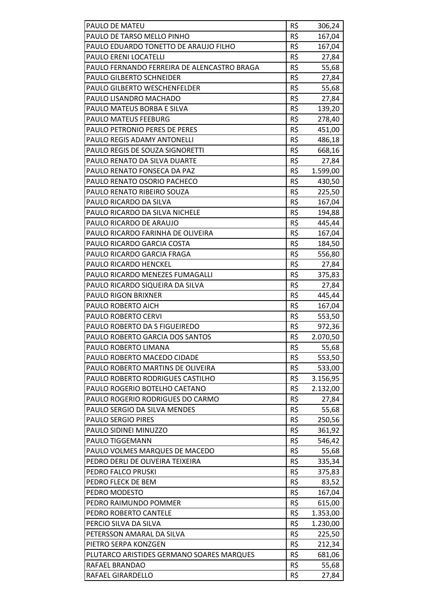| PAULO DE MATEU                              | R\$ | 306,24   |
|---------------------------------------------|-----|----------|
| PAULO DE TARSO MELLO PINHO                  | R\$ | 167,04   |
| PAULO EDUARDO TONETTO DE ARAUJO FILHO       | R\$ | 167,04   |
| PAULO ERENI LOCATELLI                       | R\$ | 27,84    |
| PAULO FERNANDO FERREIRA DE ALENCASTRO BRAGA | R\$ | 55,68    |
| PAULO GILBERTO SCHNEIDER                    | R\$ | 27,84    |
| PAULO GILBERTO WESCHENFELDER                | R\$ | 55,68    |
| PAULO LISANDRO MACHADO                      | R\$ | 27,84    |
| PAULO MATEUS BORBA E SILVA                  | R\$ | 139,20   |
| <b>PAULO MATEUS FEEBURG</b>                 | R\$ |          |
| PAULO PETRONIO PERES DE PERES               | R\$ | 278,40   |
|                                             |     | 451,00   |
| PAULO REGIS ADAMY ANTONELLI                 | R\$ | 486,18   |
| PAULO REGIS DE SOUZA SIGNORETTI             | R\$ | 668,16   |
| PAULO RENATO DA SILVA DUARTE                | R\$ | 27,84    |
| PAULO RENATO FONSECA DA PAZ                 | R\$ | 1.599,00 |
| PAULO RENATO OSORIO PACHECO                 | R\$ | 430,50   |
| PAULO RENATO RIBEIRO SOUZA                  | R\$ | 225,50   |
| PAULO RICARDO DA SILVA                      | R\$ | 167,04   |
| PAULO RICARDO DA SILVA NICHELE              | R\$ | 194,88   |
| PAULO RICARDO DE ARAUJO                     | R\$ | 445,44   |
| PAULO RICARDO FARINHA DE OLIVEIRA           | R\$ | 167,04   |
| PAULO RICARDO GARCIA COSTA                  | R\$ | 184,50   |
| PAULO RICARDO GARCIA FRAGA                  | R\$ | 556,80   |
| PAULO RICARDO HENCKEL                       | R\$ | 27,84    |
| PAULO RICARDO MENEZES FUMAGALLI             | R\$ | 375,83   |
| PAULO RICARDO SIQUEIRA DA SILVA             | R\$ | 27,84    |
| PAULO RIGON BRIXNER                         | R\$ | 445,44   |
| PAULO ROBERTO AICH                          | R\$ | 167,04   |
| PAULO ROBERTO CERVI                         | R\$ | 553,50   |
| PAULO ROBERTO DA S FIGUEIREDO               | R\$ | 972,36   |
| PAULO ROBERTO GARCIA DOS SANTOS             | R\$ | 2.070,50 |
| PAULO ROBERTO LIMANA                        | R\$ | 55,68    |
| PAULO ROBERTO MACEDO CIDADE                 | R\$ | 553,50   |
| PAULO ROBERTO MARTINS DE OLIVEIRA           | R\$ | 533,00   |
| PAULO ROBERTO RODRIGUES CASTILHO            | R\$ | 3.156,95 |
| PAULO ROGERIO BOTELHO CAETANO               | R\$ | 2.132,00 |
| PAULO ROGERIO RODRIGUES DO CARMO            | R\$ | 27,84    |
| PAULO SERGIO DA SILVA MENDES                | R\$ | 55,68    |
| PAULO SERGIO PIRES                          | R\$ | 250,56   |
| PAULO SIDINEI MINUZZO                       | R\$ | 361,92   |
| PAULO TIGGEMANN                             | R\$ | 546,42   |
| PAULO VOLMES MARQUES DE MACEDO              | R\$ | 55,68    |
| PEDRO DERLI DE OLIVEIRA TEIXEIRA            | R\$ | 335,34   |
| PEDRO FALCO PRUSKI                          | R\$ | 375,83   |
| PEDRO FLECK DE BEM                          | R\$ | 83,52    |
| PEDRO MODESTO                               | R\$ | 167,04   |
| PEDRO RAIMUNDO POMMER                       | R\$ | 615,00   |
| PEDRO ROBERTO CANTELE                       | R\$ | 1.353,00 |
| PERCIO SILVA DA SILVA                       | R\$ | 1.230,00 |
| PETERSSON AMARAL DA SILVA                   | R\$ | 225,50   |
| PIETRO SERPA KONZGEN                        | R\$ | 212,34   |
| PLUTARCO ARISTIDES GERMANO SOARES MARQUES   | R\$ | 681,06   |
| RAFAEL BRANDAO                              | R\$ | 55,68    |
| RAFAEL GIRARDELLO                           | R\$ | 27,84    |
|                                             |     |          |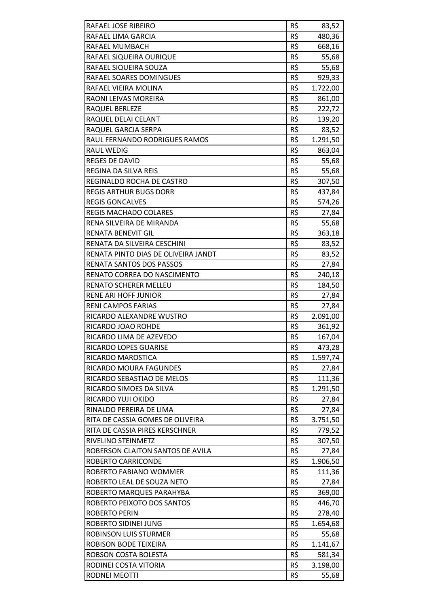| RAFAEL JOSE RIBEIRO                                                | R\$        | 83,52              |
|--------------------------------------------------------------------|------------|--------------------|
| RAFAEL LIMA GARCIA                                                 | R\$        | 480,36             |
| RAFAEL MUMBACH                                                     | R\$        | 668,16             |
| RAFAEL SIQUEIRA OURIQUE                                            | R\$        | 55,68              |
| RAFAEL SIQUEIRA SOUZA                                              | R\$        | 55,68              |
| RAFAEL SOARES DOMINGUES                                            | R\$        | 929,33             |
| RAFAEL VIEIRA MOLINA                                               | R\$        | 1.722,00           |
| RAONI LEIVAS MOREIRA                                               | R\$<br>R\$ | 861,00             |
| RAQUEL BERLEZE                                                     |            | 222,72             |
| RAQUEL DELAI CELANT                                                | R\$        | 139,20             |
| RAQUEL GARCIA SERPA                                                | R\$        | 83,52              |
| RAUL FERNANDO RODRIGUES RAMOS                                      | R\$        | 1.291,50           |
| RAUL WEDIG                                                         | R\$        | 863,04             |
| <b>REGES DE DAVID</b>                                              | R\$        | 55,68              |
| <b>REGINA DA SILVA REIS</b>                                        | R\$        | 55,68              |
| REGINALDO ROCHA DE CASTRO                                          | R\$        | 307,50             |
| <b>REGIS ARTHUR BUGS DORR</b>                                      | R\$        | 437,84             |
| <b>REGIS GONCALVES</b>                                             | R\$        | 574,26             |
| <b>REGIS MACHADO COLARES</b>                                       | R\$        | 27,84              |
| RENA SILVEIRA DE MIRANDA                                           | R\$        | 55,68              |
| RENATA BENEVIT GIL                                                 | R\$        | 363,18             |
| RENATA DA SILVEIRA CESCHINI                                        | R\$        | 83,52              |
| RENATA PINTO DIAS DE OLIVEIRA JANDT                                | R\$        | 83,52              |
| RENATA SANTOS DOS PASSOS                                           | R\$        | 27,84              |
| RENATO CORREA DO NASCIMENTO                                        | R\$        | 240,18             |
| RENATO SCHERER MELLEU                                              | R\$        | 184,50             |
| RENE ARI HOFF JUNIOR                                               | R\$        | 27,84              |
| RENI CAMPOS FARIAS                                                 | R\$        | 27,84              |
| RICARDO ALEXANDRE WUSTRO                                           | R\$        | 2.091,00           |
| RICARDO JOAO ROHDE                                                 | R\$        | 361,92             |
| RICARDO LIMA DE AZEVEDO                                            | R\$        | 167,04             |
| RICARDO LOPES GUARISE                                              | R\$        | 473,28             |
| RICARDO MAROSTICA                                                  | R\$        | 1.597,74           |
| RICARDO MOURA FAGUNDES                                             | R\$        | 27,84              |
| RICARDO SEBASTIAO DE MELOS                                         | R\$        | 111,36             |
| RICARDO SIMOES DA SILVA                                            | R\$        | 1.291,50           |
| RICARDO YUJI OKIDO                                                 | R\$        | 27,84              |
| RINALDO PEREIRA DE LIMA                                            | R\$        | 27,84              |
| RITA DE CASSIA GOMES DE OLIVEIRA<br>RITA DE CASSIA PIRES KERSCHNER | R\$<br>R\$ | 3.751,50           |
|                                                                    |            | 779,52             |
| RIVELINO STEINMETZ                                                 | R\$        | 307,50             |
| ROBERSON CLAITON SANTOS DE AVILA                                   | R\$        | 27,84              |
| ROBERTO CARRICONDE                                                 | R\$<br>R\$ | 1.906,50           |
| ROBERTO FABIANO WOMMER                                             | R\$        | 111,36             |
| ROBERTO LEAL DE SOUZA NETO                                         | R\$        | 27,84              |
| ROBERTO MARQUES PARAHYBA<br>ROBERTO PEIXOTO DOS SANTOS             | R\$        | 369,00             |
| <b>ROBERTO PERIN</b>                                               | R\$        | 446,70             |
| ROBERTO SIDINEI JUNG                                               | R\$        | 278,40<br>1.654,68 |
| ROBINSON LUIS STURMER                                              | R\$        |                    |
| ROBISON BODE TEIXEIRA                                              | R\$        | 55,68<br>1.141,67  |
| ROBSON COSTA BOLESTA                                               | R\$        | 581,34             |
| RODINEI COSTA VITORIA                                              | R\$        | 3.198,00           |
| RODNEI MEOTTI                                                      | R\$        | 55,68              |
|                                                                    |            |                    |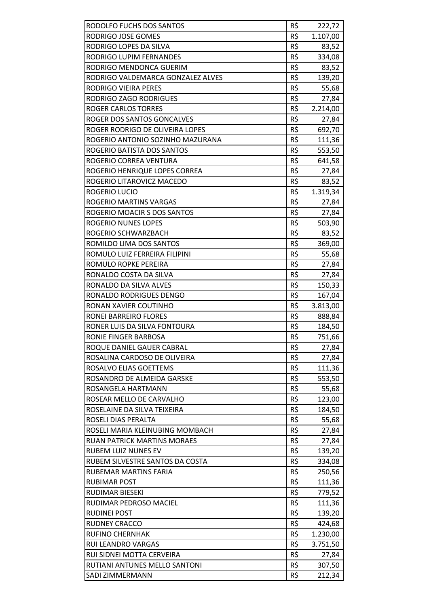| RODOLFO FUCHS DOS SANTOS           | R\$ | 222,72   |
|------------------------------------|-----|----------|
| RODRIGO JOSE GOMES                 | R\$ | 1.107,00 |
| RODRIGO LOPES DA SILVA             | R\$ | 83,52    |
| <b>RODRIGO LUPIM FERNANDES</b>     | R\$ | 334,08   |
| RODRIGO MENDONCA GUERIM            | R\$ |          |
|                                    | R\$ | 83,52    |
| RODRIGO VALDEMARCA GONZALEZ ALVES  |     | 139,20   |
| <b>RODRIGO VIEIRA PERES</b>        | R\$ | 55,68    |
| RODRIGO ZAGO RODRIGUES             | R\$ | 27,84    |
| <b>ROGER CARLOS TORRES</b>         | R\$ | 2.214,00 |
| ROGER DOS SANTOS GONCALVES         | R\$ | 27,84    |
| ROGER RODRIGO DE OLIVEIRA LOPES    | R\$ | 692,70   |
| ROGERIO ANTONIO SOZINHO MAZURANA   | R\$ | 111,36   |
| ROGERIO BATISTA DOS SANTOS         | R\$ | 553,50   |
| ROGERIO CORREA VENTURA             | R\$ | 641,58   |
| ROGERIO HENRIQUE LOPES CORREA      | R\$ | 27,84    |
| ROGERIO LITAROVICZ MACEDO          | R\$ | 83,52    |
| <b>ROGERIO LUCIO</b>               | R\$ | 1.319,34 |
| <b>ROGERIO MARTINS VARGAS</b>      | R\$ | 27,84    |
| ROGERIO MOACIR S DOS SANTOS        | R\$ | 27,84    |
| <b>ROGERIO NUNES LOPES</b>         | R\$ | 503,90   |
| ROGERIO SCHWARZBACH                | R\$ | 83,52    |
| ROMILDO LIMA DOS SANTOS            | R\$ | 369,00   |
| ROMULO LUIZ FERREIRA FILIPINI      | R\$ | 55,68    |
| ROMULO ROPKE PEREIRA               | R\$ | 27,84    |
| RONALDO COSTA DA SILVA             | R\$ | 27,84    |
| RONALDO DA SILVA ALVES             | R\$ | 150,33   |
| RONALDO RODRIGUES DENGO            | R\$ | 167,04   |
| RONAN XAVIER COUTINHO              | R\$ | 3.813,00 |
| RONEI BARREIRO FLORES              | R\$ | 888,84   |
| RONER LUIS DA SILVA FONTOURA       | R\$ | 184,50   |
| RONIE FINGER BARBOSA               | R\$ | 751,66   |
| ROQUE DANIEL GAUER CABRAL          | R\$ | 27,84    |
| ROSALINA CARDOSO DE OLIVEIRA       | R\$ | 27,84    |
| ROSALVO ELIAS GOETTEMS             | R\$ | 111,36   |
| ROSANDRO DE ALMEIDA GARSKE         | R\$ | 553,50   |
| ROSANGELA HARTMANN                 | R\$ | 55,68    |
| ROSEAR MELLO DE CARVALHO           | R\$ | 123,00   |
| ROSELAINE DA SILVA TEIXEIRA        | R\$ | 184,50   |
| ROSELI DIAS PERALTA                | R\$ | 55,68    |
| ROSELI MARIA KLEINUBING MOMBACH    | R\$ | 27,84    |
| <b>RUAN PATRICK MARTINS MORAES</b> | R\$ | 27,84    |
| <b>RUBEM LUIZ NUNES EV</b>         | R\$ | 139,20   |
| RUBEM SILVESTRE SANTOS DA COSTA    | R\$ | 334,08   |
| RUBEMAR MARTINS FARIA              | R\$ | 250,56   |
| <b>RUBIMAR POST</b>                | R\$ | 111,36   |
| RUDIMAR BIESEKI                    | R\$ | 779,52   |
| RUDIMAR PEDROSO MACIEL             | R\$ | 111,36   |
| <b>RUDINEI POST</b>                | R\$ | 139,20   |
| <b>RUDNEY CRACCO</b>               | R\$ | 424,68   |
| <b>RUFINO CHERNHAK</b>             | R\$ | 1.230,00 |
| RUI LEANDRO VARGAS                 | R\$ | 3.751,50 |
| RUI SIDNEI MOTTA CERVEIRA          | R\$ | 27,84    |
| RUTIANI ANTUNES MELLO SANTONI      | R\$ | 307,50   |
| SADI ZIMMERMANN                    | R\$ | 212,34   |
|                                    |     |          |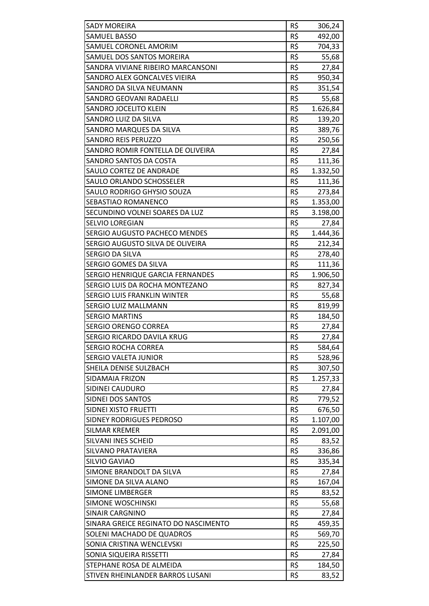| <b>SADY MOREIRA</b>                  | R\$ | 306,24   |
|--------------------------------------|-----|----------|
| SAMUEL BASSO                         | R\$ | 492,00   |
| <b>SAMUEL CORONEL AMORIM</b>         | R\$ | 704,33   |
| SAMUEL DOS SANTOS MOREIRA            | R\$ | 55,68    |
| SANDRA VIVIANE RIBEIRO MARCANSONI    | R\$ | 27,84    |
| SANDRO ALEX GONCALVES VIEIRA         | R\$ | 950,34   |
| SANDRO DA SILVA NEUMANN              | R\$ | 351,54   |
| <b>SANDRO GEOVANI RADAELLI</b>       | R\$ | 55,68    |
| SANDRO JOCELITO KLEIN                | R\$ | 1.626,84 |
| SANDRO LUIZ DA SILVA                 | R\$ | 139,20   |
| SANDRO MARQUES DA SILVA              | R\$ | 389,76   |
| <b>SANDRO REIS PERUZZO</b>           | R\$ | 250,56   |
| SANDRO ROMIR FONTELLA DE OLIVEIRA    | R\$ | 27,84    |
| SANDRO SANTOS DA COSTA               | R\$ | 111,36   |
| SAULO CORTEZ DE ANDRADE              | R\$ | 1.332,50 |
| SAULO ORLANDO SCHOSSELER             | R\$ | 111,36   |
| SAULO RODRIGO GHYSIO SOUZA           | R\$ | 273,84   |
| SEBASTIAO ROMANENCO                  | R\$ | 1.353,00 |
| SECUNDINO VOLNEI SOARES DA LUZ       | R\$ | 3.198,00 |
| <b>SELVIO LOREGIAN</b>               | R\$ | 27,84    |
| SERGIO AUGUSTO PACHECO MENDES        | R\$ | 1.444,36 |
| SERGIO AUGUSTO SILVA DE OLIVEIRA     | R\$ | 212,34   |
| SERGIO DA SILVA                      | R\$ | 278,40   |
| SERGIO GOMES DA SILVA                | R\$ | 111,36   |
| SERGIO HENRIQUE GARCIA FERNANDES     | R\$ | 1.906,50 |
| SERGIO LUIS DA ROCHA MONTEZANO       | R\$ | 827,34   |
| <b>SERGIO LUIS FRANKLIN WINTER</b>   | R\$ | 55,68    |
| SERGIO LUIZ MALLMANN                 | R\$ | 819,99   |
| <b>SERGIO MARTINS</b>                | R\$ | 184,50   |
| <b>SERGIO ORENGO CORREA</b>          | R\$ | 27,84    |
| SERGIO RICARDO DAVILA KRUG           | R\$ | 27,84    |
| <b>SERGIO ROCHA CORREA</b>           | R\$ | 584,64   |
| SERGIO VALETA JUNIOR                 | R\$ | 528,96   |
| SHEILA DENISE SULZBACH               | R\$ | 307,50   |
| SIDAMAIA FRIZON                      | R\$ | 1.257,33 |
| SIDINEI CAUDURO                      | R\$ | 27,84    |
| SIDNEI DOS SANTOS                    | R\$ | 779,52   |
| SIDNEI XISTO FRUETTI                 | R\$ | 676,50   |
| SIDNEY RODRIGUES PEDROSO             | R\$ | 1.107,00 |
| <b>SILMAR KREMER</b>                 | R\$ | 2.091,00 |
| SILVANI INES SCHEID                  | R\$ | 83,52    |
| SILVANO PRATAVIERA                   | R\$ | 336,86   |
| SILVIO GAVIAO                        | R\$ | 335,34   |
| SIMONE BRANDOLT DA SILVA             | R\$ | 27,84    |
| SIMONE DA SILVA ALANO                | R\$ | 167,04   |
| <b>SIMONE LIMBERGER</b>              | R\$ | 83,52    |
| SIMONE WOSCHINSKI                    | R\$ | 55,68    |
| <b>SINAIR CARGNINO</b>               | R\$ | 27,84    |
| SINARA GREICE REGINATO DO NASCIMENTO | R\$ | 459,35   |
| SOLENI MACHADO DE QUADROS            | R\$ | 569,70   |
| SONIA CRISTINA WENCLEVSKI            | R\$ | 225,50   |
| SONIA SIQUEIRA RISSETTI              | R\$ | 27,84    |
| STEPHANE ROSA DE ALMEIDA             | R\$ | 184,50   |
| STIVEN RHEINLANDER BARROS LUSANI     | R\$ | 83,52    |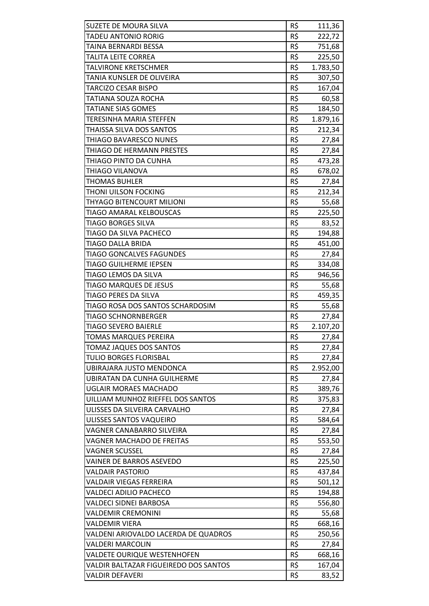| <b>SUZETE DE MOURA SILVA</b>          | R\$ | 111,36   |
|---------------------------------------|-----|----------|
| <b>TADEU ANTONIO RORIG</b>            | R\$ | 222,72   |
| TAINA BERNARDI BESSA                  | R\$ | 751,68   |
| TALITA LEITE CORREA                   | R\$ | 225,50   |
| TALVIRONE KRETSCHMER                  | R\$ | 1.783,50 |
| TANIA KUNSLER DE OLIVEIRA             | R\$ | 307,50   |
| TARCIZO CESAR BISPO                   | R\$ | 167,04   |
| TATIANA SOUZA ROCHA                   | R\$ | 60,58    |
| <b>TATIANE SIAS GOMES</b>             | R\$ | 184,50   |
| TERESINHA MARIA STEFFEN               | R\$ | 1.879,16 |
| THAISSA SILVA DOS SANTOS              | R\$ | 212,34   |
| THIAGO BAVARESCO NUNES                | R\$ | 27,84    |
| THIAGO DE HERMANN PRESTES             | R\$ | 27,84    |
| THIAGO PINTO DA CUNHA                 | R\$ | 473,28   |
| THIAGO VILANOVA                       | R\$ | 678,02   |
| <b>THOMAS BUHLER</b>                  | R\$ | 27,84    |
| THONI UILSON FOCKING                  | R\$ | 212,34   |
| THYAGO BITENCOURT MILIONI             | R\$ | 55,68    |
| <b>TIAGO AMARAL KELBOUSCAS</b>        | R\$ | 225,50   |
| <b>TIAGO BORGES SILVA</b>             | R\$ | 83,52    |
| TIAGO DA SILVA PACHECO                | R\$ | 194,88   |
| TIAGO DALLA BRIDA                     | R\$ | 451,00   |
| <b>TIAGO GONCALVES FAGUNDES</b>       | R\$ | 27,84    |
| <b>TIAGO GUILHERME IEPSEN</b>         | R\$ | 334,08   |
| TIAGO LEMOS DA SILVA                  | R\$ | 946,56   |
| TIAGO MARQUES DE JESUS                | R\$ | 55,68    |
| TIAGO PERES DA SILVA                  | R\$ | 459,35   |
| TIAGO ROSA DOS SANTOS SCHARDOSIM      | R\$ | 55,68    |
| TIAGO SCHNORNBERGER                   | R\$ | 27,84    |
| TIAGO SEVERO BAIERLE                  | R\$ | 2.107,20 |
| <b>TOMAS MARQUES PEREIRA</b>          | R\$ | 27,84    |
| <b>TOMAZ JAQUES DOS SANTOS</b>        | R\$ | 27,84    |
| TULIO BORGES FLORISBAL                | R\$ | 27,84    |
| UBIRAJARA JUSTO MENDONCA              | R\$ | 2.952,00 |
| <b>UBIRATAN DA CUNHA GUILHERME</b>    | R\$ | 27,84    |
| <b>UGLAIR MORAES MACHADO</b>          | R\$ | 389,76   |
| UILLIAM MUNHOZ RIEFFEL DOS SANTOS     | R\$ | 375,83   |
| ULISSES DA SILVEIRA CARVALHO          | R\$ | 27,84    |
| ULISSES SANTOS VAQUEIRO               | R\$ | 584,64   |
| VAGNER CANABARRO SILVEIRA             | R\$ | 27,84    |
| VAGNER MACHADO DE FREITAS             | R\$ | 553,50   |
| <b>VAGNER SCUSSEL</b>                 | R\$ | 27,84    |
| VAINER DE BARROS ASEVEDO              | R\$ | 225,50   |
| <b>VALDAIR PASTORIO</b>               | R\$ | 437,84   |
| VALDAIR VIEGAS FERREIRA               | R\$ | 501,12   |
| <b>VALDECI ADILIO PACHECO</b>         | R\$ | 194,88   |
| VALDECI SIDNEI BARBOSA                | R\$ | 556,80   |
| <b>VALDEMIR CREMONINI</b>             | R\$ | 55,68    |
| VALDEMIR VIERA                        | R\$ | 668,16   |
| VALDENI ARIOVALDO LACERDA DE QUADROS  | R\$ | 250,56   |
| <b>VALDERI MARCOLIN</b>               | R\$ | 27,84    |
| VALDETE OURIQUE WESTENHOFEN           | R\$ | 668,16   |
| VALDIR BALTAZAR FIGUEIREDO DOS SANTOS | R\$ | 167,04   |
| VALDIR DEFAVERI                       | R\$ | 83,52    |
|                                       |     |          |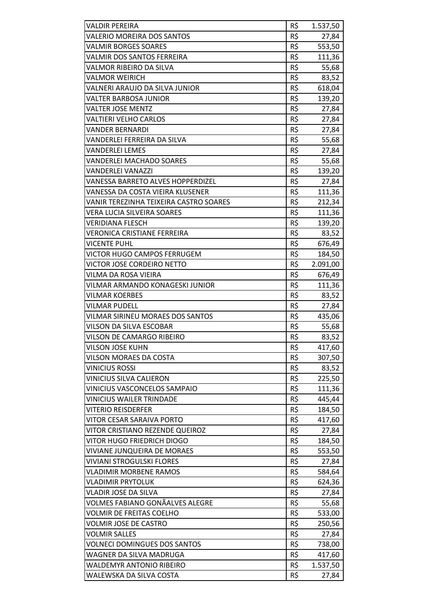| R\$<br><b>VALERIO MOREIRA DOS SANTOS</b><br>27,84<br>R\$<br><b>VALMIR BORGES SOARES</b><br>553,50<br>R\$<br><b>VALMIR DOS SANTOS FERREIRA</b><br>111,36<br>R\$<br>VALMOR RIBEIRO DA SILVA<br>55,68<br>R\$<br>83,52<br><b>VALMOR WEIRICH</b><br>R\$<br>VALNERI ARAUJO DA SILVA JUNIOR<br>618,04<br>R\$<br><b>VALTER BARBOSA JUNIOR</b><br>139,20<br>R\$<br><b>VALTER JOSE MENTZ</b><br>27,84<br>R\$<br><b>VALTIERI VELHO CARLOS</b><br>27,84<br>R\$<br><b>VANDER BERNARDI</b><br>27,84<br>R\$<br>55,68<br>VANDERLEI FERREIRA DA SILVA<br>R\$<br><b>VANDERLEI LEMES</b><br>27,84<br>R\$<br>55,68<br><b>VANDERLEI MACHADO SOARES</b><br>R\$<br><b>VANDERLEI VANAZZI</b><br>139,20<br>R\$<br><b>VANESSA BARRETO ALVES HOPPERDIZEL</b><br>27,84<br>R\$<br>VANESSA DA COSTA VIEIRA KLUSENER<br>111,36<br>R\$<br>VANIR TEREZINHA TEIXEIRA CASTRO SOARES<br>212,34<br>R\$<br><b>VERA LUCIA SILVEIRA SOARES</b><br>111,36<br>R\$<br><b>VERIDIANA FLESCH</b><br>139,20<br>R\$<br><b>VERONICA CRISTIANE FERREIRA</b><br>83,52<br>R\$<br><b>VICENTE PUHL</b><br>676,49<br>R\$<br><b>VICTOR HUGO CAMPOS FERRUGEM</b><br>184,50<br>R\$<br><b>VICTOR JOSE CORDEIRO NETTO</b><br>2.091,00<br>R\$<br>VILMA DA ROSA VIEIRA<br>676,49<br>R\$<br>VILMAR ARMANDO KONAGESKI JUNIOR<br>111,36<br>R\$<br><b>VILMAR KOERBES</b><br>83,52<br>R\$<br><b>VILMAR PUDELL</b><br>27,84<br>R\$<br>VILMAR SIRINEU MORAES DOS SANTOS<br>435,06<br>R\$<br>VILSON DA SILVA ESCOBAR<br>55,68<br>R\$<br>83,52<br>VILSON DE CAMARGO RIBEIRO<br>R\$<br><b>VILSON JOSE KUHN</b><br>417,60<br>R\$<br><b>VILSON MORAES DA COSTA</b><br>307,50<br>R\$<br><b>VINICIUS ROSSI</b><br>83,52<br>R\$<br><b>VINICIUS SILVA CALIERON</b><br>225,50<br>R\$<br>VINICIUS VASCONCELOS SAMPAIO<br>111,36<br>R\$<br><b>VINICIUS WAILER TRINDADE</b><br>445,44<br>R\$<br><b>VITERIO REISDERFER</b><br>184,50<br>R\$<br>VITOR CESAR SARAIVA PORTO<br>417,60<br>R\$<br>VITOR CRISTIANO REZENDE QUEIROZ<br>27,84<br>R\$<br>VITOR HUGO FRIEDRICH DIOGO<br>184,50<br>R\$<br><b>VIVIANE JUNQUEIRA DE MORAES</b><br>553,50<br>R\$<br><b>VIVIANI STROGULSKI FLORES</b><br>27,84<br>R\$<br><b>VLADIMIR MORBENE RAMOS</b><br>584,64<br>R\$<br><b>VLADIMIR PRYTOLUK</b><br>624,36<br>R\$<br><b>VLADIR JOSE DA SILVA</b><br>27,84<br>R\$<br>VOLMES FABIANO GONÃALVES ALEGRE<br>55,68<br>R\$<br><b>VOLMIR DE FREITAS COELHO</b><br>533,00<br>R\$<br><b>VOLMIR JOSE DE CASTRO</b><br>250,56<br>R\$<br><b>VOLMIR SALLES</b><br>27,84<br>R\$<br><b>VOLNECI DOMINGUES DOS SANTOS</b><br>738,00<br>R\$<br>WAGNER DA SILVA MADRUGA<br>417,60<br>R\$<br><b>WALDEMYR ANTONIO RIBEIRO</b><br>1.537,50<br>R\$<br>WALEWSKA DA SILVA COSTA<br>27,84 | <b>VALDIR PEREIRA</b> | R\$ | 1.537,50 |
|-----------------------------------------------------------------------------------------------------------------------------------------------------------------------------------------------------------------------------------------------------------------------------------------------------------------------------------------------------------------------------------------------------------------------------------------------------------------------------------------------------------------------------------------------------------------------------------------------------------------------------------------------------------------------------------------------------------------------------------------------------------------------------------------------------------------------------------------------------------------------------------------------------------------------------------------------------------------------------------------------------------------------------------------------------------------------------------------------------------------------------------------------------------------------------------------------------------------------------------------------------------------------------------------------------------------------------------------------------------------------------------------------------------------------------------------------------------------------------------------------------------------------------------------------------------------------------------------------------------------------------------------------------------------------------------------------------------------------------------------------------------------------------------------------------------------------------------------------------------------------------------------------------------------------------------------------------------------------------------------------------------------------------------------------------------------------------------------------------------------------------------------------------------------------------------------------------------------------------------------------------------------------------------------------------------------------------------------------------------------------------------------------------------------------------------------------------------------------------------------------------------------------------------------------------------------------------------------------------------------------------------------------------------------|-----------------------|-----|----------|
|                                                                                                                                                                                                                                                                                                                                                                                                                                                                                                                                                                                                                                                                                                                                                                                                                                                                                                                                                                                                                                                                                                                                                                                                                                                                                                                                                                                                                                                                                                                                                                                                                                                                                                                                                                                                                                                                                                                                                                                                                                                                                                                                                                                                                                                                                                                                                                                                                                                                                                                                                                                                                                                                 |                       |     |          |
|                                                                                                                                                                                                                                                                                                                                                                                                                                                                                                                                                                                                                                                                                                                                                                                                                                                                                                                                                                                                                                                                                                                                                                                                                                                                                                                                                                                                                                                                                                                                                                                                                                                                                                                                                                                                                                                                                                                                                                                                                                                                                                                                                                                                                                                                                                                                                                                                                                                                                                                                                                                                                                                                 |                       |     |          |
|                                                                                                                                                                                                                                                                                                                                                                                                                                                                                                                                                                                                                                                                                                                                                                                                                                                                                                                                                                                                                                                                                                                                                                                                                                                                                                                                                                                                                                                                                                                                                                                                                                                                                                                                                                                                                                                                                                                                                                                                                                                                                                                                                                                                                                                                                                                                                                                                                                                                                                                                                                                                                                                                 |                       |     |          |
|                                                                                                                                                                                                                                                                                                                                                                                                                                                                                                                                                                                                                                                                                                                                                                                                                                                                                                                                                                                                                                                                                                                                                                                                                                                                                                                                                                                                                                                                                                                                                                                                                                                                                                                                                                                                                                                                                                                                                                                                                                                                                                                                                                                                                                                                                                                                                                                                                                                                                                                                                                                                                                                                 |                       |     |          |
|                                                                                                                                                                                                                                                                                                                                                                                                                                                                                                                                                                                                                                                                                                                                                                                                                                                                                                                                                                                                                                                                                                                                                                                                                                                                                                                                                                                                                                                                                                                                                                                                                                                                                                                                                                                                                                                                                                                                                                                                                                                                                                                                                                                                                                                                                                                                                                                                                                                                                                                                                                                                                                                                 |                       |     |          |
|                                                                                                                                                                                                                                                                                                                                                                                                                                                                                                                                                                                                                                                                                                                                                                                                                                                                                                                                                                                                                                                                                                                                                                                                                                                                                                                                                                                                                                                                                                                                                                                                                                                                                                                                                                                                                                                                                                                                                                                                                                                                                                                                                                                                                                                                                                                                                                                                                                                                                                                                                                                                                                                                 |                       |     |          |
|                                                                                                                                                                                                                                                                                                                                                                                                                                                                                                                                                                                                                                                                                                                                                                                                                                                                                                                                                                                                                                                                                                                                                                                                                                                                                                                                                                                                                                                                                                                                                                                                                                                                                                                                                                                                                                                                                                                                                                                                                                                                                                                                                                                                                                                                                                                                                                                                                                                                                                                                                                                                                                                                 |                       |     |          |
|                                                                                                                                                                                                                                                                                                                                                                                                                                                                                                                                                                                                                                                                                                                                                                                                                                                                                                                                                                                                                                                                                                                                                                                                                                                                                                                                                                                                                                                                                                                                                                                                                                                                                                                                                                                                                                                                                                                                                                                                                                                                                                                                                                                                                                                                                                                                                                                                                                                                                                                                                                                                                                                                 |                       |     |          |
|                                                                                                                                                                                                                                                                                                                                                                                                                                                                                                                                                                                                                                                                                                                                                                                                                                                                                                                                                                                                                                                                                                                                                                                                                                                                                                                                                                                                                                                                                                                                                                                                                                                                                                                                                                                                                                                                                                                                                                                                                                                                                                                                                                                                                                                                                                                                                                                                                                                                                                                                                                                                                                                                 |                       |     |          |
|                                                                                                                                                                                                                                                                                                                                                                                                                                                                                                                                                                                                                                                                                                                                                                                                                                                                                                                                                                                                                                                                                                                                                                                                                                                                                                                                                                                                                                                                                                                                                                                                                                                                                                                                                                                                                                                                                                                                                                                                                                                                                                                                                                                                                                                                                                                                                                                                                                                                                                                                                                                                                                                                 |                       |     |          |
|                                                                                                                                                                                                                                                                                                                                                                                                                                                                                                                                                                                                                                                                                                                                                                                                                                                                                                                                                                                                                                                                                                                                                                                                                                                                                                                                                                                                                                                                                                                                                                                                                                                                                                                                                                                                                                                                                                                                                                                                                                                                                                                                                                                                                                                                                                                                                                                                                                                                                                                                                                                                                                                                 |                       |     |          |
|                                                                                                                                                                                                                                                                                                                                                                                                                                                                                                                                                                                                                                                                                                                                                                                                                                                                                                                                                                                                                                                                                                                                                                                                                                                                                                                                                                                                                                                                                                                                                                                                                                                                                                                                                                                                                                                                                                                                                                                                                                                                                                                                                                                                                                                                                                                                                                                                                                                                                                                                                                                                                                                                 |                       |     |          |
|                                                                                                                                                                                                                                                                                                                                                                                                                                                                                                                                                                                                                                                                                                                                                                                                                                                                                                                                                                                                                                                                                                                                                                                                                                                                                                                                                                                                                                                                                                                                                                                                                                                                                                                                                                                                                                                                                                                                                                                                                                                                                                                                                                                                                                                                                                                                                                                                                                                                                                                                                                                                                                                                 |                       |     |          |
|                                                                                                                                                                                                                                                                                                                                                                                                                                                                                                                                                                                                                                                                                                                                                                                                                                                                                                                                                                                                                                                                                                                                                                                                                                                                                                                                                                                                                                                                                                                                                                                                                                                                                                                                                                                                                                                                                                                                                                                                                                                                                                                                                                                                                                                                                                                                                                                                                                                                                                                                                                                                                                                                 |                       |     |          |
|                                                                                                                                                                                                                                                                                                                                                                                                                                                                                                                                                                                                                                                                                                                                                                                                                                                                                                                                                                                                                                                                                                                                                                                                                                                                                                                                                                                                                                                                                                                                                                                                                                                                                                                                                                                                                                                                                                                                                                                                                                                                                                                                                                                                                                                                                                                                                                                                                                                                                                                                                                                                                                                                 |                       |     |          |
|                                                                                                                                                                                                                                                                                                                                                                                                                                                                                                                                                                                                                                                                                                                                                                                                                                                                                                                                                                                                                                                                                                                                                                                                                                                                                                                                                                                                                                                                                                                                                                                                                                                                                                                                                                                                                                                                                                                                                                                                                                                                                                                                                                                                                                                                                                                                                                                                                                                                                                                                                                                                                                                                 |                       |     |          |
|                                                                                                                                                                                                                                                                                                                                                                                                                                                                                                                                                                                                                                                                                                                                                                                                                                                                                                                                                                                                                                                                                                                                                                                                                                                                                                                                                                                                                                                                                                                                                                                                                                                                                                                                                                                                                                                                                                                                                                                                                                                                                                                                                                                                                                                                                                                                                                                                                                                                                                                                                                                                                                                                 |                       |     |          |
|                                                                                                                                                                                                                                                                                                                                                                                                                                                                                                                                                                                                                                                                                                                                                                                                                                                                                                                                                                                                                                                                                                                                                                                                                                                                                                                                                                                                                                                                                                                                                                                                                                                                                                                                                                                                                                                                                                                                                                                                                                                                                                                                                                                                                                                                                                                                                                                                                                                                                                                                                                                                                                                                 |                       |     |          |
|                                                                                                                                                                                                                                                                                                                                                                                                                                                                                                                                                                                                                                                                                                                                                                                                                                                                                                                                                                                                                                                                                                                                                                                                                                                                                                                                                                                                                                                                                                                                                                                                                                                                                                                                                                                                                                                                                                                                                                                                                                                                                                                                                                                                                                                                                                                                                                                                                                                                                                                                                                                                                                                                 |                       |     |          |
|                                                                                                                                                                                                                                                                                                                                                                                                                                                                                                                                                                                                                                                                                                                                                                                                                                                                                                                                                                                                                                                                                                                                                                                                                                                                                                                                                                                                                                                                                                                                                                                                                                                                                                                                                                                                                                                                                                                                                                                                                                                                                                                                                                                                                                                                                                                                                                                                                                                                                                                                                                                                                                                                 |                       |     |          |
|                                                                                                                                                                                                                                                                                                                                                                                                                                                                                                                                                                                                                                                                                                                                                                                                                                                                                                                                                                                                                                                                                                                                                                                                                                                                                                                                                                                                                                                                                                                                                                                                                                                                                                                                                                                                                                                                                                                                                                                                                                                                                                                                                                                                                                                                                                                                                                                                                                                                                                                                                                                                                                                                 |                       |     |          |
|                                                                                                                                                                                                                                                                                                                                                                                                                                                                                                                                                                                                                                                                                                                                                                                                                                                                                                                                                                                                                                                                                                                                                                                                                                                                                                                                                                                                                                                                                                                                                                                                                                                                                                                                                                                                                                                                                                                                                                                                                                                                                                                                                                                                                                                                                                                                                                                                                                                                                                                                                                                                                                                                 |                       |     |          |
|                                                                                                                                                                                                                                                                                                                                                                                                                                                                                                                                                                                                                                                                                                                                                                                                                                                                                                                                                                                                                                                                                                                                                                                                                                                                                                                                                                                                                                                                                                                                                                                                                                                                                                                                                                                                                                                                                                                                                                                                                                                                                                                                                                                                                                                                                                                                                                                                                                                                                                                                                                                                                                                                 |                       |     |          |
|                                                                                                                                                                                                                                                                                                                                                                                                                                                                                                                                                                                                                                                                                                                                                                                                                                                                                                                                                                                                                                                                                                                                                                                                                                                                                                                                                                                                                                                                                                                                                                                                                                                                                                                                                                                                                                                                                                                                                                                                                                                                                                                                                                                                                                                                                                                                                                                                                                                                                                                                                                                                                                                                 |                       |     |          |
|                                                                                                                                                                                                                                                                                                                                                                                                                                                                                                                                                                                                                                                                                                                                                                                                                                                                                                                                                                                                                                                                                                                                                                                                                                                                                                                                                                                                                                                                                                                                                                                                                                                                                                                                                                                                                                                                                                                                                                                                                                                                                                                                                                                                                                                                                                                                                                                                                                                                                                                                                                                                                                                                 |                       |     |          |
|                                                                                                                                                                                                                                                                                                                                                                                                                                                                                                                                                                                                                                                                                                                                                                                                                                                                                                                                                                                                                                                                                                                                                                                                                                                                                                                                                                                                                                                                                                                                                                                                                                                                                                                                                                                                                                                                                                                                                                                                                                                                                                                                                                                                                                                                                                                                                                                                                                                                                                                                                                                                                                                                 |                       |     |          |
|                                                                                                                                                                                                                                                                                                                                                                                                                                                                                                                                                                                                                                                                                                                                                                                                                                                                                                                                                                                                                                                                                                                                                                                                                                                                                                                                                                                                                                                                                                                                                                                                                                                                                                                                                                                                                                                                                                                                                                                                                                                                                                                                                                                                                                                                                                                                                                                                                                                                                                                                                                                                                                                                 |                       |     |          |
|                                                                                                                                                                                                                                                                                                                                                                                                                                                                                                                                                                                                                                                                                                                                                                                                                                                                                                                                                                                                                                                                                                                                                                                                                                                                                                                                                                                                                                                                                                                                                                                                                                                                                                                                                                                                                                                                                                                                                                                                                                                                                                                                                                                                                                                                                                                                                                                                                                                                                                                                                                                                                                                                 |                       |     |          |
|                                                                                                                                                                                                                                                                                                                                                                                                                                                                                                                                                                                                                                                                                                                                                                                                                                                                                                                                                                                                                                                                                                                                                                                                                                                                                                                                                                                                                                                                                                                                                                                                                                                                                                                                                                                                                                                                                                                                                                                                                                                                                                                                                                                                                                                                                                                                                                                                                                                                                                                                                                                                                                                                 |                       |     |          |
|                                                                                                                                                                                                                                                                                                                                                                                                                                                                                                                                                                                                                                                                                                                                                                                                                                                                                                                                                                                                                                                                                                                                                                                                                                                                                                                                                                                                                                                                                                                                                                                                                                                                                                                                                                                                                                                                                                                                                                                                                                                                                                                                                                                                                                                                                                                                                                                                                                                                                                                                                                                                                                                                 |                       |     |          |
|                                                                                                                                                                                                                                                                                                                                                                                                                                                                                                                                                                                                                                                                                                                                                                                                                                                                                                                                                                                                                                                                                                                                                                                                                                                                                                                                                                                                                                                                                                                                                                                                                                                                                                                                                                                                                                                                                                                                                                                                                                                                                                                                                                                                                                                                                                                                                                                                                                                                                                                                                                                                                                                                 |                       |     |          |
|                                                                                                                                                                                                                                                                                                                                                                                                                                                                                                                                                                                                                                                                                                                                                                                                                                                                                                                                                                                                                                                                                                                                                                                                                                                                                                                                                                                                                                                                                                                                                                                                                                                                                                                                                                                                                                                                                                                                                                                                                                                                                                                                                                                                                                                                                                                                                                                                                                                                                                                                                                                                                                                                 |                       |     |          |
|                                                                                                                                                                                                                                                                                                                                                                                                                                                                                                                                                                                                                                                                                                                                                                                                                                                                                                                                                                                                                                                                                                                                                                                                                                                                                                                                                                                                                                                                                                                                                                                                                                                                                                                                                                                                                                                                                                                                                                                                                                                                                                                                                                                                                                                                                                                                                                                                                                                                                                                                                                                                                                                                 |                       |     |          |
|                                                                                                                                                                                                                                                                                                                                                                                                                                                                                                                                                                                                                                                                                                                                                                                                                                                                                                                                                                                                                                                                                                                                                                                                                                                                                                                                                                                                                                                                                                                                                                                                                                                                                                                                                                                                                                                                                                                                                                                                                                                                                                                                                                                                                                                                                                                                                                                                                                                                                                                                                                                                                                                                 |                       |     |          |
|                                                                                                                                                                                                                                                                                                                                                                                                                                                                                                                                                                                                                                                                                                                                                                                                                                                                                                                                                                                                                                                                                                                                                                                                                                                                                                                                                                                                                                                                                                                                                                                                                                                                                                                                                                                                                                                                                                                                                                                                                                                                                                                                                                                                                                                                                                                                                                                                                                                                                                                                                                                                                                                                 |                       |     |          |
|                                                                                                                                                                                                                                                                                                                                                                                                                                                                                                                                                                                                                                                                                                                                                                                                                                                                                                                                                                                                                                                                                                                                                                                                                                                                                                                                                                                                                                                                                                                                                                                                                                                                                                                                                                                                                                                                                                                                                                                                                                                                                                                                                                                                                                                                                                                                                                                                                                                                                                                                                                                                                                                                 |                       |     |          |
|                                                                                                                                                                                                                                                                                                                                                                                                                                                                                                                                                                                                                                                                                                                                                                                                                                                                                                                                                                                                                                                                                                                                                                                                                                                                                                                                                                                                                                                                                                                                                                                                                                                                                                                                                                                                                                                                                                                                                                                                                                                                                                                                                                                                                                                                                                                                                                                                                                                                                                                                                                                                                                                                 |                       |     |          |
|                                                                                                                                                                                                                                                                                                                                                                                                                                                                                                                                                                                                                                                                                                                                                                                                                                                                                                                                                                                                                                                                                                                                                                                                                                                                                                                                                                                                                                                                                                                                                                                                                                                                                                                                                                                                                                                                                                                                                                                                                                                                                                                                                                                                                                                                                                                                                                                                                                                                                                                                                                                                                                                                 |                       |     |          |
|                                                                                                                                                                                                                                                                                                                                                                                                                                                                                                                                                                                                                                                                                                                                                                                                                                                                                                                                                                                                                                                                                                                                                                                                                                                                                                                                                                                                                                                                                                                                                                                                                                                                                                                                                                                                                                                                                                                                                                                                                                                                                                                                                                                                                                                                                                                                                                                                                                                                                                                                                                                                                                                                 |                       |     |          |
|                                                                                                                                                                                                                                                                                                                                                                                                                                                                                                                                                                                                                                                                                                                                                                                                                                                                                                                                                                                                                                                                                                                                                                                                                                                                                                                                                                                                                                                                                                                                                                                                                                                                                                                                                                                                                                                                                                                                                                                                                                                                                                                                                                                                                                                                                                                                                                                                                                                                                                                                                                                                                                                                 |                       |     |          |
|                                                                                                                                                                                                                                                                                                                                                                                                                                                                                                                                                                                                                                                                                                                                                                                                                                                                                                                                                                                                                                                                                                                                                                                                                                                                                                                                                                                                                                                                                                                                                                                                                                                                                                                                                                                                                                                                                                                                                                                                                                                                                                                                                                                                                                                                                                                                                                                                                                                                                                                                                                                                                                                                 |                       |     |          |
|                                                                                                                                                                                                                                                                                                                                                                                                                                                                                                                                                                                                                                                                                                                                                                                                                                                                                                                                                                                                                                                                                                                                                                                                                                                                                                                                                                                                                                                                                                                                                                                                                                                                                                                                                                                                                                                                                                                                                                                                                                                                                                                                                                                                                                                                                                                                                                                                                                                                                                                                                                                                                                                                 |                       |     |          |
|                                                                                                                                                                                                                                                                                                                                                                                                                                                                                                                                                                                                                                                                                                                                                                                                                                                                                                                                                                                                                                                                                                                                                                                                                                                                                                                                                                                                                                                                                                                                                                                                                                                                                                                                                                                                                                                                                                                                                                                                                                                                                                                                                                                                                                                                                                                                                                                                                                                                                                                                                                                                                                                                 |                       |     |          |
|                                                                                                                                                                                                                                                                                                                                                                                                                                                                                                                                                                                                                                                                                                                                                                                                                                                                                                                                                                                                                                                                                                                                                                                                                                                                                                                                                                                                                                                                                                                                                                                                                                                                                                                                                                                                                                                                                                                                                                                                                                                                                                                                                                                                                                                                                                                                                                                                                                                                                                                                                                                                                                                                 |                       |     |          |
|                                                                                                                                                                                                                                                                                                                                                                                                                                                                                                                                                                                                                                                                                                                                                                                                                                                                                                                                                                                                                                                                                                                                                                                                                                                                                                                                                                                                                                                                                                                                                                                                                                                                                                                                                                                                                                                                                                                                                                                                                                                                                                                                                                                                                                                                                                                                                                                                                                                                                                                                                                                                                                                                 |                       |     |          |
|                                                                                                                                                                                                                                                                                                                                                                                                                                                                                                                                                                                                                                                                                                                                                                                                                                                                                                                                                                                                                                                                                                                                                                                                                                                                                                                                                                                                                                                                                                                                                                                                                                                                                                                                                                                                                                                                                                                                                                                                                                                                                                                                                                                                                                                                                                                                                                                                                                                                                                                                                                                                                                                                 |                       |     |          |
|                                                                                                                                                                                                                                                                                                                                                                                                                                                                                                                                                                                                                                                                                                                                                                                                                                                                                                                                                                                                                                                                                                                                                                                                                                                                                                                                                                                                                                                                                                                                                                                                                                                                                                                                                                                                                                                                                                                                                                                                                                                                                                                                                                                                                                                                                                                                                                                                                                                                                                                                                                                                                                                                 |                       |     |          |
|                                                                                                                                                                                                                                                                                                                                                                                                                                                                                                                                                                                                                                                                                                                                                                                                                                                                                                                                                                                                                                                                                                                                                                                                                                                                                                                                                                                                                                                                                                                                                                                                                                                                                                                                                                                                                                                                                                                                                                                                                                                                                                                                                                                                                                                                                                                                                                                                                                                                                                                                                                                                                                                                 |                       |     |          |
|                                                                                                                                                                                                                                                                                                                                                                                                                                                                                                                                                                                                                                                                                                                                                                                                                                                                                                                                                                                                                                                                                                                                                                                                                                                                                                                                                                                                                                                                                                                                                                                                                                                                                                                                                                                                                                                                                                                                                                                                                                                                                                                                                                                                                                                                                                                                                                                                                                                                                                                                                                                                                                                                 |                       |     |          |
|                                                                                                                                                                                                                                                                                                                                                                                                                                                                                                                                                                                                                                                                                                                                                                                                                                                                                                                                                                                                                                                                                                                                                                                                                                                                                                                                                                                                                                                                                                                                                                                                                                                                                                                                                                                                                                                                                                                                                                                                                                                                                                                                                                                                                                                                                                                                                                                                                                                                                                                                                                                                                                                                 |                       |     |          |
|                                                                                                                                                                                                                                                                                                                                                                                                                                                                                                                                                                                                                                                                                                                                                                                                                                                                                                                                                                                                                                                                                                                                                                                                                                                                                                                                                                                                                                                                                                                                                                                                                                                                                                                                                                                                                                                                                                                                                                                                                                                                                                                                                                                                                                                                                                                                                                                                                                                                                                                                                                                                                                                                 |                       |     |          |
|                                                                                                                                                                                                                                                                                                                                                                                                                                                                                                                                                                                                                                                                                                                                                                                                                                                                                                                                                                                                                                                                                                                                                                                                                                                                                                                                                                                                                                                                                                                                                                                                                                                                                                                                                                                                                                                                                                                                                                                                                                                                                                                                                                                                                                                                                                                                                                                                                                                                                                                                                                                                                                                                 |                       |     |          |
|                                                                                                                                                                                                                                                                                                                                                                                                                                                                                                                                                                                                                                                                                                                                                                                                                                                                                                                                                                                                                                                                                                                                                                                                                                                                                                                                                                                                                                                                                                                                                                                                                                                                                                                                                                                                                                                                                                                                                                                                                                                                                                                                                                                                                                                                                                                                                                                                                                                                                                                                                                                                                                                                 |                       |     |          |
|                                                                                                                                                                                                                                                                                                                                                                                                                                                                                                                                                                                                                                                                                                                                                                                                                                                                                                                                                                                                                                                                                                                                                                                                                                                                                                                                                                                                                                                                                                                                                                                                                                                                                                                                                                                                                                                                                                                                                                                                                                                                                                                                                                                                                                                                                                                                                                                                                                                                                                                                                                                                                                                                 |                       |     |          |